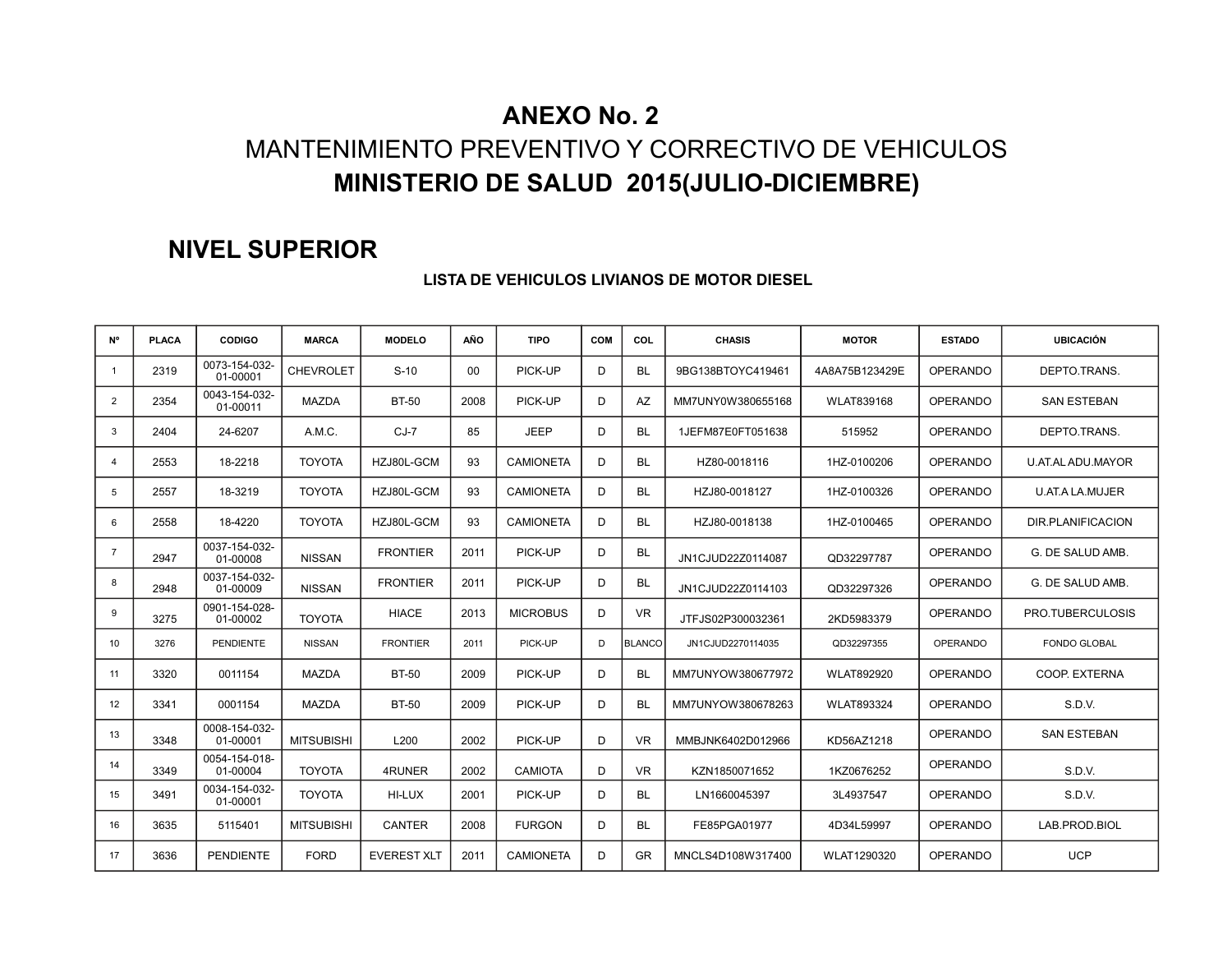### **ANEXO No. 2**

# MANTENIMIENTO PREVENTIVO Y CORRECTIVO DE VEHICULOS **MINISTERIO DE SALUD 2015(JULIO-DICIEMBRE)**

### **NIVEL SUPERIOR**

| <b>N°</b>      | <b>PLACA</b> | <b>CODIGO</b>             | <b>MARCA</b>      | <b>MODELO</b>      | AÑO  | <b>TIPO</b>      | COM | COL           | <b>CHASIS</b>     | <b>MOTOR</b>   | <b>ESTADO</b>   | <b>UBICACIÓN</b>    |
|----------------|--------------|---------------------------|-------------------|--------------------|------|------------------|-----|---------------|-------------------|----------------|-----------------|---------------------|
| -1             | 2319         | 0073-154-032-<br>01-00001 | <b>CHEVROLET</b>  | $S-10$             | 00   | PICK-UP          | D   | BL            | 9BG138BTOYC419461 | 4A8A75B123429E | <b>OPERANDO</b> | DEPTO.TRANS.        |
| $\overline{2}$ | 2354         | 0043-154-032-<br>01-00011 | <b>MAZDA</b>      | <b>BT-50</b>       | 2008 | PICK-UP          | D   | AZ            | MM7UNY0W380655168 | WLAT839168     | <b>OPERANDO</b> | <b>SAN ESTEBAN</b>  |
| 3              | 2404         | 24-6207                   | A.M.C.            | $CJ-7$             | 85   | <b>JEEP</b>      | D   | <b>BL</b>     | 1JEFM87E0FT051638 | 515952         | <b>OPERANDO</b> | DEPTO.TRANS.        |
| $\overline{4}$ | 2553         | 18-2218                   | <b>TOYOTA</b>     | HZJ80L-GCM         | 93   | <b>CAMIONETA</b> | D   | <b>BL</b>     | HZ80-0018116      | 1HZ-0100206    | OPERANDO        | U.AT.AL ADU.MAYOR   |
| 5              | 2557         | 18-3219                   | <b>TOYOTA</b>     | HZJ80L-GCM         | 93   | <b>CAMIONETA</b> | D   | BL            | HZJ80-0018127     | 1HZ-0100326    | <b>OPERANDO</b> | U.AT.A LA.MUJER     |
| 6              | 2558         | 18-4220                   | <b>TOYOTA</b>     | HZJ80L-GCM         | 93   | <b>CAMIONETA</b> | D   | BL            | HZJ80-0018138     | 1HZ-0100465    | <b>OPERANDO</b> | DIR.PLANIFICACION   |
| $\overline{7}$ | 2947         | 0037-154-032-<br>01-00008 | <b>NISSAN</b>     | <b>FRONTIER</b>    | 2011 | PICK-UP          | D   | <b>BL</b>     | JN1CJUD22Z0114087 | QD32297787     | <b>OPERANDO</b> | G. DE SALUD AMB.    |
| 8              | 2948         | 0037-154-032-<br>01-00009 | <b>NISSAN</b>     | <b>FRONTIER</b>    | 2011 | PICK-UP          | D   | <b>BL</b>     | JN1CJUD22Z0114103 | QD32297326     | <b>OPERANDO</b> | G. DE SALUD AMB.    |
| 9              | 3275         | 0901-154-028-<br>01-00002 | <b>TOYOTA</b>     | <b>HIACE</b>       | 2013 | <b>MICROBUS</b>  | D   | <b>VR</b>     | JTFJS02P300032361 | 2KD5983379     | <b>OPERANDO</b> | PRO.TUBERCULOSIS    |
| 10             | 3276         | <b>PENDIENTE</b>          | <b>NISSAN</b>     | <b>FRONTIER</b>    | 2011 | PICK-UP          | D   | <b>BLANCO</b> | JN1CJUD2270114035 | QD32297355     | <b>OPERANDO</b> | <b>FONDO GLOBAL</b> |
| 11             | 3320         | 0011154                   | <b>MAZDA</b>      | <b>BT-50</b>       | 2009 | PICK-UP          | D   | <b>BL</b>     | MM7UNYOW380677972 | WLAT892920     | <b>OPERANDO</b> | COOP, EXTERNA       |
| 12             | 3341         | 0001154                   | <b>MAZDA</b>      | <b>BT-50</b>       | 2009 | PICK-UP          | D   | <b>BL</b>     | MM7UNYOW380678263 | WLAT893324     | <b>OPERANDO</b> | S.D.V.              |
| 13             | 3348         | 0008-154-032-<br>01-00001 | <b>MITSUBISHI</b> | L200               | 2002 | PICK-UP          | D   | <b>VR</b>     | MMBJNK6402D012966 | KD56AZ1218     | <b>OPERANDO</b> | <b>SAN ESTEBAN</b>  |
| 14             | 3349         | 0054-154-018-<br>01-00004 | <b>TOYOTA</b>     | 4RUNER             | 2002 | CAMIOTA          | D   | <b>VR</b>     | KZN1850071652     | 1KZ0676252     | <b>OPERANDO</b> | S.D.V.              |
| 15             | 3491         | 0034-154-032-<br>01-00001 | <b>TOYOTA</b>     | HI-LUX             | 2001 | PICK-UP          | D   | <b>BL</b>     | LN1660045397      | 3L4937547      | <b>OPERANDO</b> | S.D.V.              |
| 16             | 3635         | 5115401                   | <b>MITSUBISHI</b> | <b>CANTER</b>      | 2008 | <b>FURGON</b>    | D   | BL            | FE85PGA01977      | 4D34L59997     | <b>OPERANDO</b> | LAB.PROD.BIOL       |
| 17             | 3636         | <b>PENDIENTE</b>          | <b>FORD</b>       | <b>EVEREST XLT</b> | 2011 | <b>CAMIONETA</b> | D   | <b>GR</b>     | MNCLS4D108W317400 | WLAT1290320    | <b>OPERANDO</b> | <b>UCP</b>          |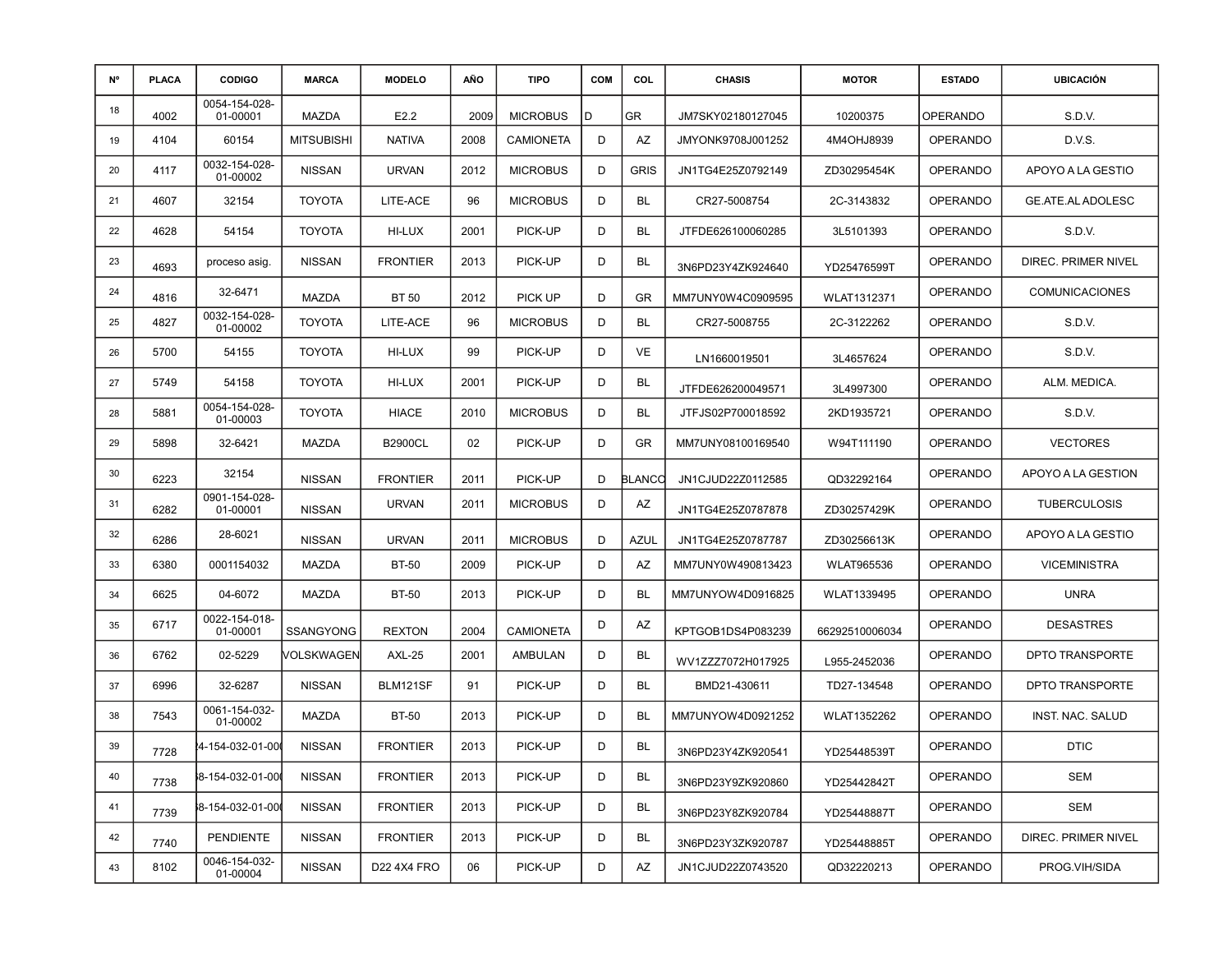| N° | <b>PLACA</b> | <b>CODIGO</b>             | <b>MARCA</b>      | <b>MODELO</b>    | AÑO  | <b>TIPO</b>      | <b>COM</b> | COL           | <b>CHASIS</b>     | <b>MOTOR</b>       | <b>ESTADO</b>   | <b>UBICACIÓN</b>      |
|----|--------------|---------------------------|-------------------|------------------|------|------------------|------------|---------------|-------------------|--------------------|-----------------|-----------------------|
| 18 | 4002         | 0054-154-028-<br>01-00001 | <b>MAZDA</b>      | E <sub>2.2</sub> | 2009 | <b>MICROBUS</b>  | D          | GR            | JM7SKY02180127045 | 10200375           | <b>OPERANDO</b> | S.D.V.                |
| 19 | 4104         | 60154                     | <b>MITSUBISHI</b> | <b>NATIVA</b>    | 2008 | <b>CAMIONETA</b> | D          | AZ            | JMYONK9708J001252 | 4M4OHJ8939         | <b>OPERANDO</b> | D.V.S.                |
| 20 | 4117         | 0032-154-028-<br>01-00002 | <b>NISSAN</b>     | <b>URVAN</b>     | 2012 | <b>MICROBUS</b>  | D          | <b>GRIS</b>   | JN1TG4E25Z0792149 | ZD30295454K        | <b>OPERANDO</b> | APOYO A LA GESTIO     |
| 21 | 4607         | 32154                     | <b>TOYOTA</b>     | LITE-ACE         | 96   | <b>MICROBUS</b>  | D          | BL            | CR27-5008754      | 2C-3143832         | <b>OPERANDO</b> | GE.ATE.AL ADOLESC     |
| 22 | 4628         | 54154                     | <b>TOYOTA</b>     | HI-LUX           | 2001 | PICK-UP          | D          | BL            | JTFDE626100060285 | 3L5101393          | <b>OPERANDO</b> | S.D.V.                |
| 23 | 4693         | proceso asig.             | <b>NISSAN</b>     | <b>FRONTIER</b>  | 2013 | PICK-UP          | D          | BL            | 3N6PD23Y4ZK924640 | YD25476599T        | <b>OPERANDO</b> | DIREC. PRIMER NIVEL   |
| 24 | 4816         | 32-6471                   | <b>MAZDA</b>      | <b>BT 50</b>     | 2012 | PICK UP          | D          | <b>GR</b>     | MM7UNY0W4C0909595 | <b>WLAT1312371</b> | <b>OPERANDO</b> | <b>COMUNICACIONES</b> |
| 25 | 4827         | 0032-154-028-<br>01-00002 | <b>TOYOTA</b>     | LITE-ACE         | 96   | <b>MICROBUS</b>  | D          | BL            | CR27-5008755      | 2C-3122262         | <b>OPERANDO</b> | S.D.V.                |
| 26 | 5700         | 54155                     | <b>TOYOTA</b>     | HI-LUX           | 99   | PICK-UP          | D          | VE            | LN1660019501      | 3L4657624          | <b>OPERANDO</b> | S.D.V.                |
| 27 | 5749         | 54158                     | <b>TOYOTA</b>     | HI-LUX           | 2001 | PICK-UP          | D          | BL            | JTFDE626200049571 | 3L4997300          | <b>OPERANDO</b> | ALM. MEDICA.          |
| 28 | 5881         | 0054-154-028-<br>01-00003 | <b>TOYOTA</b>     | <b>HIACE</b>     | 2010 | <b>MICROBUS</b>  | D          | <b>BL</b>     | JTFJS02P700018592 | 2KD1935721         | <b>OPERANDO</b> | S.D.V.                |
| 29 | 5898         | 32-6421                   | MAZDA             | <b>B2900CL</b>   | 02   | PICK-UP          | D          | GR            | MM7UNY08100169540 | W94T111190         | <b>OPERANDO</b> | <b>VECTORES</b>       |
| 30 | 6223         | 32154                     | <b>NISSAN</b>     | <b>FRONTIER</b>  | 2011 | PICK-UP          | D          | <b>BLANCC</b> | JN1CJUD22Z0112585 | QD32292164         | <b>OPERANDO</b> | APOYO A LA GESTION    |
| 31 | 6282         | 0901-154-028-<br>01-00001 | <b>NISSAN</b>     | <b>URVAN</b>     | 2011 | <b>MICROBUS</b>  | D          | AZ            | JN1TG4E25Z0787878 | ZD30257429K        | <b>OPERANDO</b> | <b>TUBERCULOSIS</b>   |
| 32 | 6286         | 28-6021                   | <b>NISSAN</b>     | <b>URVAN</b>     | 2011 | <b>MICROBUS</b>  | D          | <b>AZUL</b>   | JN1TG4E25Z0787787 | ZD30256613K        | <b>OPERANDO</b> | APOYO A LA GESTIO     |
| 33 | 6380         | 0001154032                | <b>MAZDA</b>      | <b>BT-50</b>     | 2009 | PICK-UP          | D          | AZ            | MM7UNY0W490813423 | <b>WLAT965536</b>  | <b>OPERANDO</b> | <b>VICEMINISTRA</b>   |
| 34 | 6625         | 04-6072                   | MAZDA             | <b>BT-50</b>     | 2013 | PICK-UP          | D          | <b>BL</b>     | MM7UNYOW4D0916825 | WLAT1339495        | <b>OPERANDO</b> | <b>UNRA</b>           |
| 35 | 6717         | 0022-154-018-<br>01-00001 | <b>SSANGYONG</b>  | <b>REXTON</b>    | 2004 | <b>CAMIONETA</b> | D          | AZ            | KPTGOB1DS4P083239 | 66292510006034     | <b>OPERANDO</b> | <b>DESASTRES</b>      |
| 36 | 6762         | 02-5229                   | VOLSKWAGEN        | AXL-25           | 2001 | AMBULAN          | D          | BL            | WV1ZZZ7072H017925 | L955-2452036       | <b>OPERANDO</b> | DPTO TRANSPORTE       |
| 37 | 6996         | 32-6287                   | <b>NISSAN</b>     | BLM121SF         | 91   | PICK-UP          | D          | BL            | BMD21-430611      | TD27-134548        | <b>OPERANDO</b> | DPTO TRANSPORTE       |
| 38 | 7543         | 0061-154-032-<br>01-00002 | MAZDA             | <b>BT-50</b>     | 2013 | PICK-UP          | D          | BL            | MM7UNYOW4D0921252 | WLAT1352262        | <b>OPERANDO</b> | INST. NAC. SALUD      |
| 39 | 7728         | 4-154-032-01-00           | <b>NISSAN</b>     | <b>FRONTIER</b>  | 2013 | PICK-UP          | D          | <b>BL</b>     | 3N6PD23Y4ZK920541 | YD25448539T        | <b>OPERANDO</b> | <b>DTIC</b>           |
| 40 | 7738         | 8-154-032-01-00           | <b>NISSAN</b>     | <b>FRONTIER</b>  | 2013 | PICK-UP          | D          | BL            | 3N6PD23Y9ZK920860 | YD25442842T        | OPERANDO        | <b>SEM</b>            |
| 41 | 7739         | 8-154-032-01-00           | <b>NISSAN</b>     | <b>FRONTIER</b>  | 2013 | PICK-UP          | D          | <b>BL</b>     | 3N6PD23Y8ZK920784 | YD25448887T        | <b>OPERANDO</b> | <b>SEM</b>            |
| 42 | 7740         | PENDIENTE                 | <b>NISSAN</b>     | <b>FRONTIER</b>  | 2013 | PICK-UP          | D          | BL            | 3N6PD23Y3ZK920787 | YD25448885T        | <b>OPERANDO</b> | DIREC. PRIMER NIVEL   |
| 43 | 8102         | 0046-154-032-<br>01-00004 | <b>NISSAN</b>     | D22 4X4 FRO      | 06   | PICK-UP          | D          | AZ            | JN1CJUD22Z0743520 | QD32220213         | OPERANDO        | PROG.VIH/SIDA         |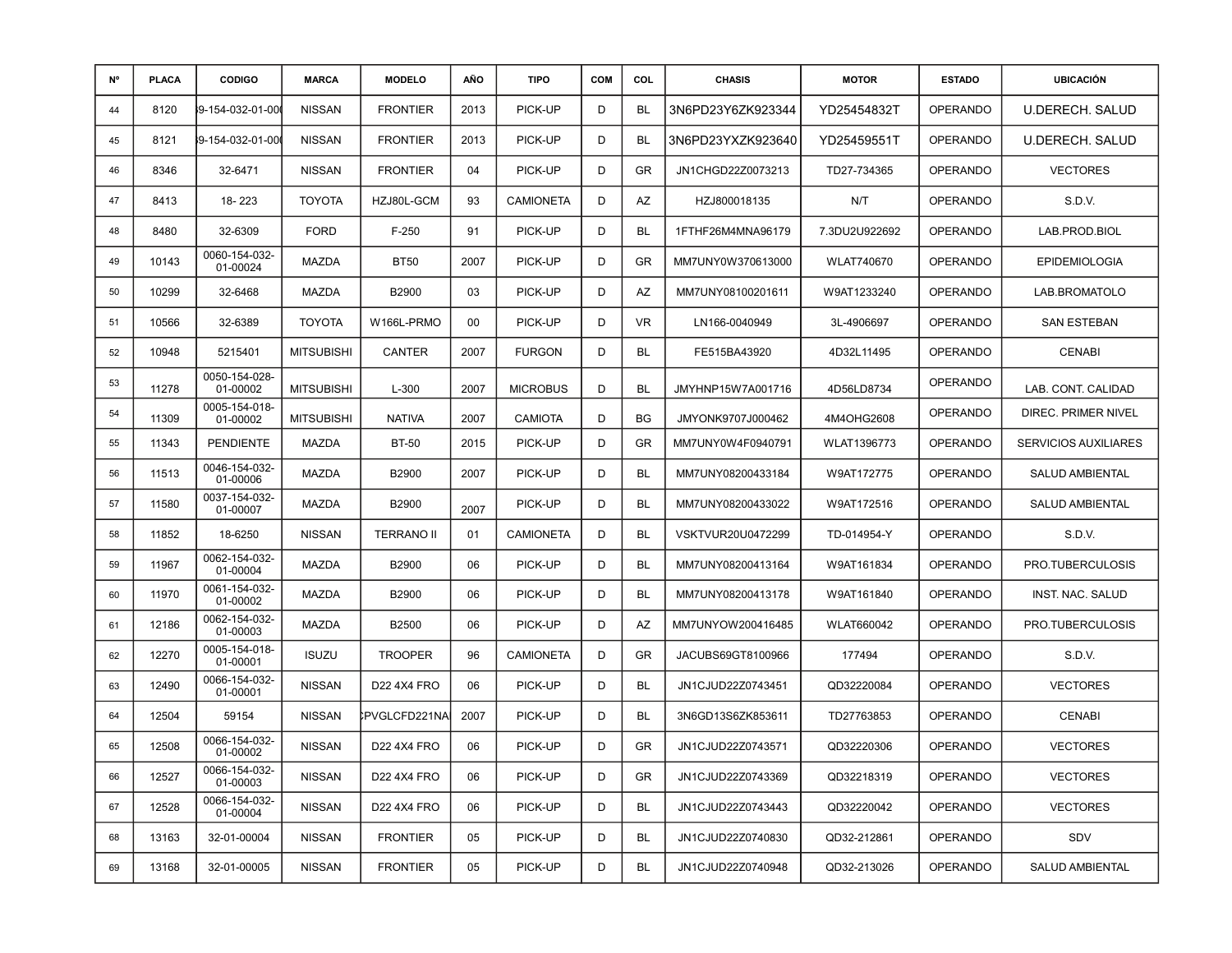| N° | <b>PLACA</b> | <b>CODIGO</b>             | <b>MARCA</b>      | <b>MODELO</b>     | AÑO  | <b>TIPO</b>      | <b>COM</b> | COL       | <b>CHASIS</b>     | <b>MOTOR</b>      | <b>ESTADO</b>   | <b>UBICACIÓN</b>            |
|----|--------------|---------------------------|-------------------|-------------------|------|------------------|------------|-----------|-------------------|-------------------|-----------------|-----------------------------|
| 44 | 8120         | 9-154-032-01-00(          | <b>NISSAN</b>     | <b>FRONTIER</b>   | 2013 | PICK-UP          | D          | BL        | 3N6PD23Y6ZK923344 | YD25454832T       | <b>OPERANDO</b> | <b>U.DERECH. SALUD</b>      |
| 45 | 8121         | 9-154-032-01-00           | <b>NISSAN</b>     | <b>FRONTIER</b>   | 2013 | PICK-UP          | D          | BL        | 3N6PD23YXZK923640 | YD25459551T       | <b>OPERANDO</b> | <b>U.DERECH. SALUD</b>      |
| 46 | 8346         | 32-6471                   | <b>NISSAN</b>     | <b>FRONTIER</b>   | 04   | PICK-UP          | D          | GR        | JN1CHGD22Z0073213 | TD27-734365       | <b>OPERANDO</b> | <b>VECTORES</b>             |
| 47 | 8413         | 18-223                    | <b>TOYOTA</b>     | HZJ80L-GCM        | 93   | <b>CAMIONETA</b> | D          | AZ        | HZJ800018135      | N/T               | <b>OPERANDO</b> | S.D.V.                      |
| 48 | 8480         | 32-6309                   | <b>FORD</b>       | $F-250$           | 91   | PICK-UP          | D          | BL        | 1FTHF26M4MNA96179 | 7.3DU2U922692     | <b>OPERANDO</b> | LAB.PROD.BIOL               |
| 49 | 10143        | 0060-154-032-<br>01-00024 | MAZDA             | <b>BT50</b>       | 2007 | PICK-UP          | D          | GR        | MM7UNY0W370613000 | <b>WLAT740670</b> | <b>OPERANDO</b> | <b>EPIDEMIOLOGIA</b>        |
| 50 | 10299        | 32-6468                   | MAZDA             | B2900             | 03   | PICK-UP          | D          | AZ        | MM7UNY08100201611 | W9AT1233240       | <b>OPERANDO</b> | LAB.BROMATOLO               |
| 51 | 10566        | 32-6389                   | <b>TOYOTA</b>     | W166L-PRMO        | 00   | PICK-UP          | D          | <b>VR</b> | LN166-0040949     | 3L-4906697        | <b>OPERANDO</b> | <b>SAN ESTEBAN</b>          |
| 52 | 10948        | 5215401                   | <b>MITSUBISHI</b> | CANTER            | 2007 | <b>FURGON</b>    | D          | BL        | FE515BA43920      | 4D32L11495        | <b>OPERANDO</b> | <b>CENABI</b>               |
| 53 | 11278        | 0050-154-028-<br>01-00002 | <b>MITSUBISHI</b> | $L-300$           | 2007 | <b>MICROBUS</b>  | D          | <b>BL</b> | JMYHNP15W7A001716 | 4D56LD8734        | <b>OPERANDO</b> | LAB. CONT. CALIDAD          |
| 54 | 11309        | 0005-154-018-<br>01-00002 | <b>MITSUBISHI</b> | <b>NATIVA</b>     | 2007 | <b>CAMIOTA</b>   | D          | <b>BG</b> | JMYONK9707J000462 | 4M4OHG2608        | <b>OPERANDO</b> | DIREC. PRIMER NIVEL         |
| 55 | 11343        | <b>PENDIENTE</b>          | MAZDA             | <b>BT-50</b>      | 2015 | PICK-UP          | D          | GR        | MM7UNY0W4F0940791 | WLAT1396773       | <b>OPERANDO</b> | <b>SERVICIOS AUXILIARES</b> |
| 56 | 11513        | 0046-154-032-<br>01-00006 | <b>MAZDA</b>      | <b>B2900</b>      | 2007 | PICK-UP          | D          | BL        | MM7UNY08200433184 | W9AT172775        | <b>OPERANDO</b> | SALUD AMBIENTAL             |
| 57 | 11580        | 0037-154-032-<br>01-00007 | MAZDA             | B2900             | 2007 | PICK-UP          | D          | BL        | MM7UNY08200433022 | W9AT172516        | <b>OPERANDO</b> | <b>SALUD AMBIENTAL</b>      |
| 58 | 11852        | 18-6250                   | <b>NISSAN</b>     | <b>TERRANO II</b> | 01   | <b>CAMIONETA</b> | D          | BL        | VSKTVUR20U0472299 | TD-014954-Y       | <b>OPERANDO</b> | S.D.V.                      |
| 59 | 11967        | 0062-154-032-<br>01-00004 | MAZDA             | B2900             | 06   | PICK-UP          | D          | BL        | MM7UNY08200413164 | W9AT161834        | <b>OPERANDO</b> | PRO.TUBERCULOSIS            |
| 60 | 11970        | 0061-154-032-<br>01-00002 | <b>MAZDA</b>      | <b>B2900</b>      | 06   | PICK-UP          | D          | BL        | MM7UNY08200413178 | W9AT161840        | <b>OPERANDO</b> | INST. NAC. SALUD            |
| 61 | 12186        | 0062-154-032-<br>01-00003 | MAZDA             | B2500             | 06   | PICK-UP          | D          | AZ        | MM7UNYOW200416485 | <b>WLAT660042</b> | <b>OPERANDO</b> | PRO.TUBERCULOSIS            |
| 62 | 12270        | 0005-154-018-<br>01-00001 | <b>ISUZU</b>      | <b>TROOPER</b>    | 96   | <b>CAMIONETA</b> | D          | GR        | JACUBS69GT8100966 | 177494            | <b>OPERANDO</b> | S.D.V.                      |
| 63 | 12490        | 0066-154-032-<br>01-00001 | <b>NISSAN</b>     | D22 4X4 FRO       | 06   | PICK-UP          | D          | BL        | JN1CJUD22Z0743451 | QD32220084        | <b>OPERANDO</b> | <b>VECTORES</b>             |
| 64 | 12504        | 59154                     | <b>NISSAN</b>     | IPVGLCFD221NA     | 2007 | PICK-UP          | D          | BL        | 3N6GD13S6ZK853611 | TD27763853        | <b>OPERANDO</b> | <b>CENABI</b>               |
| 65 | 12508        | 0066-154-032-<br>01-00002 | <b>NISSAN</b>     | D22 4X4 FRO       | 06   | PICK-UP          | D          | GR        | JN1CJUD22Z0743571 | QD32220306        | <b>OPERANDO</b> | <b>VECTORES</b>             |
| 66 | 12527        | 0066-154-032-<br>01-00003 | <b>NISSAN</b>     | D22 4X4 FRO       | 06   | PICK-UP          | D          | GR        | JN1CJUD22Z0743369 | QD32218319        | OPERANDO        | <b>VECTORES</b>             |
| 67 | 12528        | 0066-154-032-<br>01-00004 | <b>NISSAN</b>     | D22 4X4 FRO       | 06   | PICK-UP          | D          | BL        | JN1CJUD22Z0743443 | QD32220042        | <b>OPERANDO</b> | <b>VECTORES</b>             |
| 68 | 13163        | 32-01-00004               | <b>NISSAN</b>     | <b>FRONTIER</b>   | 05   | PICK-UP          | D          | BL        | JN1CJUD22Z0740830 | QD32-212861       | OPERANDO        | SDV                         |
| 69 | 13168        | 32-01-00005               | <b>NISSAN</b>     | <b>FRONTIER</b>   | 05   | PICK-UP          | D          | BL        | JN1CJUD22Z0740948 | QD32-213026       | OPERANDO        | SALUD AMBIENTAL             |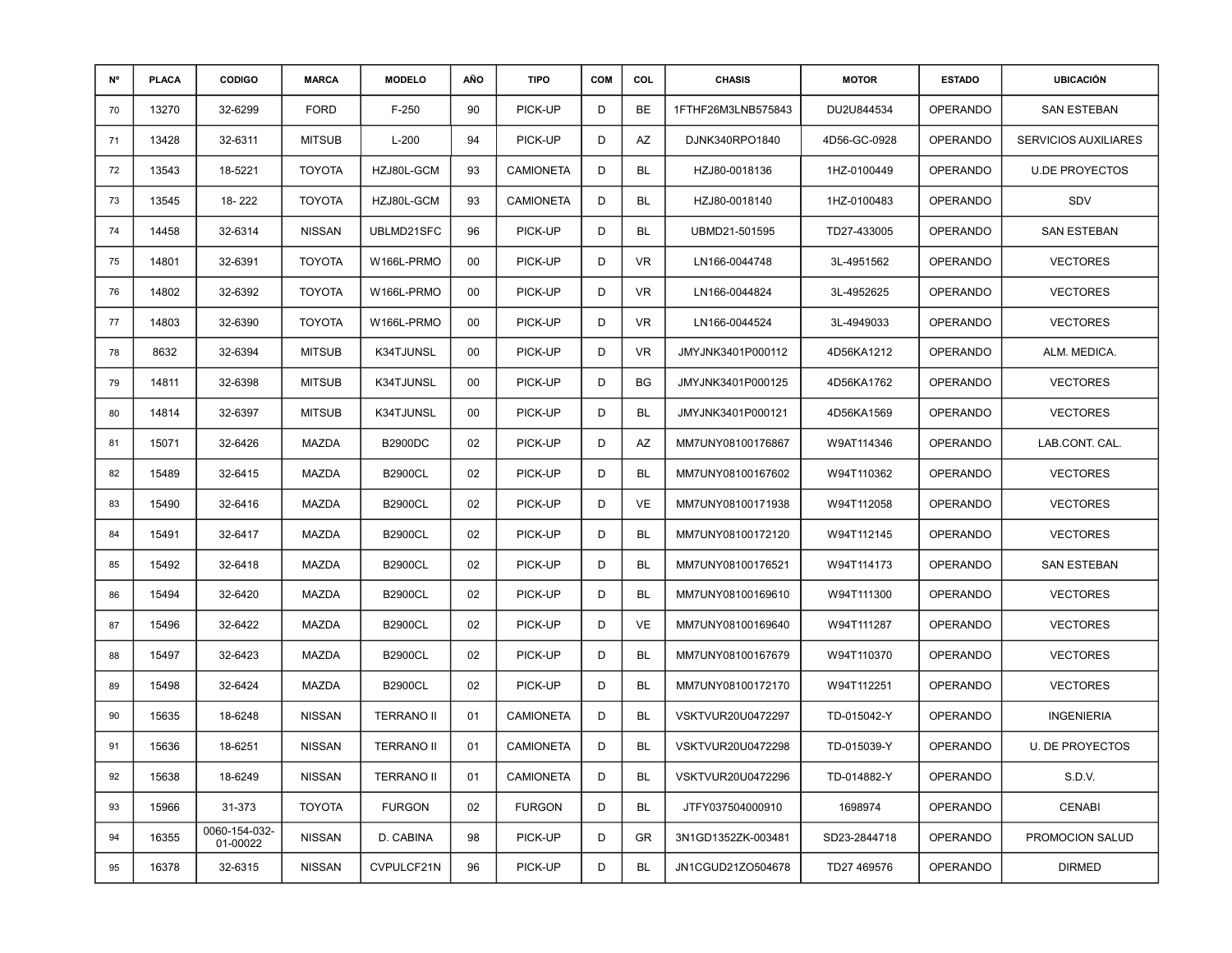| N° | <b>PLACA</b> | <b>CODIGO</b>             | <b>MARCA</b>  | <b>MODELO</b>     | AÑO | <b>TIPO</b>      | <b>COM</b> | COL       | <b>CHASIS</b>      | <b>MOTOR</b> | <b>ESTADO</b>   | <b>UBICACIÓN</b>            |
|----|--------------|---------------------------|---------------|-------------------|-----|------------------|------------|-----------|--------------------|--------------|-----------------|-----------------------------|
| 70 | 13270        | 32-6299                   | <b>FORD</b>   | $F-250$           | 90  | PICK-UP          | D          | BE        | 1FTHF26M3LNB575843 | DU2U844534   | <b>OPERANDO</b> | <b>SAN ESTEBAN</b>          |
| 71 | 13428        | 32-6311                   | <b>MITSUB</b> | $L-200$           | 94  | PICK-UP          | D          | AZ        | DJNK340RPO1840     | 4D56-GC-0928 | <b>OPERANDO</b> | <b>SERVICIOS AUXILIARES</b> |
| 72 | 13543        | 18-5221                   | <b>TOYOTA</b> | HZJ80L-GCM        | 93  | <b>CAMIONETA</b> | D          | BL        | HZJ80-0018136      | 1HZ-0100449  | <b>OPERANDO</b> | <b>U.DE PROYECTOS</b>       |
| 73 | 13545        | 18-222                    | <b>TOYOTA</b> | HZJ80L-GCM        | 93  | <b>CAMIONETA</b> | D          | BL        | HZJ80-0018140      | 1HZ-0100483  | <b>OPERANDO</b> | SDV                         |
| 74 | 14458        | 32-6314                   | <b>NISSAN</b> | UBLMD21SFC        | 96  | PICK-UP          | D          | BL        | UBMD21-501595      | TD27-433005  | <b>OPERANDO</b> | <b>SAN ESTEBAN</b>          |
| 75 | 14801        | 32-6391                   | <b>TOYOTA</b> | W166L-PRMO        | 00  | PICK-UP          | D          | VR        | LN166-0044748      | 3L-4951562   | <b>OPERANDO</b> | <b>VECTORES</b>             |
| 76 | 14802        | 32-6392                   | <b>TOYOTA</b> | W166L-PRMO        | 00  | PICK-UP          | D          | VR        | LN166-0044824      | 3L-4952625   | OPERANDO        | <b>VECTORES</b>             |
| 77 | 14803        | 32-6390                   | <b>TOYOTA</b> | W166L-PRMO        | 00  | PICK-UP          | D          | VR        | LN166-0044524      | 3L-4949033   | <b>OPERANDO</b> | <b>VECTORES</b>             |
| 78 | 8632         | 32-6394                   | <b>MITSUB</b> | K34TJUNSL         | 00  | PICK-UP          | D          | VR.       | JMYJNK3401P000112  | 4D56KA1212   | <b>OPERANDO</b> | ALM. MEDICA.                |
| 79 | 14811        | 32-6398                   | <b>MITSUB</b> | K34TJUNSL         | 00  | PICK-UP          | D          | BG        | JMYJNK3401P000125  | 4D56KA1762   | <b>OPERANDO</b> | <b>VECTORES</b>             |
| 80 | 14814        | 32-6397                   | <b>MITSUB</b> | K34TJUNSL         | 00  | PICK-UP          | D          | BL        | JMYJNK3401P000121  | 4D56KA1569   | <b>OPERANDO</b> | <b>VECTORES</b>             |
| 81 | 15071        | 32-6426                   | MAZDA         | B2900DC           | 02  | PICK-UP          | D          | AZ        | MM7UNY08100176867  | W9AT114346   | <b>OPERANDO</b> | LAB.CONT. CAL.              |
| 82 | 15489        | 32-6415                   | MAZDA         | <b>B2900CL</b>    | 02  | PICK-UP          | D          | BL        | MM7UNY08100167602  | W94T110362   | <b>OPERANDO</b> | <b>VECTORES</b>             |
| 83 | 15490        | 32-6416                   | MAZDA         | <b>B2900CL</b>    | 02  | PICK-UP          | D          | VE        | MM7UNY08100171938  | W94T112058   | <b>OPERANDO</b> | <b>VECTORES</b>             |
| 84 | 15491        | 32-6417                   | MAZDA         | <b>B2900CL</b>    | 02  | PICK-UP          | D          | BL        | MM7UNY08100172120  | W94T112145   | OPERANDO        | <b>VECTORES</b>             |
| 85 | 15492        | 32-6418                   | MAZDA         | <b>B2900CL</b>    | 02  | PICK-UP          | D          | <b>BL</b> | MM7UNY08100176521  | W94T114173   | <b>OPERANDO</b> | <b>SAN ESTEBAN</b>          |
| 86 | 15494        | 32-6420                   | MAZDA         | <b>B2900CL</b>    | 02  | PICK-UP          | D          | BL        | MM7UNY08100169610  | W94T111300   | <b>OPERANDO</b> | <b>VECTORES</b>             |
| 87 | 15496        | 32-6422                   | MAZDA         | <b>B2900CL</b>    | 02  | PICK-UP          | D          | VE        | MM7UNY08100169640  | W94T111287   | <b>OPERANDO</b> | <b>VECTORES</b>             |
| 88 | 15497        | 32-6423                   | MAZDA         | <b>B2900CL</b>    | 02  | PICK-UP          | D          | BL        | MM7UNY08100167679  | W94T110370   | OPERANDO        | <b>VECTORES</b>             |
| 89 | 15498        | 32-6424                   | MAZDA         | <b>B2900CL</b>    | 02  | PICK-UP          | D          | BL        | MM7UNY08100172170  | W94T112251   | <b>OPERANDO</b> | <b>VECTORES</b>             |
| 90 | 15635        | 18-6248                   | <b>NISSAN</b> | <b>TERRANO II</b> | 01  | <b>CAMIONETA</b> | D          | <b>BL</b> | VSKTVUR20U0472297  | TD-015042-Y  | <b>OPERANDO</b> | <b>INGENIERIA</b>           |
| 91 | 15636        | 18-6251                   | <b>NISSAN</b> | <b>TERRANO II</b> | 01  | <b>CAMIONETA</b> | D          | BL        | VSKTVUR20U0472298  | TD-015039-Y  | <b>OPERANDO</b> | <b>U. DE PROYECTOS</b>      |
| 92 | 15638        | 18-6249                   | <b>NISSAN</b> | <b>TERRANO II</b> | 01  | <b>CAMIONETA</b> | D          | <b>BL</b> | VSKTVUR20U0472296  | TD-014882-Y  | OPERANDO        | S.D.V.                      |
| 93 | 15966        | 31-373                    | <b>TOYOTA</b> | <b>FURGON</b>     | 02  | <b>FURGON</b>    | D          | BL        | JTFY037504000910   | 1698974      | OPERANDO        | <b>CENABI</b>               |
| 94 | 16355        | 0060-154-032-<br>01-00022 | <b>NISSAN</b> | D. CABINA         | 98  | PICK-UP          | D          | GR        | 3N1GD1352ZK-003481 | SD23-2844718 | OPERANDO        | PROMOCION SALUD             |
| 95 | 16378        | 32-6315                   | <b>NISSAN</b> | CVPULCF21N        | 96  | PICK-UP          | D          | <b>BL</b> | JN1CGUD21ZO504678  | TD27 469576  | <b>OPERANDO</b> | <b>DIRMED</b>               |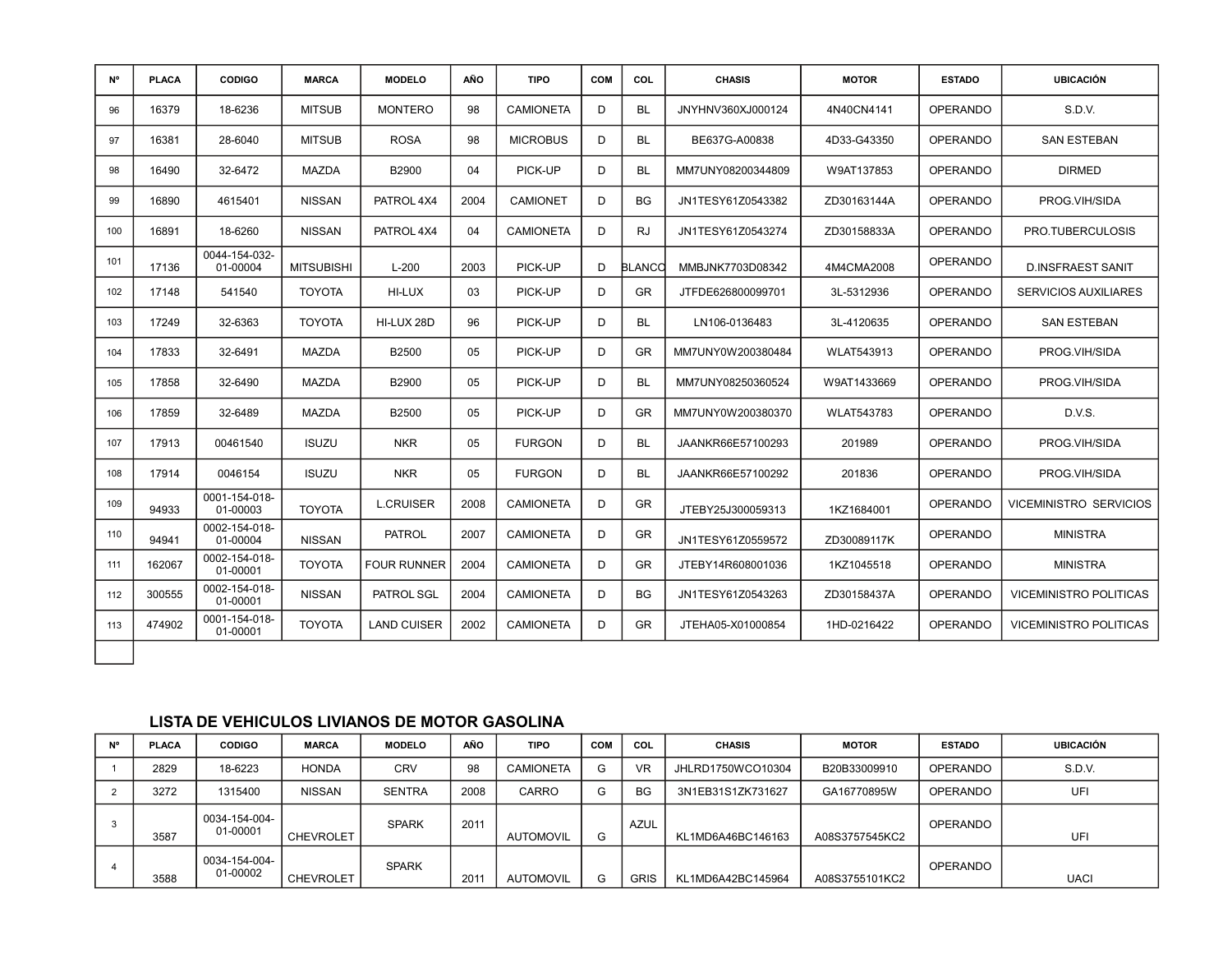| <b>N°</b> | <b>PLACA</b> | <b>CODIGO</b>             | <b>MARCA</b>      | <b>MODELO</b>      | AÑO  | <b>TIPO</b>      | <b>COM</b> | COL       | <b>CHASIS</b>     | <b>MOTOR</b>      | <b>ESTADO</b>   | <b>UBICACIÓN</b>              |
|-----------|--------------|---------------------------|-------------------|--------------------|------|------------------|------------|-----------|-------------------|-------------------|-----------------|-------------------------------|
| 96        | 16379        | 18-6236                   | <b>MITSUB</b>     | <b>MONTERO</b>     | 98   | <b>CAMIONETA</b> | D.         | <b>BL</b> | JNYHNV360XJ000124 | 4N40CN4141        | <b>OPERANDO</b> | S.D.V.                        |
| 97        | 16381        | 28-6040                   | <b>MITSUB</b>     | <b>ROSA</b>        | 98   | <b>MICROBUS</b>  | D          | <b>BL</b> | BE637G-A00838     | 4D33-G43350       | <b>OPERANDO</b> | <b>SAN ESTEBAN</b>            |
| 98        | 16490        | 32-6472                   | MAZDA             | B2900              | 04   | PICK-UP          | D          | <b>BL</b> | MM7UNY08200344809 | W9AT137853        | <b>OPERANDO</b> | <b>DIRMED</b>                 |
| 99        | 16890        | 4615401                   | <b>NISSAN</b>     | PATROL 4X4         | 2004 | <b>CAMIONET</b>  | D          | <b>BG</b> | JN1TESY61Z0543382 | ZD30163144A       | <b>OPERANDO</b> | PROG.VIH/SIDA                 |
| 100       | 16891        | 18-6260                   | <b>NISSAN</b>     | PATROL 4X4         | 04   | <b>CAMIONETA</b> | D          | <b>RJ</b> | JN1TESY61Z0543274 | ZD30158833A       | <b>OPERANDO</b> | PRO.TUBERCULOSIS              |
| 101       | 17136        | 0044-154-032-<br>01-00004 | <b>MITSUBISHI</b> | $L-200$            | 2003 | PICK-UP          | D          | BLANCC    | MMBJNK7703D08342  | 4M4CMA2008        | <b>OPERANDO</b> | <b>D.INSFRAEST SANIT</b>      |
| 102       | 17148        | 541540                    | <b>TOYOTA</b>     | HI-LUX             | 03   | PICK-UP          | D          | <b>GR</b> | JTFDE626800099701 | 3L-5312936        | <b>OPERANDO</b> | <b>SERVICIOS AUXILIARES</b>   |
| 103       | 17249        | 32-6363                   | <b>TOYOTA</b>     | HI-LUX 28D         | 96   | PICK-UP          | D.         | <b>BL</b> | LN106-0136483     | 3L-4120635        | <b>OPERANDO</b> | <b>SAN ESTEBAN</b>            |
| 104       | 17833        | 32-6491                   | <b>MAZDA</b>      | B2500              | 05   | PICK-UP          | D.         | <b>GR</b> | MM7UNY0W200380484 | <b>WLAT543913</b> | <b>OPERANDO</b> | PROG.VIH/SIDA                 |
| 105       | 17858        | 32-6490                   | <b>MAZDA</b>      | B2900              | 05   | PICK-UP          | D.         | <b>BL</b> | MM7UNY08250360524 | W9AT1433669       | <b>OPERANDO</b> | PROG.VIH/SIDA                 |
| 106       | 17859        | 32-6489                   | <b>MAZDA</b>      | B2500              | 05   | PICK-UP          | D.         | <b>GR</b> | MM7UNY0W200380370 | <b>WLAT543783</b> | <b>OPERANDO</b> | D.V.S.                        |
| 107       | 17913        | 00461540                  | <b>ISUZU</b>      | <b>NKR</b>         | 05   | <b>FURGON</b>    | D          | <b>BL</b> | JAANKR66E57100293 | 201989            | <b>OPERANDO</b> | PROG.VIH/SIDA                 |
| 108       | 17914        | 0046154                   | <b>ISUZU</b>      | <b>NKR</b>         | 05   | <b>FURGON</b>    | D          | <b>BL</b> | JAANKR66E57100292 | 201836            | <b>OPERANDO</b> | PROG.VIH/SIDA                 |
| 109       | 94933        | 0001-154-018-<br>01-00003 | <b>TOYOTA</b>     | <b>L.CRUISER</b>   | 2008 | <b>CAMIONETA</b> | D          | <b>GR</b> | JTEBY25J300059313 | 1KZ1684001        | <b>OPERANDO</b> | <b>VICEMINISTRO SERVICIOS</b> |
| 110       | 94941        | 0002-154-018-<br>01-00004 | <b>NISSAN</b>     | <b>PATROL</b>      | 2007 | <b>CAMIONETA</b> | D          | <b>GR</b> | JN1TESY61Z0559572 | ZD30089117K       | <b>OPERANDO</b> | <b>MINISTRA</b>               |
| 111       | 162067       | 0002-154-018-<br>01-00001 | <b>TOYOTA</b>     | <b>FOUR RUNNER</b> | 2004 | CAMIONETA        | D.         | <b>GR</b> | JTEBY14R608001036 | 1KZ1045518        | <b>OPERANDO</b> | <b>MINISTRA</b>               |
| 112       | 300555       | 0002-154-018-<br>01-00001 | <b>NISSAN</b>     | PATROL SGL         | 2004 | <b>CAMIONETA</b> | D.         | <b>BG</b> | JN1TESY61Z0543263 | ZD30158437A       | <b>OPERANDO</b> | VICEMINISTRO POLITICAS        |
| 113       | 474902       | 0001-154-018-<br>01-00001 | <b>TOYOTA</b>     | <b>LAND CUISER</b> | 2002 | <b>CAMIONETA</b> | D          | <b>GR</b> | JTEHA05-X01000854 | 1HD-0216422       | <b>OPERANDO</b> | <b>VICEMINISTRO POLITICAS</b> |
|           |              |                           |                   |                    |      |                  |            |           |                   |                   |                 |                               |

| N° | <b>PLACA</b> | <b>CODIGO</b>             | <b>MARCA</b>     | <b>MODELO</b> | AÑO  | <b>TIPO</b>      | <b>COM</b> | COL         | <b>CHASIS</b>     | <b>MOTOR</b>   | <b>ESTADO</b> | <b>UBICACIÓN</b> |
|----|--------------|---------------------------|------------------|---------------|------|------------------|------------|-------------|-------------------|----------------|---------------|------------------|
|    | 2829         | 18-6223                   | <b>HONDA</b>     | <b>CRV</b>    | 98   | <b>CAMIONETA</b> | G          | <b>VR</b>   | JHLRD1750WCO10304 | B20B33009910   | OPERANDO      | S.D.V.           |
|    | 3272         | 1315400                   | <b>NISSAN</b>    | <b>SENTRA</b> | 2008 | CARRO            | G          | <b>BG</b>   | 3N1EB31S1ZK731627 | GA16770895W    | OPERANDO      | UFI              |
|    | 3587         | 0034-154-004-<br>01-00001 | <b>CHEVROLET</b> | <b>SPARK</b>  | 2011 | <b>AUTOMOVIL</b> | G          | <b>AZUL</b> | KL1MD6A46BC146163 | A08S3757545KC2 | OPERANDO      | UFI              |
|    | 3588         | 0034-154-004-<br>01-00002 | <b>CHEVROLET</b> | <b>SPARK</b>  | 201  | <b>AUTOMOVIL</b> | G          | <b>GRIS</b> | KL1MD6A42BC145964 | A08S3755101KC2 | OPERANDO      | <b>UACI</b>      |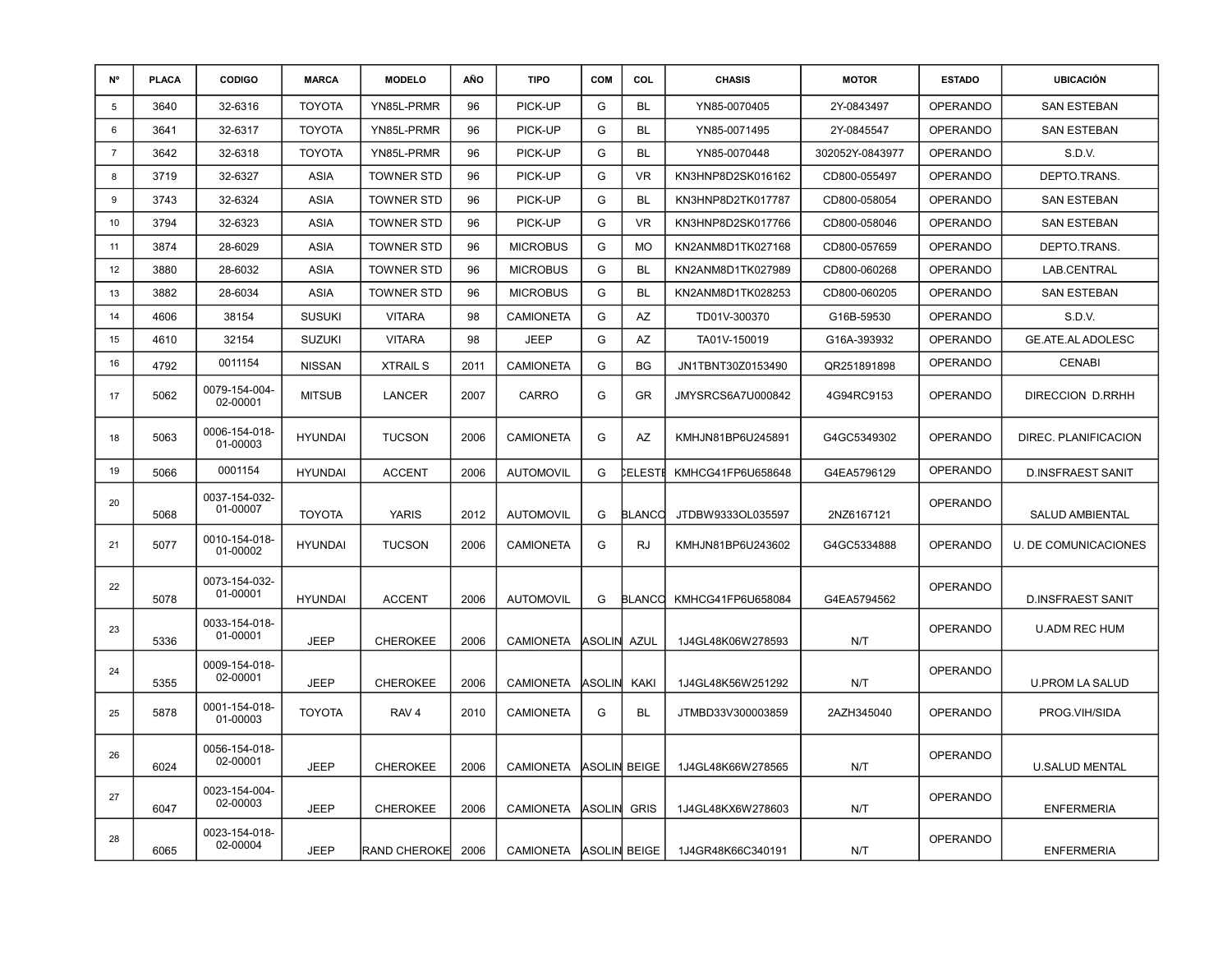| N°             | <b>PLACA</b> | <b>CODIGO</b>             | <b>MARCA</b>   | <b>MODELO</b>       | AÑO  | <b>TIPO</b>      | <b>COM</b>    | COL           | <b>CHASIS</b>     | <b>MOTOR</b>    | <b>ESTADO</b>   | <b>UBICACIÓN</b>            |
|----------------|--------------|---------------------------|----------------|---------------------|------|------------------|---------------|---------------|-------------------|-----------------|-----------------|-----------------------------|
| 5              | 3640         | 32-6316                   | <b>TOYOTA</b>  | YN85L-PRMR          | 96   | PICK-UP          | G             | <b>BL</b>     | YN85-0070405      | 2Y-0843497      | OPERANDO        | <b>SAN ESTEBAN</b>          |
| 6              | 3641         | 32-6317                   | <b>TOYOTA</b>  | YN85L-PRMR          | 96   | PICK-UP          | G             | <b>BL</b>     | YN85-0071495      | 2Y-0845547      | <b>OPERANDO</b> | <b>SAN ESTEBAN</b>          |
| $\overline{7}$ | 3642         | 32-6318                   | <b>TOYOTA</b>  | YN85L-PRMR          | 96   | PICK-UP          | G             | <b>BL</b>     | YN85-0070448      | 302052Y-0843977 | <b>OPERANDO</b> | S.D.V.                      |
| 8              | 3719         | 32-6327                   | ASIA           | <b>TOWNER STD</b>   | 96   | PICK-UP          | G             | <b>VR</b>     | KN3HNP8D2SK016162 | CD800-055497    | <b>OPERANDO</b> | DEPTO.TRANS.                |
| 9              | 3743         | 32-6324                   | ASIA           | <b>TOWNER STD</b>   | 96   | PICK-UP          | G             | <b>BL</b>     | KN3HNP8D2TK017787 | CD800-058054    | <b>OPERANDO</b> | <b>SAN ESTEBAN</b>          |
| 10             | 3794         | 32-6323                   | <b>ASIA</b>    | <b>TOWNER STD</b>   | 96   | PICK-UP          | G             | <b>VR</b>     | KN3HNP8D2SK017766 | CD800-058046    | <b>OPERANDO</b> | <b>SAN ESTEBAN</b>          |
| 11             | 3874         | 28-6029                   | <b>ASIA</b>    | <b>TOWNER STD</b>   | 96   | <b>MICROBUS</b>  | G             | <b>MO</b>     | KN2ANM8D1TK027168 | CD800-057659    | <b>OPERANDO</b> | DEPTO.TRANS.                |
| 12             | 3880         | 28-6032                   | <b>ASIA</b>    | <b>TOWNER STD</b>   | 96   | <b>MICROBUS</b>  | G             | <b>BL</b>     | KN2ANM8D1TK027989 | CD800-060268    | <b>OPERANDO</b> | LAB.CENTRAL                 |
| 13             | 3882         | 28-6034                   | <b>ASIA</b>    | <b>TOWNER STD</b>   | 96   | <b>MICROBUS</b>  | G             | <b>BL</b>     | KN2ANM8D1TK028253 | CD800-060205    | <b>OPERANDO</b> | <b>SAN ESTEBAN</b>          |
| 14             | 4606         | 38154                     | <b>SUSUKI</b>  | <b>VITARA</b>       | 98   | <b>CAMIONETA</b> | G             | AZ            | TD01V-300370      | G16B-59530      | <b>OPERANDO</b> | S.D.V.                      |
| 15             | 4610         | 32154                     | <b>SUZUKI</b>  | <b>VITARA</b>       | 98   | <b>JEEP</b>      | G             | AZ            | TA01V-150019      | G16A-393932     | <b>OPERANDO</b> | GE.ATE.AL ADOLESC           |
| 16             | 4792         | 0011154                   | <b>NISSAN</b>  | <b>XTRAIL S</b>     | 2011 | <b>CAMIONETA</b> | G             | <b>BG</b>     | JN1TBNT30Z0153490 | QR251891898     | <b>OPERANDO</b> | <b>CENABI</b>               |
| 17             | 5062         | 0079-154-004-<br>02-00001 | <b>MITSUB</b>  | LANCER              | 2007 | CARRO            | G             | GR            | JMYSRCS6A7U000842 | 4G94RC9153      | <b>OPERANDO</b> | DIRECCION D.RRHH            |
| 18             | 5063         | 0006-154-018-<br>01-00003 | <b>HYUNDAI</b> | <b>TUCSON</b>       | 2006 | <b>CAMIONETA</b> | G             | AZ            | KMHJN81BP6U245891 | G4GC5349302     | <b>OPERANDO</b> | DIREC. PLANIFICACION        |
| 19             | 5066         | 0001154                   | <b>HYUNDAI</b> | <b>ACCENT</b>       | 2006 | <b>AUTOMOVIL</b> | G             | <b>ELESTI</b> | KMHCG41FP6U658648 | G4EA5796129     | OPERANDO        | <b>D.INSFRAEST SANIT</b>    |
| 20             | 5068         | 0037-154-032-<br>01-00007 | <b>TOYOTA</b>  | <b>YARIS</b>        | 2012 | <b>AUTOMOVIL</b> | G             | <b>BLANCO</b> | JTDBW9333OL035597 | 2NZ6167121      | OPERANDO        | SALUD AMBIENTAL             |
| 21             | 5077         | 0010-154-018-<br>01-00002 | <b>HYUNDAI</b> | <b>TUCSON</b>       | 2006 | <b>CAMIONETA</b> | G             | <b>RJ</b>     | KMHJN81BP6U243602 | G4GC5334888     | <b>OPERANDO</b> | <b>U. DE COMUNICACIONES</b> |
| 22             | 5078         | 0073-154-032-<br>01-00001 | <b>HYUNDAI</b> | <b>ACCENT</b>       | 2006 | <b>AUTOMOVIL</b> | G             | BLANCO        | KMHCG41FP6U658084 | G4EA5794562     | <b>OPERANDO</b> | <b>D.INSFRAEST SANIT</b>    |
| 23             | 5336         | 0033-154-018-<br>01-00001 | <b>JEEP</b>    | <b>CHEROKEE</b>     | 2006 | <b>CAMIONETA</b> | <b>ASOLIN</b> | <b>AZUL</b>   | 1J4GL48K06W278593 | N/T             | <b>OPERANDO</b> | <b>U.ADM REC HUM</b>        |
| 24             | 5355         | 0009-154-018-<br>02-00001 | <b>JEEP</b>    | <b>CHEROKEE</b>     | 2006 | <b>CAMIONETA</b> | ASOLIN        | KAKI          | 1J4GL48K56W251292 | N/T             | OPERANDO        | <b>U.PROM LA SALUD</b>      |
| 25             | 5878         | 0001-154-018-<br>01-00003 | <b>TOYOTA</b>  | RAV <sub>4</sub>    | 2010 | <b>CAMIONETA</b> | G             | BL            | JTMBD33V300003859 | 2AZH345040      | <b>OPERANDO</b> | PROG.VIH/SIDA               |
| 26             | 6024         | 0056-154-018-<br>02-00001 | <b>JEEP</b>    | <b>CHEROKEE</b>     | 2006 | CAMIONETA        |               | ASOLIN BEIGE  | 1J4GL48K66W278565 | N/T             | <b>OPERANDO</b> | <b>U.SALUD MENTAL</b>       |
| 27             | 6047         | 0023-154-004-<br>02-00003 | <b>JEEP</b>    | <b>CHEROKEE</b>     | 2006 | <b>CAMIONETA</b> | ASOLIN        | <b>GRIS</b>   | 1J4GL48KX6W278603 | N/T             | <b>OPERANDO</b> | <b>ENFERMERIA</b>           |
| 28             | 6065         | 0023-154-018-<br>02-00004 | <b>JEEP</b>    | <b>RAND CHEROKE</b> | 2006 | CAMIONETA        | ASOLIN BEIGE  |               | 1J4GR48K66C340191 | N/T             | <b>OPERANDO</b> | <b>ENFERMERIA</b>           |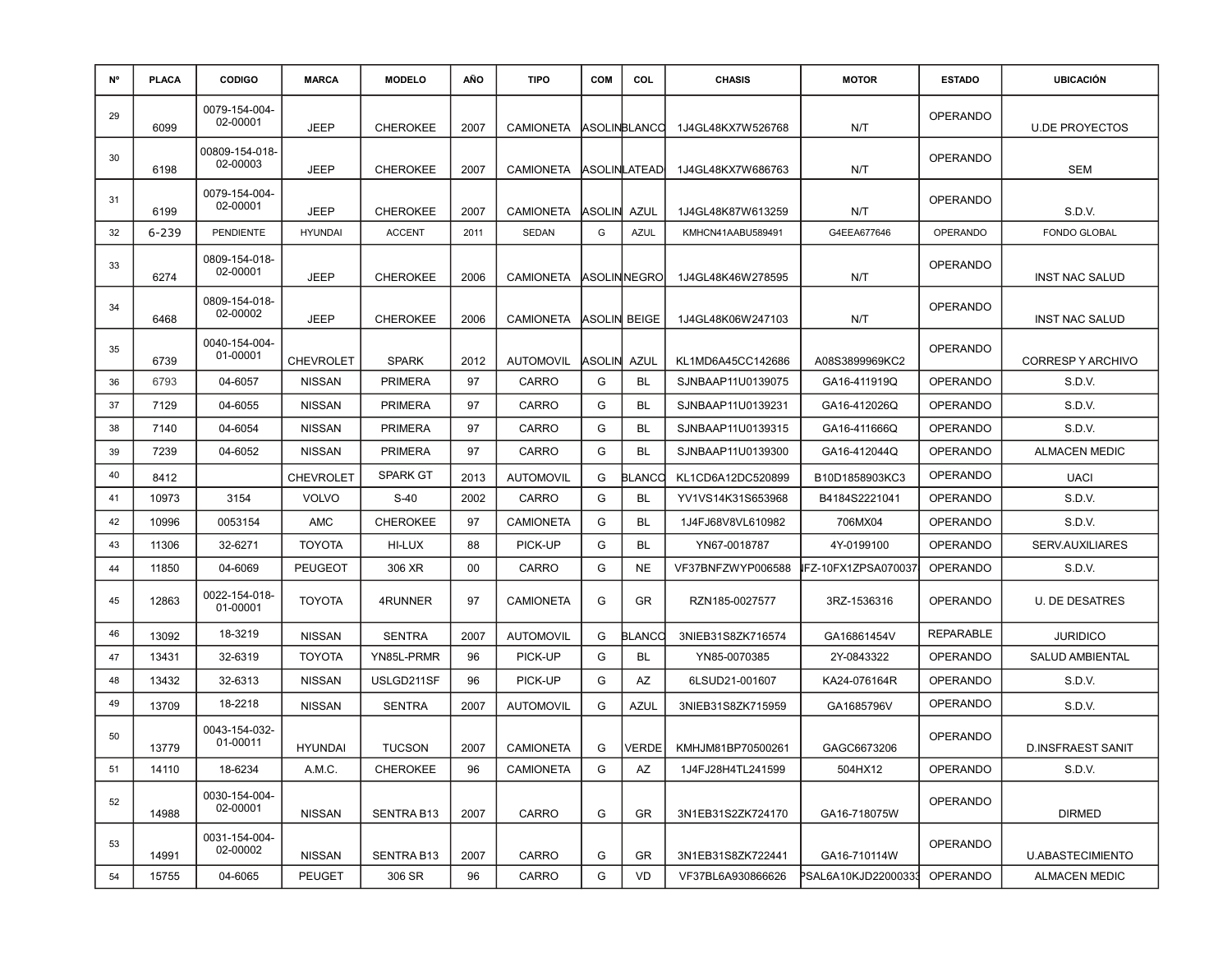| N° | <b>PLACA</b> | <b>CODIGO</b>              | <b>MARCA</b>     | <b>MODELO</b>   | AÑO  | <b>TIPO</b>      | <b>COM</b> | COL          | <b>CHASIS</b>     | <b>MOTOR</b>        | <b>ESTADO</b>    | <b>UBICACIÓN</b>         |
|----|--------------|----------------------------|------------------|-----------------|------|------------------|------------|--------------|-------------------|---------------------|------------------|--------------------------|
| 29 | 6099         | 0079-154-004-<br>02-00001  | <b>JEEP</b>      | <b>CHEROKEE</b> | 2007 | <b>CAMIONETA</b> |            | ASOLINBLANCO | 1J4GL48KX7W526768 | N/T                 | <b>OPERANDO</b>  | <b>U.DE PROYECTOS</b>    |
| 30 | 6198         | 00809-154-018-<br>02-00003 | <b>JEEP</b>      | <b>CHEROKEE</b> | 2007 | <b>CAMIONETA</b> |            | ASOLINLATEAD | 1J4GL48KX7W686763 | N/T                 | <b>OPERANDO</b>  | <b>SEM</b>               |
| 31 | 6199         | 0079-154-004-<br>02-00001  | <b>JEEP</b>      | <b>CHEROKEE</b> | 2007 | <b>CAMIONETA</b> | ASOLIN     | AZUL         | 1J4GL48K87W613259 | N/T                 | <b>OPERANDO</b>  | S.D.V.                   |
| 32 | 6-239        | <b>PENDIENTE</b>           | <b>HYUNDAI</b>   | <b>ACCENT</b>   | 2011 | <b>SEDAN</b>     | G          | <b>AZUL</b>  | KMHCN41AABU589491 | G4EEA677646         | <b>OPERANDO</b>  | <b>FONDO GLOBAL</b>      |
| 33 | 6274         | 0809-154-018-<br>02-00001  | <b>JEEP</b>      | <b>CHEROKEE</b> | 2006 | <b>CAMIONETA</b> |            | ASOLIN∣NEGRO | 1J4GL48K46W278595 | N/T                 | <b>OPERANDO</b>  | <b>INST NAC SALUD</b>    |
| 34 | 6468         | 0809-154-018-<br>02-00002  | <b>JEEP</b>      | <b>CHEROKEE</b> | 2006 | <b>CAMIONETA</b> | ASOLIN     | <b>BEIGE</b> | 1J4GL48K06W247103 | N/T                 | <b>OPERANDO</b>  | INST NAC SALUD           |
| 35 | 6739         | 0040-154-004-<br>01-00001  | <b>CHEVROLET</b> | <b>SPARK</b>    | 2012 | <b>AUTOMOVIL</b> | ASOLIN     | AZUL         | KL1MD6A45CC142686 | A08S3899969KC2      | <b>OPERANDO</b>  | <b>CORRESPY ARCHIVO</b>  |
| 36 | 6793         | 04-6057                    | <b>NISSAN</b>    | <b>PRIMERA</b>  | 97   | CARRO            | G          | <b>BL</b>    | SJNBAAP11U0139075 | GA16-411919Q        | <b>OPERANDO</b>  | S.D.V.                   |
| 37 | 7129         | 04-6055                    | <b>NISSAN</b>    | <b>PRIMERA</b>  | 97   | CARRO            | G          | <b>BL</b>    | SJNBAAP11U0139231 | GA16-412026Q        | <b>OPERANDO</b>  | S.D.V.                   |
| 38 | 7140         | 04-6054                    | <b>NISSAN</b>    | <b>PRIMERA</b>  | 97   | CARRO            | G          | <b>BL</b>    | SJNBAAP11U0139315 | GA16-411666Q        | <b>OPERANDO</b>  | S.D.V.                   |
| 39 | 7239         | 04-6052                    | <b>NISSAN</b>    | <b>PRIMERA</b>  | 97   | CARRO            | G          | <b>BL</b>    | SJNBAAP11U0139300 | GA16-412044Q        | <b>OPERANDO</b>  | <b>ALMACEN MEDIC</b>     |
| 40 | 8412         |                            | <b>CHEVROLET</b> | <b>SPARK GT</b> | 2013 | <b>AUTOMOVIL</b> | G          | BLANCO       | KL1CD6A12DC520899 | B10D1858903KC3      | <b>OPERANDO</b>  | <b>UACI</b>              |
| 41 | 10973        | 3154                       | <b>VOLVO</b>     | $S-40$          | 2002 | CARRO            | G          | <b>BL</b>    | YV1VS14K31S653968 | B4184S2221041       | <b>OPERANDO</b>  | S.D.V.                   |
| 42 | 10996        | 0053154                    | <b>AMC</b>       | <b>CHEROKEE</b> | 97   | <b>CAMIONETA</b> | G          | <b>BL</b>    | 1J4FJ68V8VL610982 | 706MX04             | <b>OPERANDO</b>  | S.D.V.                   |
| 43 | 11306        | 32-6271                    | <b>TOYOTA</b>    | HI-LUX          | 88   | PICK-UP          | G          | BL           | YN67-0018787      | 4Y-0199100          | <b>OPERANDO</b>  | SERV.AUXILIARES          |
| 44 | 11850        | 04-6069                    | <b>PEUGEOT</b>   | 306 XR          | 00   | CARRO            | G          | <b>NE</b>    | VF37BNFZWYP006588 | IFZ-10FX1ZPSA070037 | <b>OPERANDO</b>  | S.D.V.                   |
| 45 | 12863        | 0022-154-018-<br>01-00001  | <b>TOYOTA</b>    | 4RUNNER         | 97   | <b>CAMIONETA</b> | G          | GR           | RZN185-0027577    | 3RZ-1536316         | <b>OPERANDO</b>  | <b>U. DE DESATRES</b>    |
| 46 | 13092        | 18-3219                    | <b>NISSAN</b>    | <b>SENTRA</b>   | 2007 | <b>AUTOMOVIL</b> | G          | BLANCC       | 3NIEB31S8ZK716574 | GA16861454V         | <b>REPARABLE</b> | <b>JURIDICO</b>          |
| 47 | 13431        | 32-6319                    | <b>TOYOTA</b>    | YN85L-PRMR      | 96   | PICK-UP          | G          | BL           | YN85-0070385      | 2Y-0843322          | <b>OPERANDO</b>  | <b>SALUD AMBIENTAL</b>   |
| 48 | 13432        | 32-6313                    | <b>NISSAN</b>    | USLGD211SF      | 96   | PICK-UP          | G          | AZ           | 6LSUD21-001607    | KA24-076164R        | <b>OPERANDO</b>  | S.D.V.                   |
| 49 | 13709        | 18-2218                    | <b>NISSAN</b>    | <b>SENTRA</b>   | 2007 | <b>AUTOMOVIL</b> | G          | <b>AZUL</b>  | 3NIEB31S8ZK715959 | GA1685796V          | <b>OPERANDO</b>  | S.D.V.                   |
| 50 | 13779        | 0043-154-032-<br>01-00011  | <b>HYUNDAI</b>   | <b>TUCSON</b>   | 2007 | CAMIONETA        | G          | <b>VERDE</b> | KMHJM81BP70500261 | GAGC6673206         | <b>OPERANDO</b>  | <b>D.INSFRAEST SANIT</b> |
| 51 | 14110        | 18-6234                    | A.M.C.           | <b>CHEROKEE</b> | 96   | CAMIONETA        | G          | AZ           | 1J4FJ28H4TL241599 | 504HX12             | OPERANDO         | S.D.V.                   |
| 52 | 14988        | 0030-154-004-<br>02-00001  | <b>NISSAN</b>    | SENTRA B13      | 2007 | CARRO            | G          | GR           | 3N1EB31S2ZK724170 | GA16-718075W        | <b>OPERANDO</b>  | <b>DIRMED</b>            |
| 53 | 14991        | 0031-154-004-<br>02-00002  | <b>NISSAN</b>    | SENTRA B13      | 2007 | CARRO            | G          | GR           | 3N1EB31S8ZK722441 | GA16-710114W        | <b>OPERANDO</b>  | <b>U.ABASTECIMIENTO</b>  |
| 54 | 15755        | 04-6065                    | <b>PEUGET</b>    | 306 SR          | 96   | CARRO            | G          | VD           | VF37BL6A930866626 | PSAL6A10KJD22000333 | <b>OPERANDO</b>  | <b>ALMACEN MEDIC</b>     |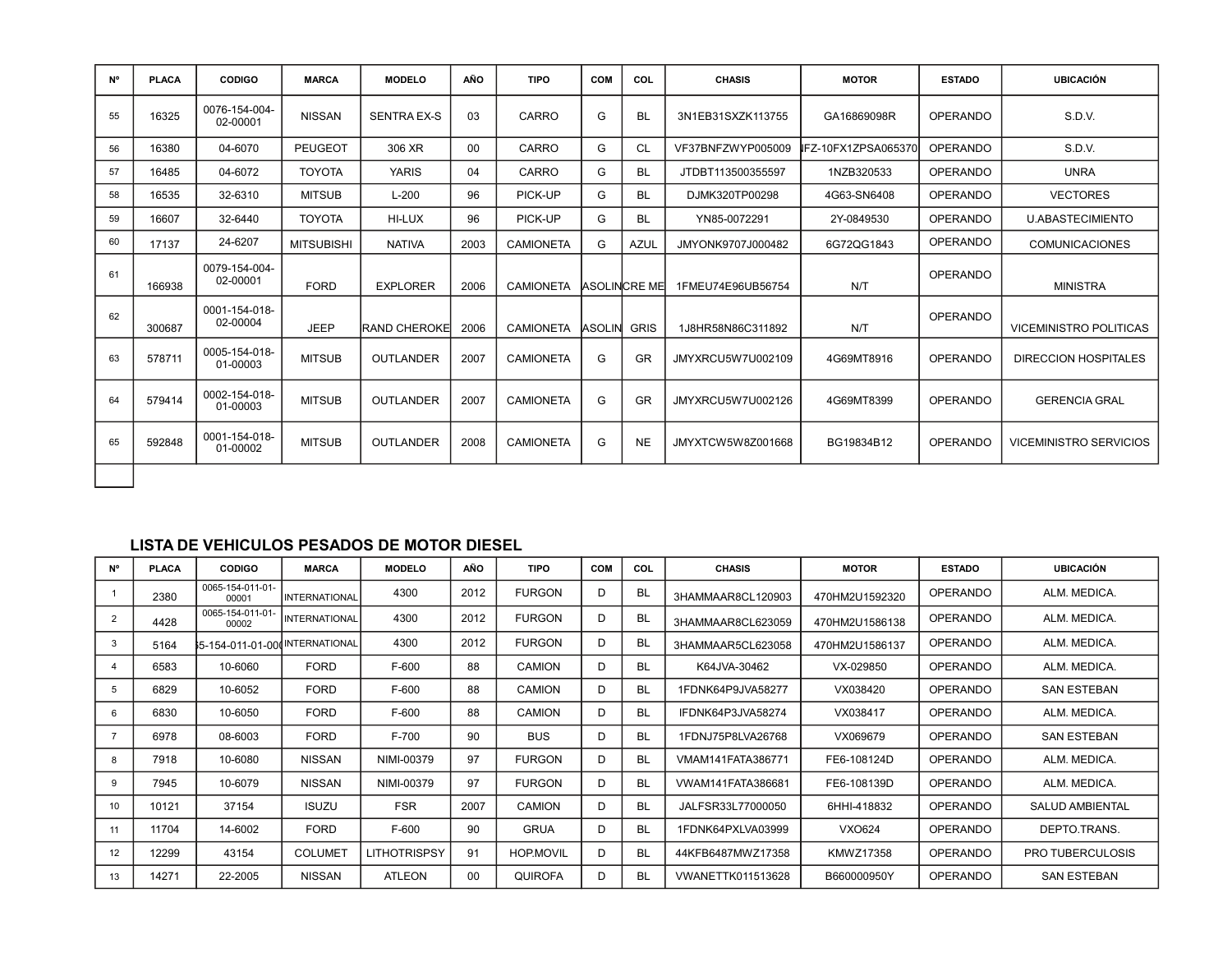| <b>N°</b> | <b>PLACA</b> | <b>CODIGO</b>             | <b>MARCA</b>      | <b>MODELO</b>       | <b>AÑO</b> | <b>TIPO</b>      | COM           | COL                   | <b>CHASIS</b>     | <b>MOTOR</b>         | <b>ESTADO</b>   | <b>UBICACIÓN</b>              |
|-----------|--------------|---------------------------|-------------------|---------------------|------------|------------------|---------------|-----------------------|-------------------|----------------------|-----------------|-------------------------------|
| 55        | 16325        | 0076-154-004-<br>02-00001 | <b>NISSAN</b>     | <b>SENTRA EX-S</b>  | 03         | CARRO            | G             | <b>BL</b>             | 3N1EB31SXZK113755 | GA16869098R          | OPERANDO        | S.D.V.                        |
| 56        | 16380        | 04-6070                   | <b>PEUGEOT</b>    | 306 XR              | $00\,$     | CARRO            | G             | <b>CL</b>             | VF37BNFZWYP005009 | IFZ-10FX1ZPSA065370I | <b>OPERANDO</b> | S.D.V.                        |
| 57        | 16485        | 04-6072                   | <b>TOYOTA</b>     | <b>YARIS</b>        | 04         | CARRO            | G             | <b>BL</b>             | JTDBT113500355597 | 1NZB320533           | <b>OPERANDO</b> | <b>UNRA</b>                   |
| 58        | 16535        | 32-6310                   | <b>MITSUB</b>     | $L-200$             | 96         | PICK-UP          | G             | <b>BL</b>             | DJMK320TP00298    | 4G63-SN6408          | <b>OPERANDO</b> | <b>VECTORES</b>               |
| 59        | 16607        | 32-6440                   | <b>TOYOTA</b>     | HI-LUX              | 96         | PICK-UP          | G             | <b>BL</b>             | YN85-0072291      | 2Y-0849530           | <b>OPERANDO</b> | <b>U.ABASTECIMIENTO</b>       |
| 60        | 17137        | 24-6207                   | <b>MITSUBISHI</b> | <b>NATIVA</b>       | 2003       | <b>CAMIONETA</b> | G             | <b>AZUL</b>           | JMYONK9707J000482 | 6G72QG1843           | OPERANDO        | <b>COMUNICACIONES</b>         |
| 61        | 166938       | 0079-154-004-<br>02-00001 | <b>FORD</b>       | <b>EXPLORER</b>     | 2006       | <b>CAMIONETA</b> |               | <b>IASOLINICRE ME</b> | 1FMEU74E96UB56754 | N/T                  | OPERANDO        | <b>MINISTRA</b>               |
| 62        | 300687       | 0001-154-018-<br>02-00004 | <b>JEEP</b>       | <b>RAND CHEROKE</b> | 2006       | <b>CAMIONETA</b> | <b>ASOLIN</b> | <b>GRIS</b>           | 1J8HR58N86C311892 | N/T                  | <b>OPERANDO</b> | VICEMINISTRO POLITICAS        |
| 63        | 578711       | 0005-154-018-<br>01-00003 | <b>MITSUB</b>     | OUTLANDER           | 2007       | <b>CAMIONETA</b> | G             | <b>GR</b>             | JMYXRCU5W7U002109 | 4G69MT8916           | <b>OPERANDO</b> | <b>DIRECCION HOSPITALES</b>   |
| 64        | 579414       | 0002-154-018-<br>01-00003 | <b>MITSUB</b>     | <b>OUTLANDER</b>    | 2007       | <b>CAMIONETA</b> | G             | <b>GR</b>             | JMYXRCU5W7U002126 | 4G69MT8399           | OPERANDO        | <b>GERENCIA GRAL</b>          |
| 65        | 592848       | 0001-154-018-<br>01-00002 | <b>MITSUB</b>     | OUTLANDER           | 2008       | <b>CAMIONETA</b> | G             | <b>NE</b>             | JMYXTCW5W8Z001668 | BG19834B12           | <b>OPERANDO</b> | <b>VICEMINISTRO SERVICIOS</b> |
|           |              |                           |                   |                     |            |                  |               |                       |                   |                      |                 |                               |

#### **LISTA DE VEHICULOS PESADOS DE MOTOR DIESEL**

| N° | <b>PLACA</b> | <b>CODIGO</b>             | <b>MARCA</b>         | <b>MODELO</b>       | AÑO  | <b>TIPO</b>      | <b>COM</b> | COL       | <b>CHASIS</b>     | <b>MOTOR</b>   | <b>ESTADO</b>   | <b>UBICACIÓN</b>        |
|----|--------------|---------------------------|----------------------|---------------------|------|------------------|------------|-----------|-------------------|----------------|-----------------|-------------------------|
|    | 2380         | 0065-154-011-01-<br>00001 | <b>INTERNATIONAL</b> | 4300                | 2012 | <b>FURGON</b>    | D          | <b>BL</b> | 3HAMMAAR8CL120903 | 470HM2U1592320 | OPERANDO        | ALM. MEDICA.            |
|    | 4428         | 0065-154-011-01-<br>00002 | <b>INTERNATIONAL</b> | 4300                | 2012 | <b>FURGON</b>    | D          | <b>BL</b> | 3HAMMAAR8CL623059 | 470HM2U1586138 | <b>OPERANDO</b> | ALM. MEDICA.            |
| 3  | 5164         | ₿5-154-011-01-00          | <b>NTERNATIONAL</b>  | 4300                | 2012 | <b>FURGON</b>    | D          | BL        | 3HAMMAAR5CL623058 | 470HM2U1586137 | OPERANDO        | ALM. MEDICA.            |
|    | 6583         | 10-6060                   | <b>FORD</b>          | $F-600$             | 88   | <b>CAMION</b>    | D          | <b>BL</b> | K64JVA-30462      | VX-029850      | OPERANDO        | ALM. MEDICA.            |
| 5  | 6829         | 10-6052                   | <b>FORD</b>          | $F-600$             | 88   | <b>CAMION</b>    | D          | <b>BL</b> | 1FDNK64P9JVA58277 | VX038420       | <b>OPERANDO</b> | <b>SAN ESTEBAN</b>      |
| 6  | 6830         | 10-6050                   | <b>FORD</b>          | $F-600$             | 88   | <b>CAMION</b>    | D          | <b>BL</b> | IFDNK64P3JVA58274 | VX038417       | OPERANDO        | ALM. MEDICA.            |
|    | 6978         | 08-6003                   | <b>FORD</b>          | F-700               | 90   | <b>BUS</b>       | D          | <b>BL</b> | 1FDNJ75P8LVA26768 | VX069679       | OPERANDO        | SAN ESTEBAN             |
| 8  | 7918         | 10-6080                   | <b>NISSAN</b>        | NIMI-00379          | 97   | <b>FURGON</b>    | D          | <b>BL</b> | VMAM141FATA386771 | FE6-108124D    | OPERANDO        | ALM. MEDICA.            |
| 9  | 7945         | 10-6079                   | <b>NISSAN</b>        | NIMI-00379          | 97   | <b>FURGON</b>    | D          | <b>BL</b> | VWAM141FATA386681 | FE6-108139D    | OPERANDO        | ALM. MEDICA.            |
| 10 | 10121        | 37154                     | <b>ISUZU</b>         | <b>FSR</b>          | 2007 | <b>CAMION</b>    | D          | <b>BL</b> | JALFSR33L77000050 | 6HHI-418832    | OPERANDO        | <b>SALUD AMBIENTAL</b>  |
| 11 | 11704        | 14-6002                   | <b>FORD</b>          | $F-600$             | 90   | <b>GRUA</b>      | D          | <b>BL</b> | 1FDNK64PXLVA03999 | VXO624         | OPERANDO        | DEPTO.TRANS.            |
| 12 | 12299        | 43154                     | <b>COLUMET</b>       | <b>LITHOTRISPSY</b> | 91   | <b>HOP.MOVIL</b> | D          | <b>BL</b> | 44KFB6487MWZ17358 | KMWZ17358      | OPERANDO        | <b>PRO TUBERCULOSIS</b> |
| 13 | 14271        | 22-2005                   | <b>NISSAN</b>        | ATLEON              | 00   | <b>QUIROFA</b>   | D          | <b>BL</b> | VWANETTK011513628 | B660000950Y    | OPERANDO        | SAN ESTEBAN             |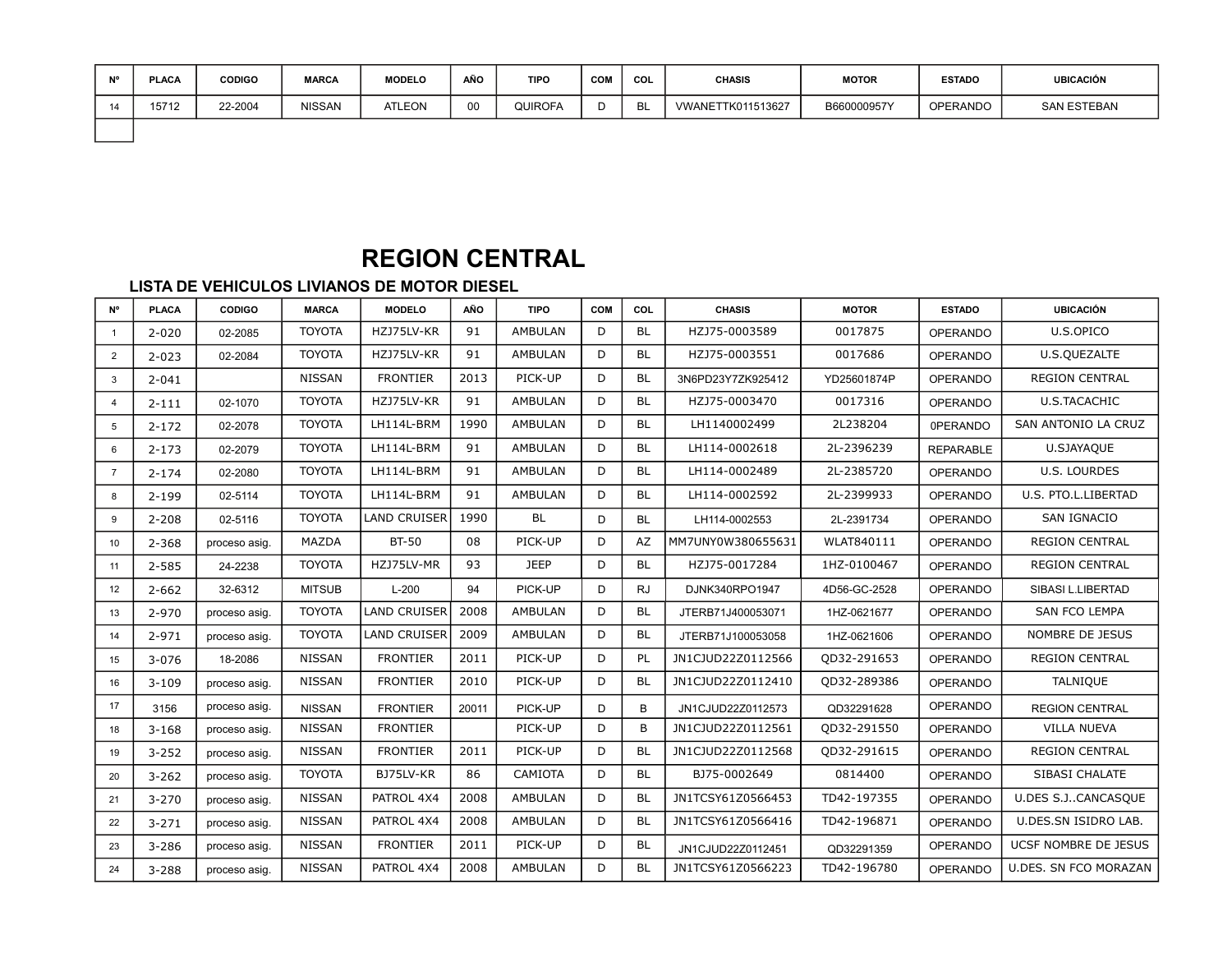| <b>N<sub>10</sub></b> | <b>PLACA</b> | <b>CODIGO</b> | <b>MARCA</b>  | <b>MODELO</b> | AÑO | <b>TIPO</b> | <b>COM</b> | COL | <b>CHASIS</b>     | <b>MOTOR</b> | <b>ESTADO</b>   | <b>UBICACIÓN</b> |
|-----------------------|--------------|---------------|---------------|---------------|-----|-------------|------------|-----|-------------------|--------------|-----------------|------------------|
| 14                    | 15712        | 22-2004       | <b>NISSAN</b> | <b>ATLEON</b> | 00  | QUIROFA     |            |     | VWANETTK011513627 | B660000957Y  | <b>OPERANDO</b> | SAN ESTEBAN      |
|                       |              |               |               |               |     |             |            |     |                   |              |                 |                  |

# **REGION CENTRAL**

| <b>N°</b>      | <b>PLACA</b> | <b>CODIGO</b> | <b>MARCA</b>  | <b>MODELO</b>       | <b>AÑO</b> | <b>TIPO</b>    | <b>COM</b> | COL       | <b>CHASIS</b>     | <b>MOTOR</b> | <b>ESTADO</b>    | <b>UBICACIÓN</b>      |
|----------------|--------------|---------------|---------------|---------------------|------------|----------------|------------|-----------|-------------------|--------------|------------------|-----------------------|
| $\mathbf{1}$   | $2 - 020$    | 02-2085       | <b>TOYOTA</b> | HZJ75LV-KR          | 91         | <b>AMBULAN</b> | D          | <b>BL</b> | HZJ75-0003589     | 0017875      | <b>OPERANDO</b>  | U.S.OPICO             |
| 2              | $2 - 023$    | 02-2084       | <b>TOYOTA</b> | HZJ75LV-KR          | 91         | <b>AMBULAN</b> | D          | <b>BL</b> | HZJ75-0003551     | 0017686      | <b>OPERANDO</b>  | U.S.QUEZALTE          |
| 3              | $2 - 041$    |               | <b>NISSAN</b> | <b>FRONTIER</b>     | 2013       | PICK-UP        | D          | <b>BL</b> | 3N6PD23Y7ZK925412 | YD25601874P  | <b>OPERANDO</b>  | <b>REGION CENTRAL</b> |
| $\overline{4}$ | $2 - 111$    | 02-1070       | <b>TOYOTA</b> | HZJ75LV-KR          | 91         | <b>AMBULAN</b> | D          | <b>BL</b> | HZJ75-0003470     | 0017316      | <b>OPERANDO</b>  | U.S.TACACHIC          |
| 5              | $2 - 172$    | 02-2078       | <b>TOYOTA</b> | LH114L-BRM          | 1990       | <b>AMBULAN</b> | D          | <b>BL</b> | LH1140002499      | 2L238204     | 0PERANDO         | SAN ANTONIO LA CRUZ   |
| 6              | $2 - 173$    | 02-2079       | <b>TOYOTA</b> | LH114L-BRM          | 91         | <b>AMBULAN</b> | D          | <b>BL</b> | LH114-0002618     | 2L-2396239   | <b>REPARABLE</b> | U.SJAYAQUE            |
| $\overline{7}$ | $2 - 174$    | 02-2080       | <b>TOYOTA</b> | LH114L-BRM          | 91         | <b>AMBULAN</b> | D          | <b>BL</b> | LH114-0002489     | 2L-2385720   | <b>OPERANDO</b>  | U.S. LOURDES          |
| 8              | $2 - 199$    | 02-5114       | <b>TOYOTA</b> | LH114L-BRM          | 91         | <b>AMBULAN</b> | D          | <b>BL</b> | LH114-0002592     | 2L-2399933   | <b>OPERANDO</b>  | U.S. PTO.L.LIBERTAD   |
| 9              | $2 - 208$    | 02-5116       | <b>TOYOTA</b> | <b>LAND CRUISER</b> | 1990       | <b>BL</b>      | D          | <b>BL</b> | LH114-0002553     | 2L-2391734   | <b>OPERANDO</b>  | SAN IGNACIO           |
| 10             | $2 - 368$    | proceso asig. | MAZDA         | <b>BT-50</b>        | 08         | PICK-UP        | D          | AZ        | MM7UNY0W380655631 | WLAT840111   | <b>OPERANDO</b>  | <b>REGION CENTRAL</b> |
| 11             | $2 - 585$    | 24-2238       | <b>TOYOTA</b> | HZJ75LV-MR          | 93         | <b>JEEP</b>    | D          | <b>BL</b> | HZJ75-0017284     | 1HZ-0100467  | <b>OPERANDO</b>  | <b>REGION CENTRAL</b> |
| 12             | $2 - 662$    | 32-6312       | <b>MITSUB</b> | $L-200$             | 94         | PICK-UP        | D          | <b>RJ</b> | DJNK340RPO1947    | 4D56-GC-2528 | <b>OPERANDO</b>  | SIBASI L.LIBERTAD     |
| 13             | 2-970        | proceso asig. | <b>TOYOTA</b> | <b>LAND CRUISER</b> | 2008       | <b>AMBULAN</b> | D          | <b>BL</b> | JTERB71J400053071 | 1HZ-0621677  | <b>OPERANDO</b>  | SAN FCO LEMPA         |
| 14             | $2 - 971$    | proceso asig. | <b>TOYOTA</b> | <b>LAND CRUISER</b> | 2009       | <b>AMBULAN</b> | D          | <b>BL</b> | JTERB71J100053058 | 1HZ-0621606  | <b>OPERANDO</b>  | NOMBRE DE JESUS       |
| 15             | $3 - 076$    | 18-2086       | <b>NISSAN</b> | <b>FRONTIER</b>     | 2011       | PICK-UP        | D          | PL        | JN1CJUD22Z0112566 | QD32-291653  | <b>OPERANDO</b>  | <b>REGION CENTRAL</b> |
| 16             | $3 - 109$    | proceso asig. | <b>NISSAN</b> | <b>FRONTIER</b>     | 2010       | PICK-UP        | D          | <b>BL</b> | JN1CJUD22Z0112410 | QD32-289386  | <b>OPERANDO</b>  | <b>TALNIQUE</b>       |
| 17             | 3156         | proceso asig. | <b>NISSAN</b> | <b>FRONTIER</b>     | 20011      | PICK-UP        | D          | B         | JN1CJUD22Z0112573 | QD32291628   | <b>OPERANDO</b>  | <b>REGION CENTRAL</b> |
| 18             | $3 - 168$    | proceso asig. | <b>NISSAN</b> | <b>FRONTIER</b>     |            | PICK-UP        | D          | B         | JN1CJUD22Z0112561 | QD32-291550  | <b>OPERANDO</b>  | <b>VILLA NUEVA</b>    |
| 19             | $3 - 252$    | proceso asig. | <b>NISSAN</b> | <b>FRONTIER</b>     | 2011       | PICK-UP        | D          | <b>BL</b> | JN1CJUD22Z0112568 | QD32-291615  | <b>OPERANDO</b>  | <b>REGION CENTRAL</b> |
| 20             | $3 - 262$    | proceso asig. | <b>TOYOTA</b> | BJ75LV-KR           | 86         | CAMIOTA        | D          | <b>BL</b> | BJ75-0002649      | 0814400      | <b>OPERANDO</b>  | SIBASI CHALATE        |
| 21             | $3 - 270$    | proceso asig. | <b>NISSAN</b> | PATROL 4X4          | 2008       | <b>AMBULAN</b> | D          | <b>BL</b> | JN1TCSY61Z0566453 | TD42-197355  | <b>OPERANDO</b>  | U.DES S.JCANCASQUE    |
| 22             | $3 - 271$    | proceso asig. | <b>NISSAN</b> | PATROL 4X4          | 2008       | <b>AMBULAN</b> | D          | <b>BL</b> | JN1TCSY61Z0566416 | TD42-196871  | <b>OPERANDO</b>  | U.DES.SN ISIDRO LAB.  |
| 23             | 3-286        | proceso asig. | <b>NISSAN</b> | <b>FRONTIER</b>     | 2011       | PICK-UP        | D          | <b>BL</b> | JN1CJUD22Z0112451 | QD32291359   | OPERANDO         | UCSF NOMBRE DE JESUS  |
| 24             | 3-288        | proceso asig. | <b>NISSAN</b> | PATROL 4X4          | 2008       | <b>AMBULAN</b> | D          | <b>BL</b> | JN1TCSY61Z0566223 | TD42-196780  | <b>OPERANDO</b>  | U.DES. SN FCO MORAZAN |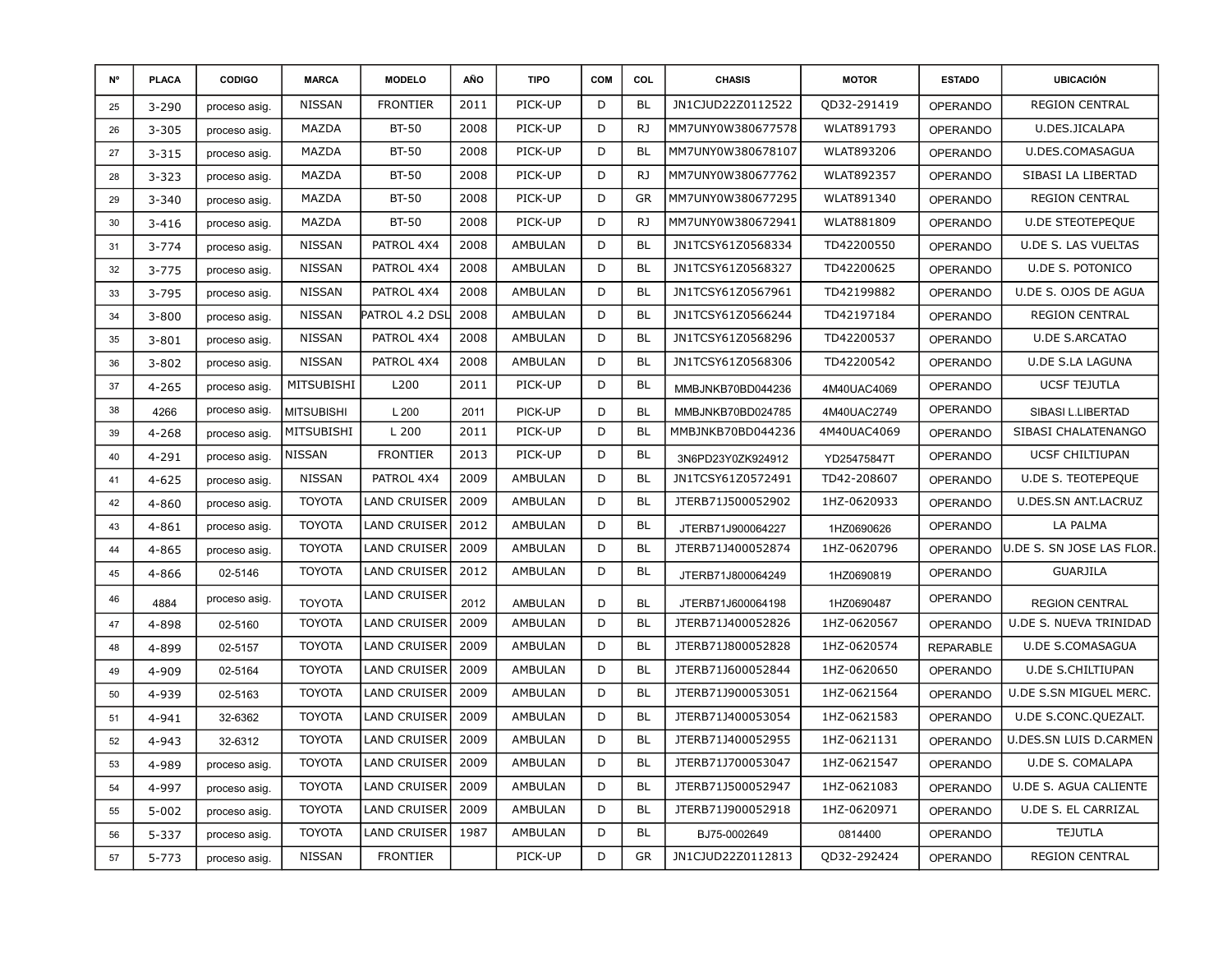| N° | <b>PLACA</b> | CODIGO        | <b>MARCA</b>      | <b>MODELO</b>       | <b>AÑO</b> | <b>TIPO</b>    | <b>COM</b> | COL       | <b>CHASIS</b>     | <b>MOTOR</b>      | <b>ESTADO</b>    | <b>UBICACIÓN</b>           |
|----|--------------|---------------|-------------------|---------------------|------------|----------------|------------|-----------|-------------------|-------------------|------------------|----------------------------|
| 25 | $3 - 290$    | proceso asig. | <b>NISSAN</b>     | <b>FRONTIER</b>     | 2011       | PICK-UP        | D          | <b>BL</b> | JN1CJUD22Z0112522 | QD32-291419       | <b>OPERANDO</b>  | <b>REGION CENTRAL</b>      |
| 26 | $3 - 305$    | proceso asig. | MAZDA             | <b>BT-50</b>        | 2008       | PICK-UP        | D          | RJ        | MM7UNY0W380677578 | WLAT891793        | <b>OPERANDO</b>  | U.DES.JICALAPA             |
| 27 | $3 - 315$    | proceso asig. | MAZDA             | <b>BT-50</b>        | 2008       | PICK-UP        | D          | <b>BL</b> | MM7UNY0W380678107 | WLAT893206        | <b>OPERANDO</b>  | U.DES.COMASAGUA            |
| 28 | $3 - 323$    | proceso asig. | MAZDA             | <b>BT-50</b>        | 2008       | PICK-UP        | D          | RJ        | MM7UNY0W380677762 | <b>WLAT892357</b> | OPERANDO         | SIBASI LA LIBERTAD         |
| 29 | $3 - 340$    | proceso asig. | MAZDA             | <b>BT-50</b>        | 2008       | PICK-UP        | D          | <b>GR</b> | MM7UNY0W380677295 | WLAT891340        | <b>OPERANDO</b>  | <b>REGION CENTRAL</b>      |
| 30 | $3 - 416$    | proceso asig. | MAZDA             | <b>BT-50</b>        | 2008       | PICK-UP        | D          | RJ        | MM7UNY0W380672941 | <b>WLAT881809</b> | <b>OPERANDO</b>  | <b>U.DE STEOTEPEQUE</b>    |
| 31 | $3 - 774$    | proceso asig. | <b>NISSAN</b>     | PATROL 4X4          | 2008       | AMBULAN        | D          | <b>BL</b> | JN1TCSY61Z0568334 | TD42200550        | OPERANDO         | U.DE S. LAS VUELTAS        |
| 32 | $3 - 775$    | proceso asig. | <b>NISSAN</b>     | PATROL 4X4          | 2008       | AMBULAN        | D          | <b>BL</b> | JN1TCSY61Z0568327 | TD42200625        | <b>OPERANDO</b>  | U.DE S. POTONICO           |
| 33 | 3-795        | proceso asig. | <b>NISSAN</b>     | PATROL 4X4          | 2008       | AMBULAN        | D          | <b>BL</b> | JN1TCSY61Z0567961 | TD42199882        | <b>OPERANDO</b>  | U.DE S. OJOS DE AGUA       |
| 34 | $3 - 800$    | proceso asig. | <b>NISSAN</b>     | Patrol 4.2 DSI      | 2008       | AMBULAN        | D          | <b>BL</b> | JN1TCSY61Z0566244 | TD42197184        | OPERANDO         | <b>REGION CENTRAL</b>      |
| 35 | $3 - 801$    | proceso asig. | <b>NISSAN</b>     | PATROL 4X4          | 2008       | AMBULAN        | D          | <b>BL</b> | JN1TCSY61Z0568296 | TD42200537        | <b>OPERANDO</b>  | <b>U.DE S.ARCATAO</b>      |
| 36 | $3 - 802$    | proceso asig. | <b>NISSAN</b>     | PATROL 4X4          | 2008       | AMBULAN        | D          | <b>BL</b> | JN1TCSY61Z0568306 | TD42200542        | <b>OPERANDO</b>  | <b>U.DE S.LA LAGUNA</b>    |
| 37 | $4 - 265$    | proceso asig. | MITSUBISHI        | L200                | 2011       | PICK-UP        | D          | <b>BL</b> | MMBJNKB70BD044236 | 4M40UAC4069       | <b>OPERANDO</b>  | <b>UCSF TEJUTLA</b>        |
| 38 | 4266         | proceso asig. | <b>MITSUBISHI</b> | L200                | 2011       | PICK-UP        | D          | <b>BL</b> | MMBJNKB70BD024785 | 4M40UAC2749       | <b>OPERANDO</b>  | SIBASI L.LIBERTAD          |
| 39 | $4 - 268$    | proceso asig. | MITSUBISHI        | L 200               | 2011       | PICK-UP        | D          | <b>BL</b> | MMBJNKB70BD044236 | 4M40UAC4069       | <b>OPERANDO</b>  | SIBASI CHALATENANGO        |
| 40 | 4-291        | proceso asig. | <b>NISSAN</b>     | <b>FRONTIER</b>     | 2013       | PICK-UP        | D          | <b>BL</b> | 3N6PD23Y0ZK924912 | YD25475847T       | <b>OPERANDO</b>  | <b>UCSF CHILTIUPAN</b>     |
| 41 | $4 - 625$    | proceso asig. | <b>NISSAN</b>     | PATROL 4X4          | 2009       | AMBULAN        | D          | <b>BL</b> | JN1TCSY61Z0572491 | TD42-208607       | <b>OPERANDO</b>  | U.DE S. TEOTEPEQUE         |
| 42 | 4-860        | proceso asig. | <b>TOYOTA</b>     | <b>LAND CRUISER</b> | 2009       | AMBULAN        | D          | <b>BL</b> | JTERB71J500052902 | 1HZ-0620933       | <b>OPERANDO</b>  | <b>U.DES.SN ANT.LACRUZ</b> |
| 43 | 4-861        | proceso asig. | <b>TOYOTA</b>     | <b>LAND CRUISER</b> | 2012       | AMBULAN        | D          | <b>BL</b> | JTERB71J900064227 | 1HZ0690626        | <b>OPERANDO</b>  | LA PALMA                   |
| 44 | 4-865        | proceso asig. | <b>TOYOTA</b>     | <b>LAND CRUISER</b> | 2009       | AMBULAN        | D          | <b>BL</b> | JTERB71J400052874 | 1HZ-0620796       | <b>OPERANDO</b>  | U.DE S. SN JOSE LAS FLOR.  |
| 45 | 4-866        | 02-5146       | <b>TOYOTA</b>     | <b>LAND CRUISER</b> | 2012       | AMBULAN        | D          | <b>BL</b> | JTERB71J800064249 | 1HZ0690819        | <b>OPERANDO</b>  | GUARJILA                   |
| 46 | 4884         | proceso asig. | <b>TOYOTA</b>     | <b>LAND CRUISER</b> | 2012       | AMBULAN        | D          | <b>BL</b> | JTERB71J600064198 | 1HZ0690487        | <b>OPERANDO</b>  | <b>REGION CENTRAL</b>      |
| 47 | 4-898        | 02-5160       | <b>TOYOTA</b>     | <b>LAND CRUISER</b> | 2009       | AMBULAN        | D          | <b>BL</b> | JTERB71J400052826 | 1HZ-0620567       | <b>OPERANDO</b>  | U.DE S. NUEVA TRINIDAD     |
| 48 | 4-899        | 02-5157       | <b>TOYOTA</b>     | <b>LAND CRUISER</b> | 2009       | AMBULAN        | D          | <b>BL</b> | JTERB71J800052828 | 1HZ-0620574       | <b>REPARABLE</b> | U.DE S.COMASAGUA           |
| 49 | 4-909        | 02-5164       | <b>TOYOTA</b>     | <b>LAND CRUISER</b> | 2009       | AMBULAN        | D          | <b>BL</b> | JTERB71J600052844 | 1HZ-0620650       | <b>OPERANDO</b>  | <b>U.DE S.CHILTIUPAN</b>   |
| 50 | 4-939        | 02-5163       | <b>TOYOTA</b>     | <b>LAND CRUISER</b> | 2009       | AMBULAN        | D          | <b>BL</b> | JTERB71J900053051 | 1HZ-0621564       | <b>OPERANDO</b>  | U.DE S.SN MIGUEL MERC.     |
| 51 | 4-941        | 32-6362       | <b>TOYOTA</b>     | <b>LAND CRUISER</b> | 2009       | AMBULAN        | D          | <b>BL</b> | JTERB71J400053054 | 1HZ-0621583       | OPERANDO         | U.DE S.CONC.QUEZALT.       |
| 52 | 4-943        | 32-6312       | <b>TOYOTA</b>     | <b>LAND CRUISER</b> | 2009       | AMBULAN        | D          | <b>BL</b> | JTERB71J400052955 | 1HZ-0621131       | <b>OPERANDO</b>  | U.DES.SN LUIS D.CARMEN     |
| 53 | 4-989        | proceso asig. | <b>TOYOTA</b>     | <b>LAND CRUISER</b> | 2009       | AMBULAN        | D          | <b>BL</b> | JTERB71J700053047 | 1HZ-0621547       | <b>OPERANDO</b>  | <b>U.DE S. COMALAPA</b>    |
| 54 | 4-997        | proceso asig. | <b>TOYOTA</b>     | <b>LAND CRUISER</b> | 2009       | AMBULAN        | D          | <b>BL</b> | JTERB71J500052947 | 1HZ-0621083       | <b>OPERANDO</b>  | U.DE S. AGUA CALIENTE      |
| 55 | $5 - 002$    | proceso asig. | <b>TOYOTA</b>     | <b>LAND CRUISER</b> | 2009       | AMBULAN        | D          | <b>BL</b> | JTERB71J900052918 | 1HZ-0620971       | <b>OPERANDO</b>  | U.DE S. EL CARRIZAL        |
| 56 | 5-337        | proceso asig. | <b>TOYOTA</b>     | <b>LAND CRUISER</b> | 1987       | <b>AMBULAN</b> | D          | <b>BL</b> | BJ75-0002649      | 0814400           | OPERANDO         | <b>TEJUTLA</b>             |
| 57 | $5 - 773$    | proceso asig. | <b>NISSAN</b>     | <b>FRONTIER</b>     |            | PICK-UP        | D          | <b>GR</b> | JN1CJUD22Z0112813 | QD32-292424       | <b>OPERANDO</b>  | <b>REGION CENTRAL</b>      |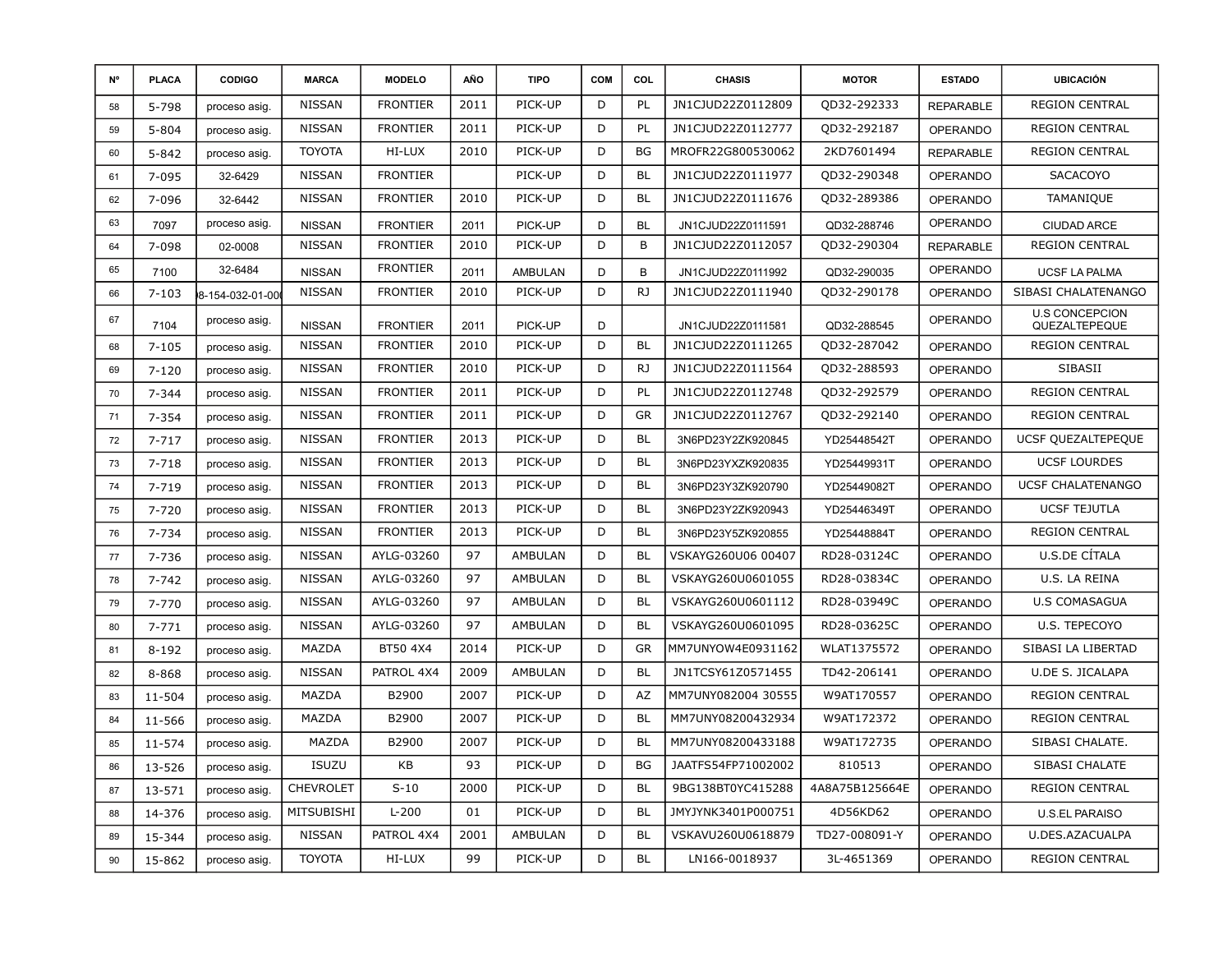| N° | <b>PLACA</b> | <b>CODIGO</b>   | <b>MARCA</b>     | <b>MODELO</b>   | AÑO  | <b>TIPO</b>    | COM | COL       | <b>CHASIS</b>      | <b>MOTOR</b>   | <b>ESTADO</b>    | <b>UBICACIÓN</b>                       |
|----|--------------|-----------------|------------------|-----------------|------|----------------|-----|-----------|--------------------|----------------|------------------|----------------------------------------|
| 58 | 5-798        | proceso asig.   | <b>NISSAN</b>    | <b>FRONTIER</b> | 2011 | PICK-UP        | D   | PL        | JN1CJUD22Z0112809  | QD32-292333    | <b>REPARABLE</b> | <b>REGION CENTRAL</b>                  |
| 59 | $5 - 804$    | proceso asig.   | <b>NISSAN</b>    | <b>FRONTIER</b> | 2011 | PICK-UP        | D   | PL        | JN1CJUD22Z0112777  | QD32-292187    | <b>OPERANDO</b>  | <b>REGION CENTRAL</b>                  |
| 60 | $5 - 842$    | proceso asig.   | <b>TOYOTA</b>    | HI-LUX          | 2010 | PICK-UP        | D   | <b>BG</b> | MROFR22G800530062  | 2KD7601494     | <b>REPARABLE</b> | <b>REGION CENTRAL</b>                  |
| 61 | $7 - 095$    | 32-6429         | <b>NISSAN</b>    | <b>FRONTIER</b> |      | PICK-UP        | D   | <b>BL</b> | JN1CJUD22Z0111977  | QD32-290348    | <b>OPERANDO</b>  | <b>SACACOYO</b>                        |
| 62 | 7-096        | 32-6442         | <b>NISSAN</b>    | <b>FRONTIER</b> | 2010 | PICK-UP        | D   | <b>BL</b> | JN1CJUD22Z0111676  | QD32-289386    | <b>OPERANDO</b>  | TAMANIQUE                              |
| 63 | 7097         | proceso asig.   | <b>NISSAN</b>    | <b>FRONTIER</b> | 2011 | PICK-UP        | D   | <b>BL</b> | JN1CJUD22Z0111591  | QD32-288746    | <b>OPERANDO</b>  | <b>CIUDAD ARCE</b>                     |
| 64 | 7-098        | 02-0008         | <b>NISSAN</b>    | <b>FRONTIER</b> | 2010 | PICK-UP        | D   | B         | JN1CJUD22Z0112057  | QD32-290304    | <b>REPARABLE</b> | <b>REGION CENTRAL</b>                  |
| 65 | 7100         | 32-6484         | <b>NISSAN</b>    | <b>FRONTIER</b> | 2011 | <b>AMBULAN</b> | D   | B         | JN1CJUD22Z0111992  | QD32-290035    | <b>OPERANDO</b>  | <b>UCSF LA PALMA</b>                   |
| 66 | $7 - 103$    | 8-154-032-01-00 | <b>NISSAN</b>    | <b>FRONTIER</b> | 2010 | PICK-UP        | D   | RJ        | JN1CJUD22Z0111940  | QD32-290178    | <b>OPERANDO</b>  | SIBASI CHALATENANGO                    |
| 67 | 7104         | proceso asig.   | <b>NISSAN</b>    | <b>FRONTIER</b> | 2011 | PICK-UP        | D   |           | JN1CJUD22Z0111581  | QD32-288545    | <b>OPERANDO</b>  | <b>U.S CONCEPCION</b><br>QUEZALTEPEQUE |
| 68 | $7 - 105$    | proceso asig.   | <b>NISSAN</b>    | <b>FRONTIER</b> | 2010 | PICK-UP        | D   | <b>BL</b> | JN1CJUD22Z0111265  | QD32-287042    | OPERANDO         | <b>REGION CENTRAL</b>                  |
| 69 | $7 - 120$    | proceso asig.   | <b>NISSAN</b>    | <b>FRONTIER</b> | 2010 | PICK-UP        | D   | RJ        | JN1CJUD22Z0111564  | QD32-288593    | <b>OPERANDO</b>  | <b>SIBASII</b>                         |
| 70 | $7 - 344$    | proceso asig.   | <b>NISSAN</b>    | <b>FRONTIER</b> | 2011 | PICK-UP        | D   | PL        | JN1CJUD22Z0112748  | QD32-292579    | <b>OPERANDO</b>  | <b>REGION CENTRAL</b>                  |
| 71 | $7 - 354$    | proceso asig.   | <b>NISSAN</b>    | <b>FRONTIER</b> | 2011 | PICK-UP        | D   | <b>GR</b> | JN1CJUD22Z0112767  | QD32-292140    | <b>OPERANDO</b>  | <b>REGION CENTRAL</b>                  |
| 72 | $7 - 717$    | proceso asig.   | <b>NISSAN</b>    | <b>FRONTIER</b> | 2013 | PICK-UP        | D   | <b>BL</b> | 3N6PD23Y2ZK920845  | YD25448542T    | <b>OPERANDO</b>  | UCSF QUEZALTEPEQUE                     |
| 73 | $7 - 718$    | proceso asig.   | <b>NISSAN</b>    | <b>FRONTIER</b> | 2013 | PICK-UP        | D   | <b>BL</b> | 3N6PD23YXZK920835  | YD25449931T    | <b>OPERANDO</b>  | <b>UCSF LOURDES</b>                    |
| 74 | $7 - 719$    | proceso asig.   | <b>NISSAN</b>    | <b>FRONTIER</b> | 2013 | PICK-UP        | D   | <b>BL</b> | 3N6PD23Y3ZK920790  | YD25449082T    | <b>OPERANDO</b>  | <b>UCSF CHALATENANGO</b>               |
| 75 | $7 - 720$    | proceso asig.   | <b>NISSAN</b>    | <b>FRONTIER</b> | 2013 | PICK-UP        | D   | <b>BL</b> | 3N6PD23Y2ZK920943  | YD25446349T    | <b>OPERANDO</b>  | <b>UCSF TEJUTLA</b>                    |
| 76 | 7-734        | proceso asig.   | <b>NISSAN</b>    | <b>FRONTIER</b> | 2013 | PICK-UP        | D   | <b>BL</b> | 3N6PD23Y5ZK920855  | YD25448884T    | <b>OPERANDO</b>  | <b>REGION CENTRAL</b>                  |
| 77 | 7-736        | proceso asig.   | <b>NISSAN</b>    | AYLG-03260      | 97   | AMBULAN        | D   | <b>BL</b> | VSKAYG260U06 00407 | RD28-03124C    | <b>OPERANDO</b>  | U.S.DE CÍTALA                          |
| 78 | $7 - 742$    | proceso asig.   | <b>NISSAN</b>    | AYLG-03260      | 97   | AMBULAN        | D   | <b>BL</b> | VSKAYG260U0601055  | RD28-03834C    | <b>OPERANDO</b>  | U.S. LA REINA                          |
| 79 | $7 - 770$    | proceso asig.   | <b>NISSAN</b>    | AYLG-03260      | 97   | <b>AMBULAN</b> | D   | <b>BL</b> | VSKAYG260U0601112  | RD28-03949C    | <b>OPERANDO</b>  | <b>U.S COMASAGUA</b>                   |
| 80 | $7 - 771$    | proceso asig.   | <b>NISSAN</b>    | AYLG-03260      | 97   | AMBULAN        | D   | <b>BL</b> | VSKAYG260U0601095  | RD28-03625C    | <b>OPERANDO</b>  | U.S. TEPECOYO                          |
| 81 | $8 - 192$    | proceso asig.   | MAZDA            | BT50 4X4        | 2014 | PICK-UP        | D   | <b>GR</b> | MM7UNYOW4E0931162  | WLAT1375572    | <b>OPERANDO</b>  | SIBASI LA LIBERTAD                     |
| 82 | 8-868        | proceso asig.   | <b>NISSAN</b>    | PATROL 4X4      | 2009 | <b>AMBULAN</b> | D   | <b>BL</b> | JN1TCSY61Z0571455  | TD42-206141    | <b>OPERANDO</b>  | <b>U.DE S. JICALAPA</b>                |
| 83 | 11-504       | proceso asig.   | MAZDA            | B2900           | 2007 | PICK-UP        | D   | AZ        | MM7UNY082004 30555 | W9AT170557     | <b>OPERANDO</b>  | <b>REGION CENTRAL</b>                  |
| 84 | 11-566       | proceso asig.   | MAZDA            | B2900           | 2007 | PICK-UP        | D   | <b>BL</b> | MM7UNY08200432934  | W9AT172372     | <b>OPERANDO</b>  | <b>REGION CENTRAL</b>                  |
| 85 | $11 - 574$   | proceso asig.   | MAZDA            | B2900           | 2007 | PICK-UP        | D   | <b>BL</b> | MM7UNY08200433188  | W9AT172735     | <b>OPERANDO</b>  | SIBASI CHALATE.                        |
| 86 | 13-526       | proceso asig.   | <b>ISUZU</b>     | KB              | 93   | PICK-UP        | D   | <b>BG</b> | JAATFS54FP71002002 | 810513         | <b>OPERANDO</b>  | SIBASI CHALATE                         |
| 87 | 13-571       | proceso asig.   | <b>CHEVROLET</b> | $S-10$          | 2000 | PICK-UP        | D   | <b>BL</b> | 9BG138BT0YC415288  | 4A8A75B125664E | <b>OPERANDO</b>  | <b>REGION CENTRAL</b>                  |
| 88 | 14-376       | proceso asig.   | MITSUBISHI       | $L-200$         | 01   | PICK-UP        | D   | <b>BL</b> | JMYJYNK3401P000751 | 4D56KD62       | <b>OPERANDO</b>  | <b>U.S.EL PARAISO</b>                  |
| 89 | 15-344       | proceso asig.   | <b>NISSAN</b>    | PATROL 4X4      | 2001 | <b>AMBULAN</b> | D   | <b>BL</b> | VSKAVU260U0618879  | TD27-008091-Y  | <b>OPERANDO</b>  | U.DES.AZACUALPA                        |
| 90 | 15-862       | proceso asig.   | <b>TOYOTA</b>    | HI-LUX          | 99   | PICK-UP        | D   | <b>BL</b> | LN166-0018937      | 3L-4651369     | <b>OPERANDO</b>  | <b>REGION CENTRAL</b>                  |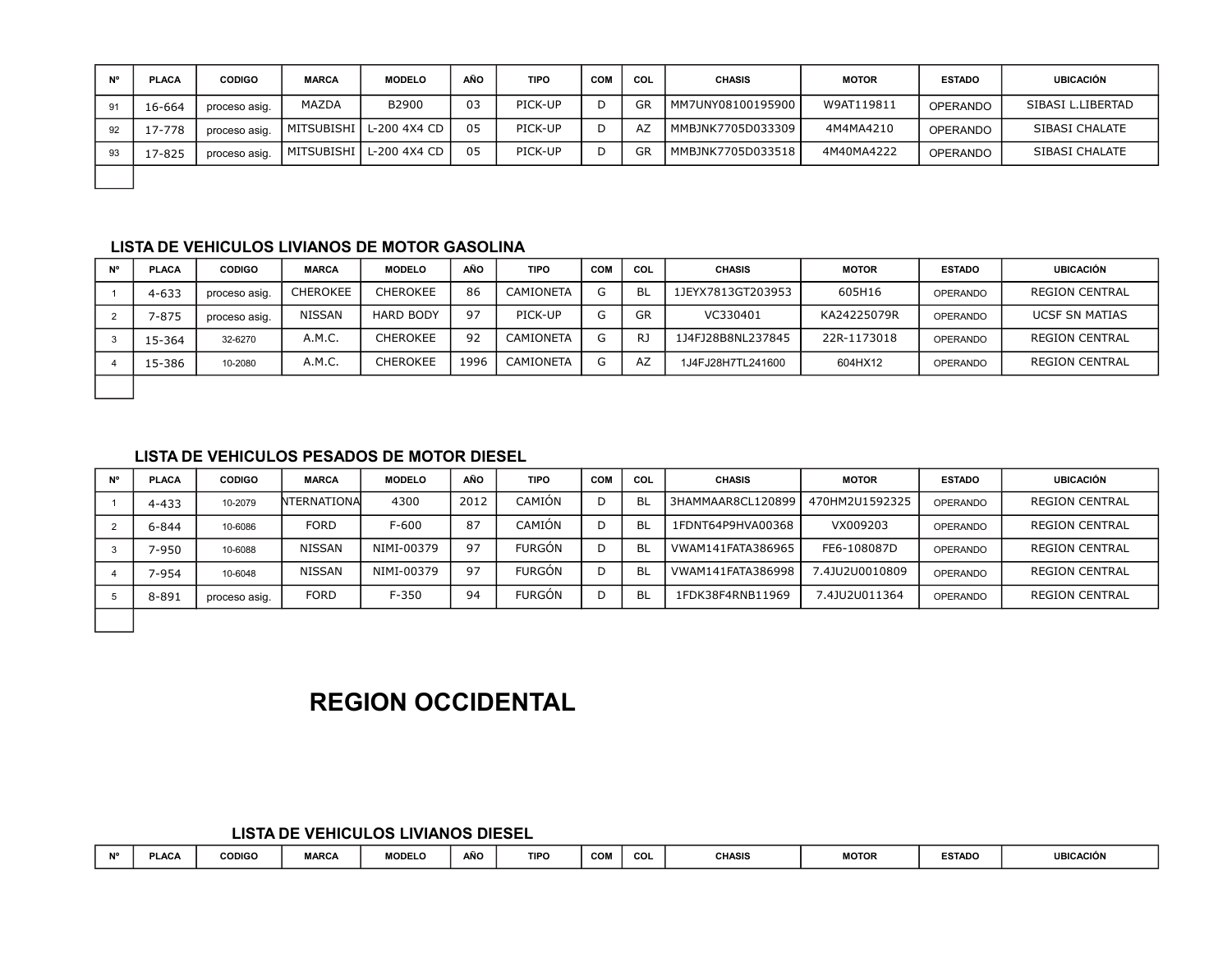| N° | <b>PLACA</b> | <b>CODIGO</b> | <b>MARCA</b> | <b>MODELO</b>             | AÑO | <b>TIPO</b> | <b>COM</b> | COL | <b>CHASIS</b>         | <b>MOTOR</b> | <b>ESTADO</b>   | <b>UBICACIÓN</b>  |
|----|--------------|---------------|--------------|---------------------------|-----|-------------|------------|-----|-----------------------|--------------|-----------------|-------------------|
| 91 | 16-664       | proceso asig. | MAZDA        | B2900                     | 03  | PICK-UP     |            | GR  | l mm7UNY08100195900 l | W9AT119811   | <b>OPERANDO</b> | SIBASI L.LIBERTAD |
| 92 | 17-778       | proceso asig. |              | MITSUBISHI   L-200 4X4 CD | 05  | PICK-UP     |            | AZ  | MMBJNK7705D033309     | 4M4MA4210    | <b>OPERANDO</b> | SIBASI CHALATE    |
| 93 | 17-825       | proceso asig. |              | MITSUBISHI   L-200 4X4 CD | 05  | PICK-UP     |            | GR  | MMBJNK7705D033518     | 4M40MA4222   | <b>OPERANDO</b> | SIBASI CHALATE    |
|    |              |               |              |                           |     |             |            |     |                       |              |                 |                   |

| N° | <b>PLACA</b> | <b>CODIGO</b> | <b>MARCA</b>    | <b>MODELO</b>    | AÑO  | <b>TIPO</b>      | <b>COM</b> | COL | <b>CHASIS</b>     | <b>MOTOR</b> | <b>ESTADO</b>   | <b>UBICACIÓN</b>      |
|----|--------------|---------------|-----------------|------------------|------|------------------|------------|-----|-------------------|--------------|-----------------|-----------------------|
|    | $4 - 633$    | proceso asig. | <b>CHEROKEE</b> | <b>CHEROKEE</b>  | 86   | <b>CAMIONETA</b> | G          | -BL | 1JEYX7813GT203953 | 605H16       | <b>OPERANDO</b> | <b>REGION CENTRAL</b> |
|    | $-875$       | proceso asig. | <b>NISSAN</b>   | <b>HARD BODY</b> | 97   | PICK-UP          | G          | GR  | VC330401          | KA24225079R  | <b>OPERANDO</b> | <b>UCSF SN MATIAS</b> |
|    | 15-364       | 32-6270       | A.M.C.          | <b>CHEROKEE</b>  | 92   | <b>CAMIONETA</b> | G          | RJ  | 1J4FJ28B8NL237845 | 22R-1173018  | <b>OPERANDO</b> | <b>REGION CENTRAL</b> |
|    | 15-386       | 10-2080       | A.M.C.          | <b>CHEROKEE</b>  | 1996 | CAMIONETA        | G          | AZ  | 1J4FJ28H7TL241600 | 604HX12      | <b>OPERANDO</b> | <b>REGION CENTRAL</b> |
|    |              |               |                 |                  |      |                  |            |     |                   |              |                 |                       |

### **LISTA DE VEHICULOS PESADOS DE MOTOR DIESEL**

| N° | <b>PLACA</b> | <b>CODIGO</b> | <b>MARCA</b> | <b>MODELO</b> | AÑO  | <b>TIPO</b>   | <b>COM</b> | COL       | <b>CHASIS</b>     | <b>MOTOR</b>   | <b>ESTADO</b>   | <b>UBICACIÓN</b>      |
|----|--------------|---------------|--------------|---------------|------|---------------|------------|-----------|-------------------|----------------|-----------------|-----------------------|
|    | $4 - 433$    | 10-2079       | NTERNATIONAl | 4300          | 2012 | CAMIÓN        |            | <b>BL</b> | 3HAMMAAR8CL120899 | 470HM2U1592325 | OPERANDO        | <b>REGION CENTRAL</b> |
|    | 6-844        | 10-6086       | <b>FORD</b>  | F-600         | 87   | CAMIÓN        | D          | <b>BL</b> | 1FDNT64P9HVA00368 | VX009203       | OPERANDO        | <b>REGION CENTRAL</b> |
|    | 7-950        | 10-6088       | NISSAN       | NIMI-00379    | 97   | <b>FURGON</b> |            | <b>BL</b> | VWAM141FATA386965 | FE6-108087D    | <b>OPERANDO</b> | <b>REGION CENTRAL</b> |
|    | 7-954        | 10-6048       | NISSAN       | NIMI-00379    | 97   | <b>FURGON</b> |            | <b>BL</b> | VWAM141FATA386998 | 7.4JU2U0010809 | OPERANDO        | <b>REGION CENTRAL</b> |
|    | 8-891        | proceso asig. | <b>FORD</b>  | $F - 350$     | 94   | <b>FURGON</b> |            | <b>BL</b> | 1FDK38F4RNB11969  | 7.4JU2U011364  | OPERANDO        | <b>REGION CENTRAL</b> |
|    |              |               |              |               |      |               |            |           |                   |                |                 |                       |

### **REGION OCCIDENTAL**

### **LISTA DE VEHICULOS LIVIANOS DIESEL**

| <b>AIO</b> | PLAC/ | <b>CODIGO</b> | <b>MARCA</b> | <b>MODELO</b> | AÑO | <b>TIPO</b> | <b>COM</b> | COL | CHASIS | <b>MOTOR</b> | ESTADO | <b>UBICACIÓN</b> |
|------------|-------|---------------|--------------|---------------|-----|-------------|------------|-----|--------|--------------|--------|------------------|
|            |       |               |              |               |     |             |            |     |        |              |        |                  |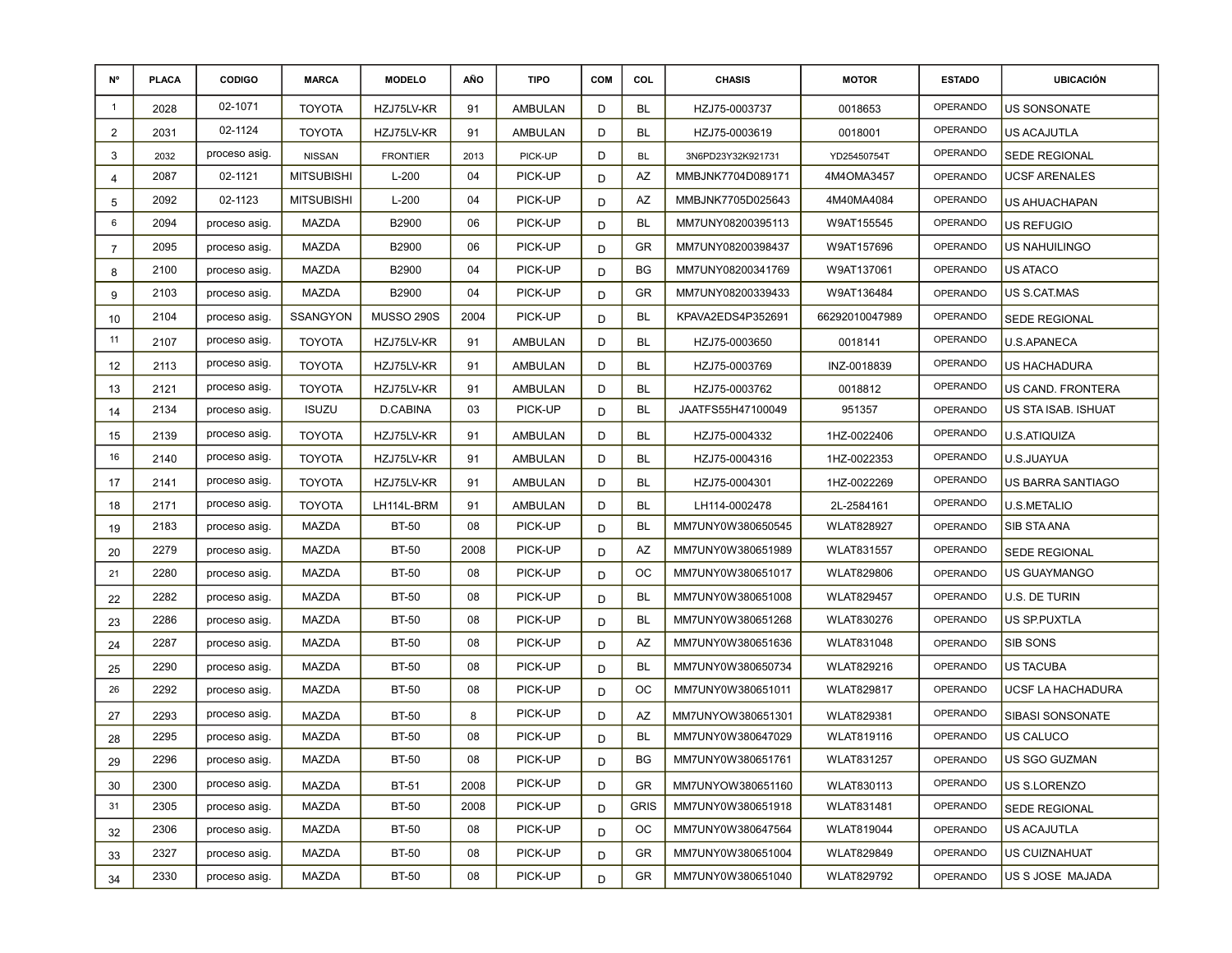| N°             | <b>PLACA</b> | <b>CODIGO</b> | <b>MARCA</b>      | <b>MODELO</b>     | AÑO  | <b>TIPO</b>    | <b>COM</b> | COL         | <b>CHASIS</b>     | <b>MOTOR</b>      | <b>ESTADO</b>   | <b>UBICACIÓN</b>     |
|----------------|--------------|---------------|-------------------|-------------------|------|----------------|------------|-------------|-------------------|-------------------|-----------------|----------------------|
| $\mathbf{1}$   | 2028         | 02-1071       | <b>TOYOTA</b>     | HZJ75LV-KR        | 91   | <b>AMBULAN</b> | D          | BL          | HZJ75-0003737     | 0018653           | OPERANDO        | <b>US SONSONATE</b>  |
| $\overline{2}$ | 2031         | 02-1124       | TOYOTA            | HZJ75LV-KR        | 91   | AMBULAN        | D          | BL          | HZJ75-0003619     | 0018001           | OPERANDO        | US ACAJUTLA          |
| 3              | 2032         | proceso asig. | <b>NISSAN</b>     | <b>FRONTIER</b>   | 2013 | PICK-UP        | D          | <b>BL</b>   | 3N6PD23Y32K921731 | YD25450754T       | OPERANDO        | <b>SEDE REGIONAL</b> |
| 4              | 2087         | 02-1121       | <b>MITSUBISHI</b> | $L-200$           | 04   | PICK-UP        | D          | AZ          | MMBJNK7704D089171 | 4M4OMA3457        | <b>OPERANDO</b> | UCSF ARENALES        |
| 5              | 2092         | 02-1123       | <b>MITSUBISHI</b> | $L-200$           | 04   | PICK-UP        | D          | AZ          | MMBJNK7705D025643 | 4M40MA4084        | OPERANDO        | US AHUACHAPAN        |
| 6              | 2094         | proceso asig. | MAZDA             | B2900             | 06   | PICK-UP        | D          | <b>BL</b>   | MM7UNY08200395113 | W9AT155545        | OPERANDO        | US REFUGIO           |
| 7              | 2095         | proceso asig. | <b>MAZDA</b>      | B2900             | 06   | PICK-UP        | D          | GR          | MM7UNY08200398437 | W9AT157696        | OPERANDO        | <b>US NAHUILINGO</b> |
| 8              | 2100         | proceso asig. | MAZDA             | B2900             | 04   | PICK-UP        | D          | <b>BG</b>   | MM7UNY08200341769 | W9AT137061        | <b>OPERANDO</b> | US ATACO             |
| 9              | 2103         | proceso asig. | MAZDA             | B2900             | 04   | PICK-UP        | D          | GR          | MM7UNY08200339433 | W9AT136484        | OPERANDO        | US S.CAT.MAS         |
| 10             | 2104         | proceso asig. | <b>SSANGYON</b>   | <b>MUSSO 290S</b> | 2004 | PICK-UP        | D          | <b>BL</b>   | KPAVA2EDS4P352691 | 66292010047989    | OPERANDO        | SEDE REGIONAL        |
| 11             | 2107         | proceso asig. | <b>TOYOTA</b>     | HZJ75LV-KR        | 91   | AMBULAN        | D          | BL          | HZJ75-0003650     | 0018141           | OPERANDO        | U.S.APANECA          |
| 12             | 2113         | proceso asig. | <b>TOYOTA</b>     | HZJ75LV-KR        | 91   | AMBULAN        | D          | BL          | HZJ75-0003769     | INZ-0018839       | OPERANDO        | US HACHADURA         |
| 13             | 2121         | proceso asig. | <b>TOYOTA</b>     | HZJ75LV-KR        | 91   | AMBULAN        | D          | BL          | HZJ75-0003762     | 0018812           | OPERANDO        | US CAND. FRONTERA    |
| 14             | 2134         | proceso asig. | <b>ISUZU</b>      | D.CABINA          | 03   | PICK-UP        | D          | BL          | JAATFS55H47100049 | 951357            | <b>OPERANDO</b> | US STA ISAB. ISHUAT  |
| 15             | 2139         | proceso asig. | <b>TOYOTA</b>     | HZJ75LV-KR        | 91   | AMBULAN        | D          | BL          | HZJ75-0004332     | 1HZ-0022406       | OPERANDO        | U.S.ATIQUIZA         |
| 16             | 2140         | proceso asig. | <b>TOYOTA</b>     | HZJ75LV-KR        | 91   | AMBULAN        | D          | <b>BL</b>   | HZJ75-0004316     | 1HZ-0022353       | OPERANDO        | U.S.JUAYUA           |
| 17             | 2141         | proceso asig. | <b>TOYOTA</b>     | HZJ75LV-KR        | 91   | AMBULAN        | D          | BL          | HZJ75-0004301     | 1HZ-0022269       | OPERANDO        | US BARRA SANTIAGO    |
| 18             | 2171         | proceso asig. | TOYOTA            | LH114L-BRM        | 91   | <b>AMBULAN</b> | D          | <b>BL</b>   | LH114-0002478     | 2L-2584161        | OPERANDO        | <b>U.S.METALIO</b>   |
| 19             | 2183         | proceso asig. | MAZDA             | <b>BT-50</b>      | 08   | PICK-UP        | D          | BL          | MM7UNY0W380650545 | <b>WLAT828927</b> | <b>OPERANDO</b> | SIB STA ANA          |
| 20             | 2279         | proceso asig. | MAZDA             | <b>BT-50</b>      | 2008 | PICK-UP        | D          | AZ          | MM7UNY0W380651989 | <b>WLAT831557</b> | OPERANDO        | <b>SEDE REGIONAL</b> |
| 21             | 2280         | proceso asig. | MAZDA             | <b>BT-50</b>      | 08   | PICK-UP        | D          | OС          | MM7UNY0W380651017 | <b>WLAT829806</b> | <b>OPERANDO</b> | <b>US GUAYMANGO</b>  |
| 22             | 2282         | proceso asig. | MAZDA             | <b>BT-50</b>      | 08   | PICK-UP        | D          | BL          | MM7UNY0W380651008 | <b>WLAT829457</b> | <b>OPERANDO</b> | U.S. DE TURIN        |
| 23             | 2286         | proceso asig. | MAZDA             | <b>BT-50</b>      | 08   | PICK-UP        | D          | <b>BL</b>   | MM7UNY0W380651268 | <b>WLAT830276</b> | OPERANDO        | US SP.PUXTLA         |
| 24             | 2287         | proceso asig. | MAZDA             | <b>BT-50</b>      | 08   | PICK-UP        | D          | AZ          | MM7UNY0W380651636 | <b>WLAT831048</b> | OPERANDO        | SIB SONS             |
| 25             | 2290         | proceso asig. | MAZDA             | <b>BT-50</b>      | 08   | PICK-UP        | D          | <b>BL</b>   | MM7UNY0W380650734 | WLAT829216        | OPERANDO        | <b>US TACUBA</b>     |
| 26             | 2292         | proceso asig. | MAZDA             | <b>BT-50</b>      | 08   | PICK-UP        | D          | ОC          | MM7UNY0W380651011 | <b>WLAT829817</b> | <b>OPERANDO</b> | UCSF LA HACHADURA    |
| 27             | 2293         | proceso asig. | MAZDA             | <b>BT-50</b>      | 8    | PICK-UP        | D          | AZ          | MM7UNYOW380651301 | <b>WLAT829381</b> | OPERANDO        | SIBASI SONSONATE     |
| 28             | 2295         | proceso asig. | MAZDA             | <b>BT-50</b>      | 08   | PICK-UP        | D          | BL          | MM7UNY0W380647029 | <b>WLAT819116</b> | OPERANDO        | US CALUCO            |
| 29             | 2296         | proceso asig. | MAZDA             | <b>BT-50</b>      | 08   | PICK-UP        | D          | BG          | MM7UNY0W380651761 | WLAT831257        | OPERANDO        | US SGO GUZMAN        |
| 30             | 2300         | proceso asig. | MAZDA             | <b>BT-51</b>      | 2008 | PICK-UP        | D          | GR.         | MM7UNYOW380651160 | <b>WLAT830113</b> | OPERANDO        | US S.LORENZO         |
| 31             | 2305         | proceso asig. | MAZDA             | <b>BT-50</b>      | 2008 | PICK-UP        | D          | <b>GRIS</b> | MM7UNY0W380651918 | <b>WLAT831481</b> | OPERANDO        | SEDE REGIONAL        |
| 32             | 2306         | proceso asig. | MAZDA             | <b>BT-50</b>      | 08   | PICK-UP        | D          | OС          | MM7UNY0W380647564 | <b>WLAT819044</b> | OPERANDO        | US ACAJUTLA          |
| 33             | 2327         | proceso asig. | MAZDA             | BT-50             | 08   | PICK-UP        | D          | GR          | MM7UNY0W380651004 | <b>WLAT829849</b> | OPERANDO        | US CUIZNAHUAT        |
| 34             | 2330         | proceso asig. | MAZDA             | BT-50             | 08   | PICK-UP        | D          | GR          | MM7UNY0W380651040 | <b>WLAT829792</b> | OPERANDO        | US S JOSE MAJADA     |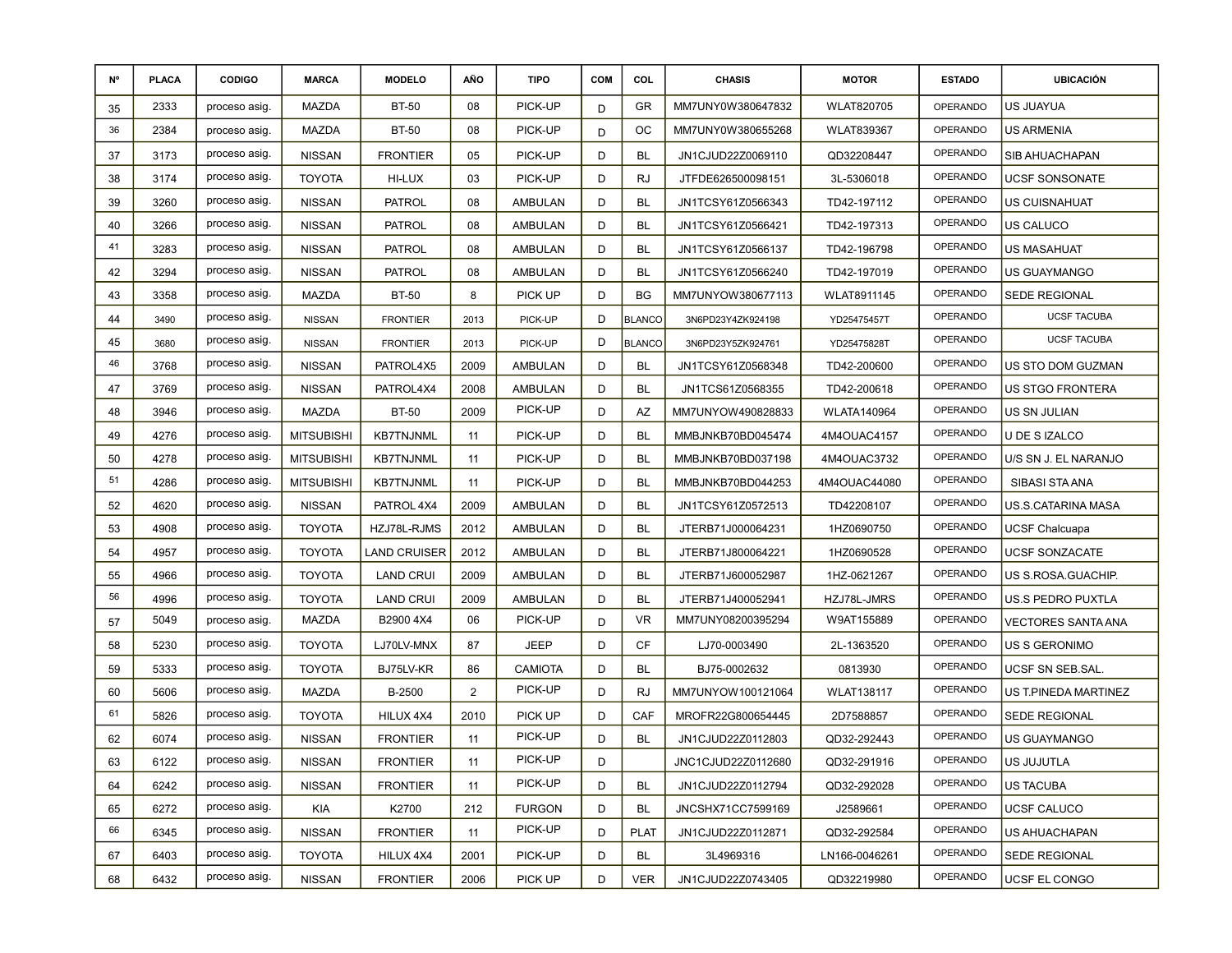| N° | <b>PLACA</b> | <b>CODIGO</b> | <b>MARCA</b>      | <b>MODELO</b>    | AÑO            | <b>TIPO</b>    | <b>COM</b> | COL           | <b>CHASIS</b>      | <b>MOTOR</b>      | <b>ESTADO</b>   | <b>UBICACIÓN</b>          |
|----|--------------|---------------|-------------------|------------------|----------------|----------------|------------|---------------|--------------------|-------------------|-----------------|---------------------------|
| 35 | 2333         | proceso asig. | <b>MAZDA</b>      | <b>BT-50</b>     | 08             | PICK-UP        | D          | GR            | MM7UNY0W380647832  | <b>WLAT820705</b> | OPERANDO        | US JUAYUA                 |
| 36 | 2384         | proceso asig. | MAZDA             | <b>BT-50</b>     | 08             | PICK-UP        | D          | ОC            | MM7UNY0W380655268  | <b>WLAT839367</b> | OPERANDO        | US ARMENIA                |
| 37 | 3173         | proceso asig. | <b>NISSAN</b>     | <b>FRONTIER</b>  | 05             | PICK-UP        | D          | BL            | JN1CJUD22Z0069110  | QD32208447        | OPERANDO        | SIB AHUACHAPAN            |
| 38 | 3174         | proceso asig. | <b>TOYOTA</b>     | HI-LUX           | 03             | PICK-UP        | D          | <b>RJ</b>     | JTFDE626500098151  | 3L-5306018        | OPERANDO        | UCSF SONSONATE            |
| 39 | 3260         | proceso asig. | <b>NISSAN</b>     | <b>PATROL</b>    | 08             | <b>AMBULAN</b> | D          | BL            | JN1TCSY61Z0566343  | TD42-197112       | <b>OPERANDO</b> | US CUISNAHUAT             |
| 40 | 3266         | proceso asig. | <b>NISSAN</b>     | <b>PATROL</b>    | 08             | <b>AMBULAN</b> | D          | <b>BL</b>     | JN1TCSY61Z0566421  | TD42-197313       | OPERANDO        | US CALUCO                 |
| 41 | 3283         | proceso asig. | <b>NISSAN</b>     | <b>PATROL</b>    | 08             | AMBULAN        | D          | BL            | JN1TCSY61Z0566137  | TD42-196798       | OPERANDO        | US MASAHUAT               |
| 42 | 3294         | proceso asig. | <b>NISSAN</b>     | <b>PATROL</b>    | 08             | AMBULAN        | D          | <b>BL</b>     | JN1TCSY61Z0566240  | TD42-197019       | OPERANDO        | US GUAYMANGO              |
| 43 | 3358         | proceso asig. | MAZDA             | <b>BT-50</b>     | 8              | PICK UP        | D          | BG            | MM7UNYOW380677113  | WLAT8911145       | OPERANDO        | SEDE REGIONAL             |
| 44 | 3490         | proceso asig. | <b>NISSAN</b>     | <b>FRONTIER</b>  | 2013           | PICK-UP        | D          | <b>BLANCO</b> | 3N6PD23Y4ZK924198  | YD25475457T       | OPERANDO        | <b>UCSF TACUBA</b>        |
| 45 | 3680         | proceso asig. | <b>NISSAN</b>     | <b>FRONTIER</b>  | 2013           | PICK-UP        | D          | <b>BLANCO</b> | 3N6PD23Y5ZK924761  | YD25475828T       | OPERANDO        | <b>UCSF TACUBA</b>        |
| 46 | 3768         | proceso asig. | <b>NISSAN</b>     | PATROL4X5        | 2009           | AMBULAN        | D          | BL            | JN1TCSY61Z0568348  | TD42-200600       | OPERANDO        | US STO DOM GUZMAN         |
| 47 | 3769         | proceso asig. | <b>NISSAN</b>     | PATROL4X4        | 2008           | <b>AMBULAN</b> | D          | BL            | JN1TCS61Z0568355   | TD42-200618       | <b>OPERANDO</b> | US STGO FRONTERA          |
| 48 | 3946         | proceso asig. | MAZDA             | <b>BT-50</b>     | 2009           | PICK-UP        | D          | AZ            | MM7UNYOW490828833  | WLATA140964       | OPERANDO        | US SN JULIAN              |
| 49 | 4276         | proceso asig. | <b>MITSUBISHI</b> | <b>KB7TNJNML</b> | 11             | PICK-UP        | D          | BL            | MMBJNKB70BD045474  | 4M4OUAC4157       | OPERANDO        | U DE S IZALCO             |
| 50 | 4278         | proceso asig. | <b>MITSUBISHI</b> | <b>KB7TNJNML</b> | 11             | PICK-UP        | D          | <b>BL</b>     | MMBJNKB70BD037198  | 4M4OUAC3732       | OPERANDO        | U/S SN J. EL NARANJO      |
| 51 | 4286         | proceso asig. | <b>MITSUBISHI</b> | <b>KB7TNJNML</b> | 11             | PICK-UP        | D          | BL            | MMBJNKB70BD044253  | 4M4OUAC44080      | <b>OPERANDO</b> | SIBASI STA ANA            |
| 52 | 4620         | proceso asig. | <b>NISSAN</b>     | PATROL 4X4       | 2009           | AMBULAN        | D          | <b>BL</b>     | JN1TCSY61Z0572513  | TD42208107        | OPERANDO        | US.S.CATARINA MASA        |
| 53 | 4908         | proceso asig. | <b>TOYOTA</b>     | HZJ78L-RJMS      | 2012           | <b>AMBULAN</b> | D          | <b>BL</b>     | JTERB71J000064231  | 1HZ0690750        | OPERANDO        | <b>UCSF Chalcuapa</b>     |
| 54 | 4957         | proceso asig. | <b>TOYOTA</b>     | LAND CRUISER     | 2012           | <b>AMBULAN</b> | D          | BL            | JTERB71J800064221  | 1HZ0690528        | OPERANDO        | UCSF SONZACATE            |
| 55 | 4966         | proceso asig. | <b>TOYOTA</b>     | <b>LAND CRUI</b> | 2009           | <b>AMBULAN</b> | D          | BL            | JTERB71J600052987  | 1HZ-0621267       | OPERANDO        | US S.ROSA.GUACHIP.        |
| 56 | 4996         | proceso asig. | <b>TOYOTA</b>     | <b>LAND CRUI</b> | 2009           | <b>AMBULAN</b> | D          | BL            | JTERB71J400052941  | HZJ78L-JMRS       | OPERANDO        | US.S PEDRO PUXTLA         |
| 57 | 5049         | proceso asig. | MAZDA             | B2900 4X4        | 06             | PICK-UP        | D          | <b>VR</b>     | MM7UNY08200395294  | W9AT155889        | OPERANDO        | <b>VECTORES SANTA ANA</b> |
| 58 | 5230         | proceso asig. | <b>TOYOTA</b>     | LJ70LV-MNX       | 87             | <b>JEEP</b>    | D          | CF            | LJ70-0003490       | 2L-1363520        | OPERANDO        | US S GERONIMO             |
| 59 | 5333         | proceso asig. | <b>TOYOTA</b>     | BJ75LV-KR        | 86             | <b>CAMIOTA</b> | D          | BL            | BJ75-0002632       | 0813930           | OPERANDO        | UCSF SN SEB.SAL.          |
| 60 | 5606         | proceso asig. | MAZDA             | B-2500           | $\overline{2}$ | PICK-UP        | D          | <b>RJ</b>     | MM7UNYOW100121064  | <b>WLAT138117</b> | OPERANDO        | US T.PINEDA MARTINEZ      |
| 61 | 5826         | proceso asig. | <b>TOYOTA</b>     | HILUX 4X4        | 2010           | PICK UP        | D          | CAF           | MROFR22G800654445  | 2D7588857         | OPERANDO        | SEDE REGIONAL             |
| 62 | 6074         | proceso asig. | <b>NISSAN</b>     | <b>FRONTIER</b>  | 11             | PICK-UP        | D          | BL            | JN1CJUD22Z0112803  | QD32-292443       | OPERANDO        | US GUAYMANGO              |
| 63 | 6122         | proceso asig. | <b>NISSAN</b>     | <b>FRONTIER</b>  | 11             | PICK-UP        | D          |               | JNC1CJUD22Z0112680 | QD32-291916       | OPERANDO        | US JUJUTLA                |
| 64 | 6242         | proceso asig. | <b>NISSAN</b>     | <b>FRONTIER</b>  | 11             | PICK-UP        | D          | BL            | JN1CJUD22Z0112794  | QD32-292028       | <b>OPERANDO</b> | US TACUBA                 |
| 65 | 6272         | proceso asig. | KIA               | K2700            | 212            | <b>FURGON</b>  | D          | BL            | JNCSHX71CC7599169  | J2589661          | OPERANDO        | UCSF CALUCO               |
| 66 | 6345         | proceso asig. | <b>NISSAN</b>     | <b>FRONTIER</b>  | 11             | PICK-UP        | D          | <b>PLAT</b>   | JN1CJUD22Z0112871  | QD32-292584       | OPERANDO        | US AHUACHAPAN             |
| 67 | 6403         | proceso asig. | <b>TOYOTA</b>     | HILUX 4X4        | 2001           | PICK-UP        | D          | BL            | 3L4969316          | LN166-0046261     | OPERANDO        | SEDE REGIONAL             |
| 68 | 6432         | proceso asig. | <b>NISSAN</b>     | <b>FRONTIER</b>  | 2006           | PICK UP        | D          | <b>VER</b>    | JN1CJUD22Z0743405  | QD32219980        | OPERANDO        | UCSF EL CONGO             |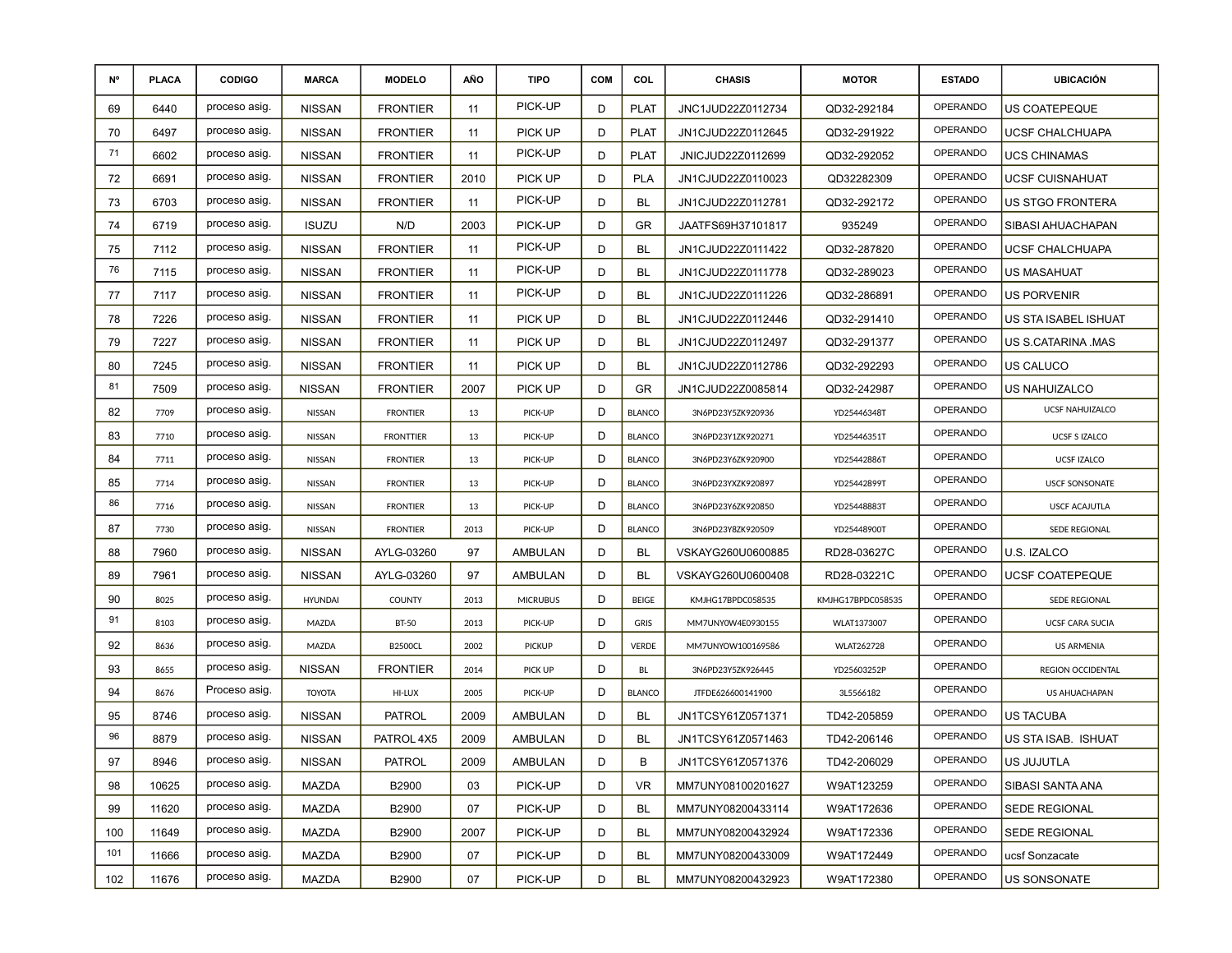| N°  | <b>PLACA</b> | <b>CODIGO</b> | <b>MARCA</b>   | <b>MODELO</b>    | AÑO  | <b>TIPO</b>     | <b>COM</b> | COL           | <b>CHASIS</b>     | <b>MOTOR</b>      | <b>ESTADO</b>   | <b>UBICACIÓN</b>       |
|-----|--------------|---------------|----------------|------------------|------|-----------------|------------|---------------|-------------------|-------------------|-----------------|------------------------|
| 69  | 6440         | proceso asig. | <b>NISSAN</b>  | <b>FRONTIER</b>  | 11   | PICK-UP         | D          | <b>PLAT</b>   | JNC1JUD22Z0112734 | QD32-292184       | <b>OPERANDO</b> | <b>US COATEPEQUE</b>   |
| 70  | 6497         | proceso asig. | <b>NISSAN</b>  | <b>FRONTIER</b>  | 11   | PICK UP         | D          | <b>PLAT</b>   | JN1CJUD22Z0112645 | QD32-291922       | OPERANDO        | UCSF CHALCHUAPA        |
| 71  | 6602         | proceso asig. | <b>NISSAN</b>  | <b>FRONTIER</b>  | 11   | PICK-UP         | D          | <b>PLAT</b>   | JNICJUD22Z0112699 | QD32-292052       | OPERANDO        | <b>UCS CHINAMAS</b>    |
| 72  | 6691         | proceso asig. | <b>NISSAN</b>  | <b>FRONTIER</b>  | 2010 | PICK UP         | D          | <b>PLA</b>    | JN1CJUD22Z0110023 | QD32282309        | OPERANDO        | UCSF CUISNAHUAT        |
| 73  | 6703         | proceso asig. | <b>NISSAN</b>  | <b>FRONTIER</b>  | 11   | PICK-UP         | D          | BL            | JN1CJUD22Z0112781 | QD32-292172       | OPERANDO        | US STGO FRONTERA       |
| 74  | 6719         | proceso asig. | <b>ISUZU</b>   | N/D              | 2003 | PICK-UP         | D          | GR            | JAATFS69H37101817 | 935249            | OPERANDO        | SIBASI AHUACHAPAN      |
| 75  | 7112         | proceso asig. | <b>NISSAN</b>  | <b>FRONTIER</b>  | 11   | PICK-UP         | D          | <b>BL</b>     | JN1CJUD22Z0111422 | QD32-287820       | OPERANDO        | UCSF CHALCHUAPA        |
| 76  | 7115         | proceso asig. | <b>NISSAN</b>  | <b>FRONTIER</b>  | 11   | PICK-UP         | D          | BL            | JN1CJUD22Z0111778 | QD32-289023       | OPERANDO        | US MASAHUAT            |
| 77  | 7117         | proceso asig. | <b>NISSAN</b>  | <b>FRONTIER</b>  | 11   | PICK-UP         | D          | BL            | JN1CJUD22Z0111226 | QD32-286891       | <b>OPERANDO</b> | <b>US PORVENIR</b>     |
| 78  | 7226         | proceso asig. | <b>NISSAN</b>  | <b>FRONTIER</b>  | 11   | PICK UP         | D          | BL            | JN1CJUD22Z0112446 | QD32-291410       | OPERANDO        | US STA ISABEL ISHUAT   |
| 79  | 7227         | proceso asig. | <b>NISSAN</b>  | <b>FRONTIER</b>  | 11   | PICK UP         | D          | <b>BL</b>     | JN1CJUD22Z0112497 | QD32-291377       | OPERANDO        | US S.CATARINA MAS      |
| 80  | 7245         | proceso asig. | <b>NISSAN</b>  | <b>FRONTIER</b>  | 11   | PICK UP         | D          | BL            | JN1CJUD22Z0112786 | QD32-292293       | <b>OPERANDO</b> | US CALUCO              |
| 81  | 7509         | proceso asig. | <b>NISSAN</b>  | <b>FRONTIER</b>  | 2007 | PICK UP         | D          | GR            | JN1CJUD22Z0085814 | QD32-242987       | <b>OPERANDO</b> | <b>US NAHUIZALCO</b>   |
| 82  | 7709         | proceso asig. | NISSAN         | <b>FRONTIER</b>  | 13   | PICK-UP         | D          | <b>BLANCO</b> | 3N6PD23Y5ZK920936 | YD25446348T       | <b>OPERANDO</b> | <b>UCSF NAHUIZALCO</b> |
| 83  | 7710         | proceso asig. | NISSAN         | <b>FRONTTIER</b> | 13   | PICK-UP         | D          | <b>BLANCO</b> | 3N6PD23Y1ZK920271 | YD25446351T       | <b>OPERANDO</b> | <b>UCSF S IZALCO</b>   |
| 84  | 7711         | proceso asig. | NISSAN         | <b>FRONTIER</b>  | 13   | PICK-UP         | D          | <b>BLANCO</b> | 3N6PD23Y6ZK920900 | YD25442886T       | <b>OPERANDO</b> | UCSF IZALCO            |
| 85  | 7714         | proceso asig. | NISSAN         | <b>FRONTIER</b>  | 13   | PICK-UP         | D          | <b>BLANCO</b> | 3N6PD23YXZK920897 | YD25442899T       | <b>OPERANDO</b> | <b>USCF SONSONATE</b>  |
| 86  | 7716         | proceso asig. | NISSAN         | <b>FRONTIER</b>  | 13   | PICK-UP         | D          | <b>BLANCO</b> | 3N6PD23Y6ZK920850 | YD25448883T       | <b>OPERANDO</b> | <b>USCF ACAJUTLA</b>   |
| 87  | 7730         | proceso asig. | NISSAN         | <b>FRONTIER</b>  | 2013 | PICK-UP         | D          | <b>BLANCO</b> | 3N6PD23Y8ZK920509 | YD25448900T       | <b>OPERANDO</b> | SEDE REGIONAL          |
| 88  | 7960         | proceso asig. | <b>NISSAN</b>  | AYLG-03260       | 97   | AMBULAN         | D          | <b>BL</b>     | VSKAYG260U0600885 | RD28-03627C       | <b>OPERANDO</b> | U.S. IZALCO            |
| 89  | 7961         | proceso asig. | <b>NISSAN</b>  | AYLG-03260       | 97   | AMBULAN         | D          | BL            | VSKAYG260U0600408 | RD28-03221C       | <b>OPERANDO</b> | <b>UCSF COATEPEQUE</b> |
| 90  | 8025         | proceso asig. | <b>HYUNDAI</b> | <b>COUNTY</b>    | 2013 | <b>MICRUBUS</b> | D          | <b>BEIGE</b>  | KMJHG17BPDC058535 | KMJHG17BPDC058535 | <b>OPERANDO</b> | SEDE REGIONAL          |
| 91  | 8103         | proceso asig. | MAZDA          | <b>BT-50</b>     | 2013 | PICK-UP         | D          | GRIS          | MM7UNY0W4E0930155 | WLAT1373007       | <b>OPERANDO</b> | <b>UCSF CARA SUCIA</b> |
| 92  | 8636         | proceso asig. | MAZDA          | <b>B2500CL</b>   | 2002 | <b>PICKUP</b>   | D          | <b>VERDE</b>  | MM7UNYOW100169586 | <b>WLAT262728</b> | <b>OPERANDO</b> | <b>US ARMENIA</b>      |
| 93  | 8655         | proceso asig. | <b>NISSAN</b>  | <b>FRONTIER</b>  | 2014 | PICK UP         | D          | BL            | 3N6PD23Y5ZK926445 | YD25603252P       | <b>OPERANDO</b> | REGION OCCIDENTAL      |
| 94  | 8676         | Proceso asig. | <b>TOYOTA</b>  | HI-LUX           | 2005 | PICK-UP         | D          | <b>BLANCO</b> | JTFDE626600141900 | 3L5566182         | <b>OPERANDO</b> | US AHUACHAPAN          |
| 95  | 8746         | proceso asig. | <b>NISSAN</b>  | <b>PATROL</b>    | 2009 | AMBULAN         | D          | BL            | JN1TCSY61Z0571371 | TD42-205859       | OPERANDO        | <b>US TACUBA</b>       |
| 96  | 8879         | proceso asig. | <b>NISSAN</b>  | PATROL 4X5       | 2009 | <b>AMBULAN</b>  | D          | BL            | JN1TCSY61Z0571463 | TD42-206146       | OPERANDO        | US STA ISAB. ISHUAT    |
| 97  | 8946         | proceso asig. | <b>NISSAN</b>  | PATROL           | 2009 | AMBULAN         | D          | В             | JN1TCSY61Z0571376 | TD42-206029       | OPERANDO        | US JUJUTLA             |
| 98  | 10625        | proceso asig. | MAZDA          | B2900            | 03   | PICK-UP         | D          | VR.           | MM7UNY08100201627 | W9AT123259        | <b>OPERANDO</b> | SIBASI SANTA ANA       |
| 99  | 11620        | proceso asig. | MAZDA          | B2900            | 07   | PICK-UP         | D          | BL            | MM7UNY08200433114 | W9AT172636        | OPERANDO        | SEDE REGIONAL          |
| 100 | 11649        | proceso asig. | MAZDA          | B2900            | 2007 | PICK-UP         | D          | BL            | MM7UNY08200432924 | W9AT172336        | OPERANDO        | SEDE REGIONAL          |
| 101 | 11666        | proceso asig. | MAZDA          | B2900            | 07   | PICK-UP         | D          | <b>BL</b>     | MM7UNY08200433009 | W9AT172449        | OPERANDO        | ucsf Sonzacate         |
| 102 | 11676        | proceso asig. | MAZDA          | B2900            | 07   | PICK-UP         | D          | BL            | MM7UNY08200432923 | W9AT172380        | <b>OPERANDO</b> | US SONSONATE           |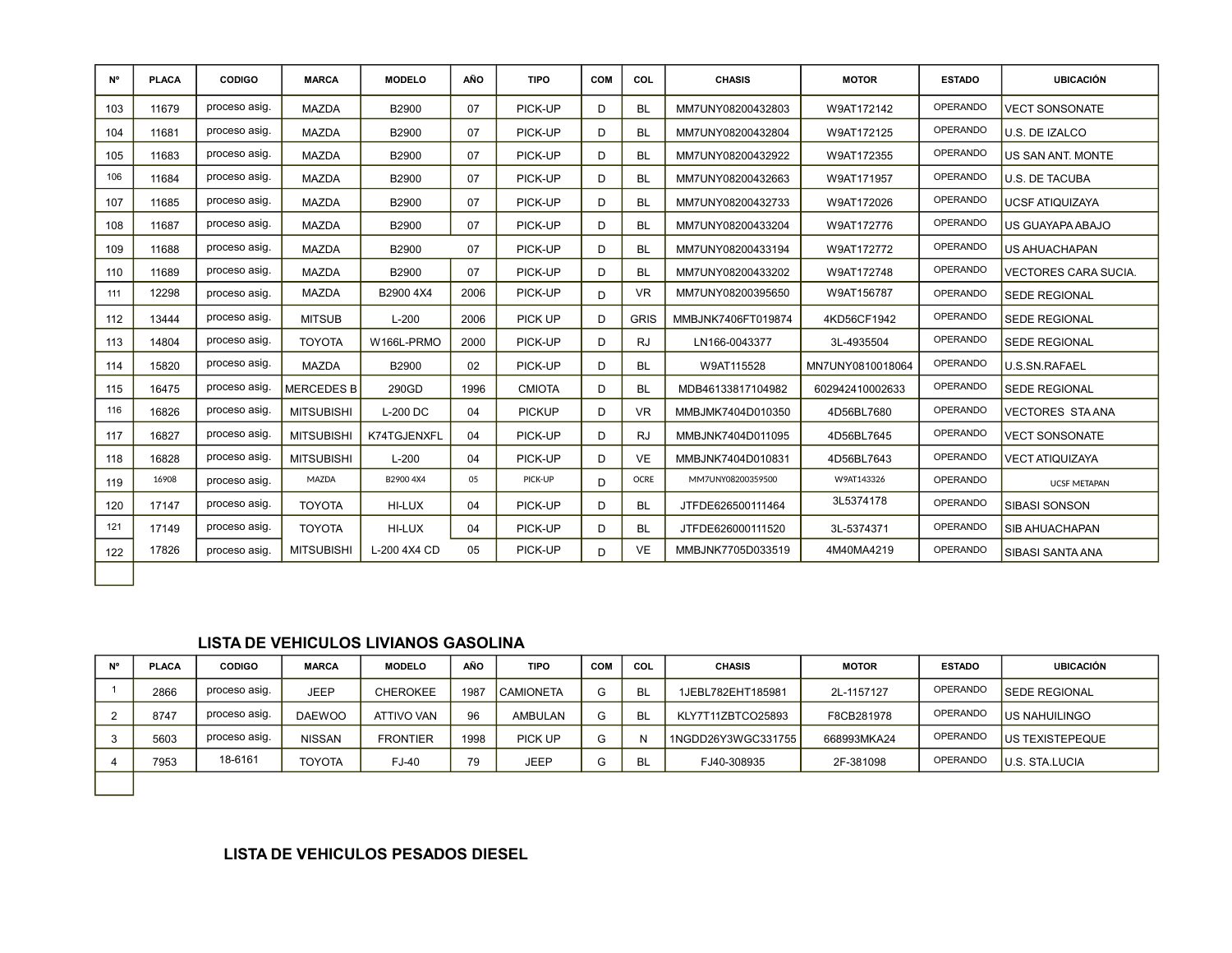| <b>N°</b> | <b>PLACA</b> | <b>CODIGO</b> | <b>MARCA</b>      | <b>MODELO</b>   | <b>AÑO</b> | <b>TIPO</b>   | <b>COM</b>   | COL         | <b>CHASIS</b>      | <b>MOTOR</b>     | <b>ESTADO</b>   | <b>UBICACIÓN</b>            |
|-----------|--------------|---------------|-------------------|-----------------|------------|---------------|--------------|-------------|--------------------|------------------|-----------------|-----------------------------|
| 103       | 11679        | proceso asig. | <b>MAZDA</b>      | B2900           | 07         | PICK-UP       | D            | <b>BL</b>   | MM7UNY08200432803  | W9AT172142       | <b>OPERANDO</b> | <b>VECT SONSONATE</b>       |
| 104       | 11681        | proceso asig. | <b>MAZDA</b>      | B2900           | 07         | PICK-UP       | D            | <b>BL</b>   | MM7UNY08200432804  | W9AT172125       | <b>OPERANDO</b> | U.S. DE IZALCO              |
| 105       | 11683        | proceso asig. | <b>MAZDA</b>      | B2900           | 07         | PICK-UP       | D            | <b>BL</b>   | MM7UNY08200432922  | W9AT172355       | <b>OPERANDO</b> | US SAN ANT. MONTE           |
| 106       | 11684        | proceso asig. | <b>MAZDA</b>      | B2900           | 07         | PICK-UP       | D            | <b>BL</b>   | MM7UNY08200432663  | W9AT171957       | <b>OPERANDO</b> | <b>U.S. DE TACUBA</b>       |
| 107       | 11685        | proceso asig. | <b>MAZDA</b>      | B2900           | 07         | PICK-UP       | D            | <b>BL</b>   | MM7UNY08200432733  | W9AT172026       | <b>OPERANDO</b> | <b>UCSF ATIQUIZAYA</b>      |
| 108       | 11687        | proceso asig. | <b>MAZDA</b>      | B2900           | 07         | PICK-UP       | D.           | <b>BL</b>   | MM7UNY08200433204  | W9AT172776       | <b>OPERANDO</b> | US GUAYAPA ABAJO            |
| 109       | 11688        | proceso asig. | <b>MAZDA</b>      | B2900           | 07         | PICK-UP       | D            | <b>BL</b>   | MM7UNY08200433194  | W9AT172772       | OPERANDO        | <b>US AHUACHAPAN</b>        |
| 110       | 11689        | proceso asig. | <b>MAZDA</b>      | B2900           | 07         | PICK-UP       | D.           | <b>BL</b>   | MM7UNY08200433202  | W9AT172748       | <b>OPERANDO</b> | <b>VECTORES CARA SUCIA.</b> |
| 111       | 12298        | proceso asig. | <b>MAZDA</b>      | B2900 4X4       | 2006       | PICK-UP       | D.           | <b>VR</b>   | MM7UNY08200395650  | W9AT156787       | <b>OPERANDO</b> | <b>SEDE REGIONAL</b>        |
| 112       | 13444        | proceso asig. | <b>MITSUB</b>     | $L-200$         | 2006       | PICK UP       | D            | <b>GRIS</b> | MMBJNK7406FT019874 | 4KD56CF1942      | <b>OPERANDO</b> | <b>SEDE REGIONAL</b>        |
| 113       | 14804        | proceso asig. | <b>TOYOTA</b>     | W166L-PRMO      | 2000       | PICK-UP       | D            | <b>RJ</b>   | LN166-0043377      | 3L-4935504       | <b>OPERANDO</b> | <b>SEDE REGIONAL</b>        |
| 114       | 15820        | proceso asig. | <b>MAZDA</b>      | B2900           | 02         | PICK-UP       | D.           | <b>BL</b>   | W9AT115528         | MN7UNY0810018064 | <b>OPERANDO</b> | U.S.SN.RAFAEL               |
| 115       | 16475        | proceso asig. | <b>MERCEDES B</b> | 290GD           | 1996       | <b>CMIOTA</b> | D            | <b>BL</b>   | MDB46133817104982  | 602942410002633  | <b>OPERANDO</b> | <b>SEDE REGIONAL</b>        |
| 116       | 16826        | proceso asig. | <b>MITSUBISHI</b> | <b>L-200 DC</b> | 04         | <b>PICKUP</b> | D.           | <b>VR</b>   | MMBJMK7404D010350  | 4D56BL7680       | <b>OPERANDO</b> | <b>VECTORES STAANA</b>      |
| 117       | 16827        | proceso asig. | <b>MITSUBISHI</b> | K74TGJENXFL     | 04         | PICK-UP       | D            | <b>RJ</b>   | MMBJNK7404D011095  | 4D56BL7645       | <b>OPERANDO</b> | <b>VECT SONSONATE</b>       |
| 118       | 16828        | proceso asig. | <b>MITSUBISHI</b> | $L-200$         | 04         | PICK-UP       | D            | <b>VE</b>   | MMBJNK7404D010831  | 4D56BL7643       | <b>OPERANDO</b> | <b>VECT ATIQUIZAYA</b>      |
| 119       | 16908        | proceso asig. | <b>MAZDA</b>      | B2900 4X4       | 05         | PICK-UP       | D.           | <b>OCRE</b> | MM7UNY08200359500  | W9AT143326       | <b>OPERANDO</b> | <b>UCSF METAPAN</b>         |
| 120       | 17147        | proceso asig. | <b>TOYOTA</b>     | HI-LUX          | 04         | PICK-UP       | D            | <b>BL</b>   | JTFDE626500111464  | 3L5374178        | <b>OPERANDO</b> | <b>SIBASI SONSON</b>        |
| 121       | 17149        | proceso asig. | <b>TOYOTA</b>     | HI-LUX          | 04         | PICK-UP       | D            | <b>BL</b>   | JTFDE626000111520  | 3L-5374371       | <b>OPERANDO</b> | <b>SIB AHUACHAPAN</b>       |
| 122       | 17826        | proceso asig. | <b>MITSUBISHI</b> | L-200 4X4 CD    | 05         | PICK-UP       | <sub>D</sub> | <b>VE</b>   | MMBJNK7705D033519  | 4M40MA4219       | OPERANDO        | <b>SIBASI SANTA ANA</b>     |
|           |              |               |                   |                 |            |               |              |             |                    |                  |                 |                             |

### **LISTA DE VEHICULOS LIVIANOS GASOLINA**

| N° | <b>PLACA</b> | <b>CODIGO</b> | <b>MARCA</b>  | <b>MODELO</b>   | AÑO  | <b>TIPO</b>      | <b>COM</b> | COL | <b>CHASIS</b>      | <b>MOTOR</b> | <b>ESTADO</b>   | UBICACIÓN             |
|----|--------------|---------------|---------------|-----------------|------|------------------|------------|-----|--------------------|--------------|-----------------|-----------------------|
|    | 2866         | proceso asig. | <b>JEEP</b>   | <b>CHEROKEE</b> | 1987 | <b>CAMIONETA</b> | G          |     | 1JEBL782EHT185981  | 2L-1157127   | OPERANDO        | <b>SEDE REGIONAL</b>  |
|    | 8747         | proceso asig. | <b>DAEWOO</b> | ATTIVO VAN      | 96   | AMBULAN          | G          |     | KLY7T11ZBTCO25893  | F8CB281978   | <b>OPERANDO</b> | US NAHUILINGO         |
|    | 5603         | proceso asig. | <b>NISSAN</b> | <b>FRONTIER</b> | 1998 | PICK UP          | G          |     | 1NGDD26Y3WGC331755 | 668993MKA24  | OPERANDO        | US TEXISTEPEQUE       |
|    | 7953         | 18-6161       | <b>TOYOTA</b> | FJ-40           | 79   | JEEP             |            | BL  | FJ40-308935        | 2F-381098    | <b>OPERANDO</b> | <b>U.S. STA.LUCIA</b> |
|    |              |               |               |                 |      |                  |            |     |                    |              |                 |                       |

### **LISTA DE VEHICULOS PESADOS DIESEL**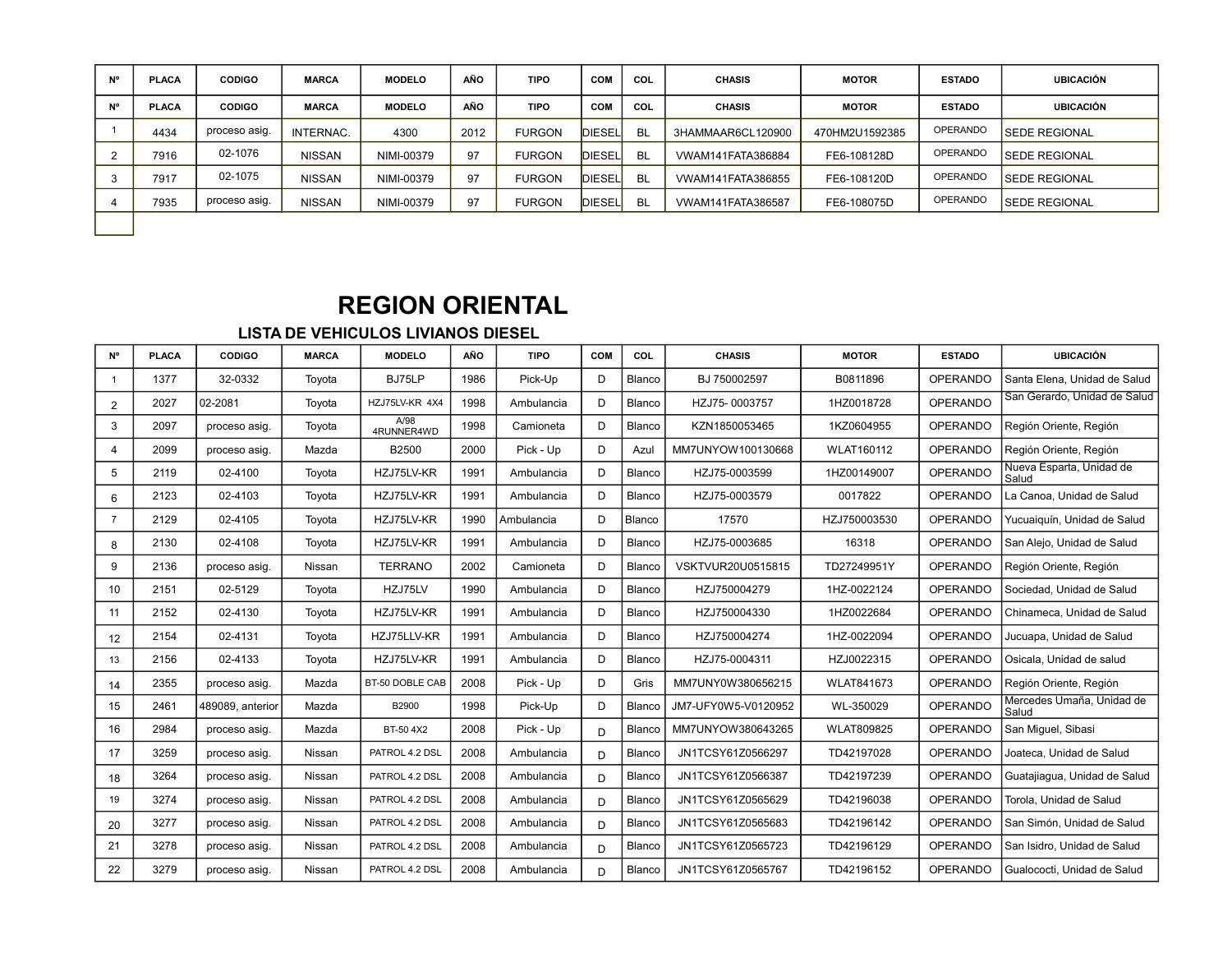| N° | <b>PLACA</b> | <b>CODIGO</b> | <b>MARCA</b>  | <b>MODELO</b> | AÑO  | <b>TIPO</b>   | <b>COM</b>    | COL       | <b>CHASIS</b>     | <b>MOTOR</b>   | <b>ESTADO</b>   | <b>UBICACIÓN</b>     |
|----|--------------|---------------|---------------|---------------|------|---------------|---------------|-----------|-------------------|----------------|-----------------|----------------------|
| N° | <b>PLACA</b> | <b>CODIGO</b> | <b>MARCA</b>  | <b>MODELO</b> | AÑO  | <b>TIPO</b>   | COM           | COL       | <b>CHASIS</b>     | <b>MOTOR</b>   | <b>ESTADO</b>   | <b>UBICACIÓN</b>     |
|    | 4434         | proceso asig. | INTERNAC.     | 4300          | 2012 | <b>FURGON</b> | DIESEL        | <b>BL</b> | 3HAMMAAR6CL120900 | 470HM2U1592385 | <b>OPERANDO</b> | <b>SEDE REGIONAL</b> |
|    | 7916         | 02-1076       | <b>NISSAN</b> | NIMI-00379    | 97   | <b>FURGON</b> | <b>DIESEL</b> | <b>BL</b> | VWAM141FATA386884 | FE6-108128D    | <b>OPERANDO</b> | <b>SEDE REGIONAL</b> |
| د. | 7917         | 02-1075       | <b>NISSAN</b> | NIMI-00379    | 97   | <b>FURGON</b> | <b>DIESEL</b> | <b>BL</b> | VWAM141FATA386855 | FE6-108120D    | OPERANDO        | <b>SEDE REGIONAL</b> |
|    | 7935         | proceso asig. | <b>NISSAN</b> | NIMI-00379    | 97   | <b>FURGON</b> | <b>DIESEL</b> | <b>BL</b> | VWAM141FATA386587 | FE6-108075D    | OPERANDO        | <b>SEDE REGIONAL</b> |
|    |              |               |               |               |      |               |               |           |                   |                |                 |                      |

# **REGION ORIENTAL**

### **LISTA DE VEHICULOS LIVIANOS DIESEL**

| <b>N°</b>      | <b>PLACA</b> | <b>CODIGO</b>    | <b>MARCA</b> | <b>MODELO</b>      | AÑO  | <b>TIPO</b> | COM | COL    | <b>CHASIS</b>       | <b>MOTOR</b>      | <b>ESTADO</b>   | <b>UBICACIÓN</b>                   |
|----------------|--------------|------------------|--------------|--------------------|------|-------------|-----|--------|---------------------|-------------------|-----------------|------------------------------------|
|                | 1377         | 32-0332          | Toyota       | BJ75LP             | 1986 | Pick-Up     | D   | Blanco | BJ 750002597        | B0811896          | <b>OPERANDO</b> | Santa Elena, Unidad de Salud       |
| $\overline{2}$ | 2027         | 02-2081          | Toyota       | HZJ75LV-KR 4X4     | 1998 | Ambulancia  | D   | Blanco | HZJ75-0003757       | 1HZ0018728        | <b>OPERANDO</b> | San Gerardo, Unidad de Salud       |
| 3              | 2097         | proceso asig.    | Toyota       | A/98<br>4RUNNER4WD | 1998 | Camioneta   | D   | Blanco | KZN1850053465       | 1KZ0604955        | <b>OPERANDO</b> | Región Oriente, Región             |
| 4              | 2099         | proceso asig.    | Mazda        | B2500              | 2000 | Pick - Up   | D   | Azul   | MM7UNYOW100130668   | <b>WLAT160112</b> | <b>OPERANDO</b> | Región Oriente, Región             |
| 5              | 2119         | 02-4100          | Toyota       | HZJ75LV-KR         | 1991 | Ambulancia  | D   | Blanco | HZJ75-0003599       | 1HZ00149007       | <b>OPERANDO</b> | Nueva Esparta, Unidad de<br>Salud  |
| 6              | 2123         | 02-4103          | Toyota       | HZJ75LV-KR         | 1991 | Ambulancia  | D   | Blanco | HZJ75-0003579       | 0017822           | <b>OPERANDO</b> | La Canoa, Unidad de Salud          |
| $\overline{7}$ | 2129         | 02-4105          | Toyota       | HZJ75LV-KR         | 1990 | Ambulancia  | D   | Blanco | 17570               | HZJ750003530      | <b>OPERANDO</b> | Yucuaiguín, Unidad de Salud        |
| 8              | 2130         | 02-4108          | Toyota       | HZJ75LV-KR         | 1991 | Ambulancia  | D   | Blanco | HZJ75-0003685       | 16318             | <b>OPERANDO</b> | San Alejo, Unidad de Salud         |
| 9              | 2136         | proceso asig.    | Nissan       | <b>TERRANO</b>     | 2002 | Camioneta   | D   | Blanco | VSKTVUR20U0515815   | TD27249951Y       | <b>OPERANDO</b> | Región Oriente, Región             |
| 10             | 2151         | 02-5129          | Toyota       | HZJ75LV            | 1990 | Ambulancia  | D   | Blanco | HZJ750004279        | 1HZ-0022124       | <b>OPERANDO</b> | Sociedad, Unidad de Salud          |
| 11             | 2152         | 02-4130          | Toyota       | HZJ75LV-KR         | 1991 | Ambulancia  | D   | Blanco | HZJ750004330        | 1HZ0022684        | <b>OPERANDO</b> | Chinameca, Unidad de Salud         |
| 12             | 2154         | 02-4131          | Toyota       | HZJ75LLV-KR        | 1991 | Ambulancia  | D   | Blanco | HZJ750004274        | 1HZ-0022094       | <b>OPERANDO</b> | Jucuapa, Unidad de Salud           |
| 13             | 2156         | 02-4133          | Toyota       | HZJ75LV-KR         | 1991 | Ambulancia  | D   | Blanco | HZJ75-0004311       | HZJ0022315        | <b>OPERANDO</b> | Osicala, Unidad de salud           |
| 14             | 2355         | proceso asig.    | Mazda        | BT-50 DOBLE CAB    | 2008 | Pick - Up   | D   | Gris   | MM7UNY0W380656215   | <b>WLAT841673</b> | <b>OPERANDO</b> | Región Oriente, Región             |
| 15             | 2461         | 489089, anterior | Mazda        | B2900              | 1998 | Pick-Up     | D   | Blanco | JM7-UFY0W5-V0120952 | WL-350029         | <b>OPERANDO</b> | Mercedes Umaña, Unidad de<br>Salud |
| 16             | 2984         | proceso asig.    | Mazda        | BT-50 4X2          | 2008 | Pick - Up   | D   | Blanco | MM7UNYOW380643265   | <b>WLAT809825</b> | <b>OPERANDO</b> | San Miquel, Sibasi                 |
| 17             | 3259         | proceso asig.    | Nissan       | PATROL 4.2 DSL     | 2008 | Ambulancia  | D   | Blanco | JN1TCSY61Z0566297   | TD42197028        | <b>OPERANDO</b> | Joateca, Unidad de Salud           |
| 18             | 3264         | proceso asig.    | Nissan       | PATROL 4.2 DSL     | 2008 | Ambulancia  | D   | Blanco | JN1TCSY61Z0566387   | TD42197239        | <b>OPERANDO</b> | Guatajiaqua, Unidad de Salud       |
| 19             | 3274         | proceso asig.    | Nissan       | PATROL 4.2 DSL     | 2008 | Ambulancia  | D   | Blanco | JN1TCSY61Z0565629   | TD42196038        | <b>OPERANDO</b> | Torola, Unidad de Salud            |
| 20             | 3277         | proceso asig.    | Nissan       | PATROL 4.2 DSL     | 2008 | Ambulancia  | D   | Blanco | JN1TCSY61Z0565683   | TD42196142        | <b>OPERANDO</b> | San Simón, Unidad de Salud         |
| 21             | 3278         | proceso asig.    | Nissan       | PATROL 4.2 DSL     | 2008 | Ambulancia  | D   | Blanco | JN1TCSY61Z0565723   | TD42196129        | <b>OPERANDO</b> | San Isidro, Unidad de Salud        |
| 22             | 3279         | proceso asig.    | Nissan       | PATROL 4.2 DSL     | 2008 | Ambulancia  | D   | Blanco | JN1TCSY61Z0565767   | TD42196152        | <b>OPERANDO</b> | Gualococti, Unidad de Salud        |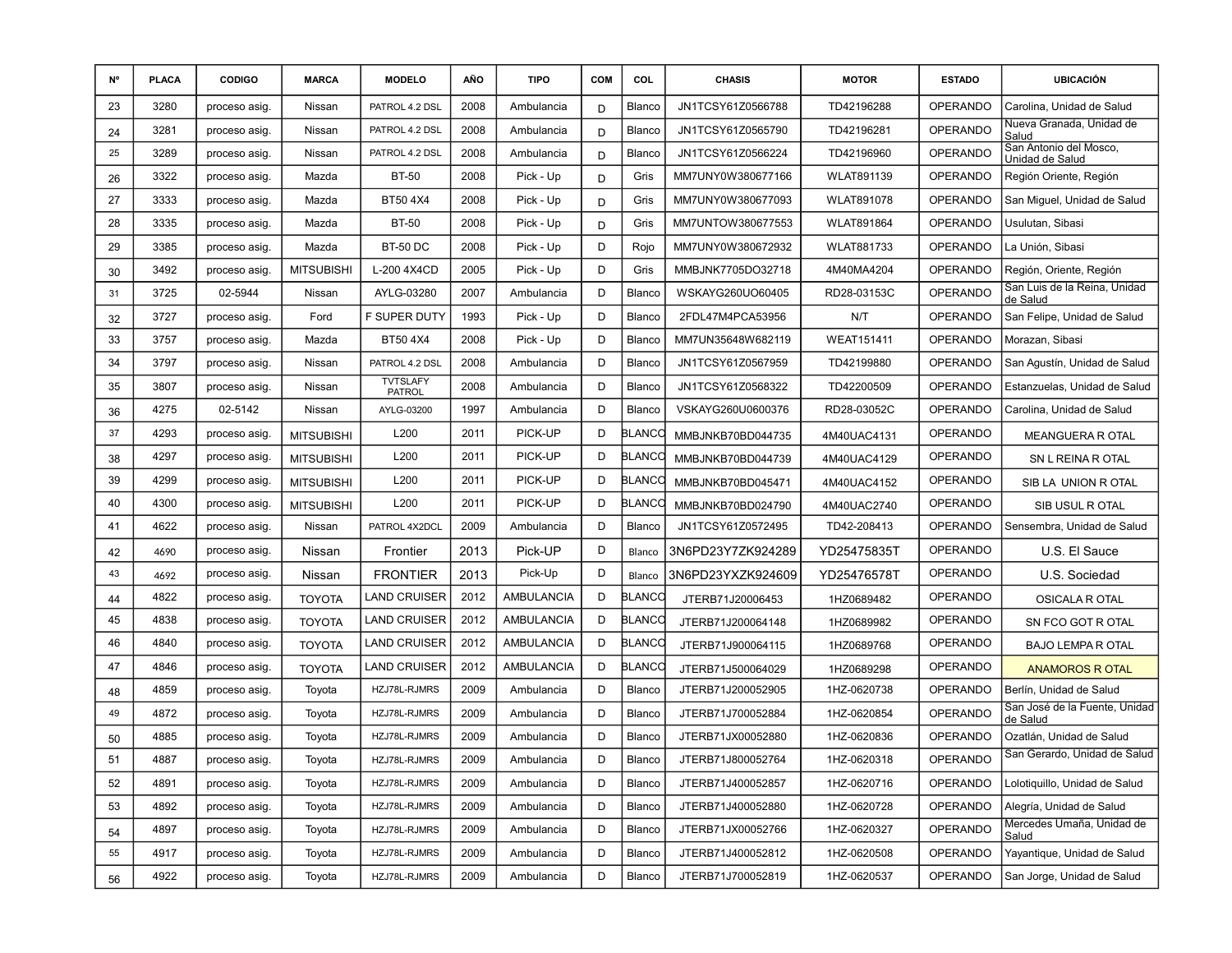| N° | <b>PLACA</b> | <b>CODIGO</b> | <b>MARCA</b>      | <b>MODELO</b>                    | AÑO  | <b>TIPO</b>       | <b>COM</b> | COL           | <b>CHASIS</b>     | <b>MOTOR</b>      | <b>ESTADO</b>   | <b>UBICACIÓN</b>                          |
|----|--------------|---------------|-------------------|----------------------------------|------|-------------------|------------|---------------|-------------------|-------------------|-----------------|-------------------------------------------|
| 23 | 3280         | proceso asig. | Nissan            | PATROL 4.2 DSL                   | 2008 | Ambulancia        | D          | Blanco        | JN1TCSY61Z0566788 | TD42196288        | <b>OPERANDO</b> | Carolina, Unidad de Salud                 |
| 24 | 3281         | proceso asig. | Nissan            | PATROL 4.2 DSL                   | 2008 | Ambulancia        | D          | Blanco        | JN1TCSY61Z0565790 | TD42196281        | <b>OPERANDO</b> | Nueva Granada, Unidad de<br>Salud         |
| 25 | 3289         | proceso asig. | Nissan            | PATROL 4.2 DSL                   | 2008 | Ambulancia        | D          | Blanco        | JN1TCSY61Z0566224 | TD42196960        | <b>OPERANDO</b> | San Antonio del Mosco,<br>Unidad de Salud |
| 26 | 3322         | proceso asig. | Mazda             | <b>BT-50</b>                     | 2008 | Pick - Up         | D          | Gris          | MM7UNY0W380677166 | <b>WLAT891139</b> | <b>OPERANDO</b> | Región Oriente, Región                    |
| 27 | 3333         | proceso asig. | Mazda             | BT50 4X4                         | 2008 | Pick - Up         | D          | Gris          | MM7UNY0W380677093 | <b>WLAT891078</b> | <b>OPERANDO</b> | San Miguel, Unidad de Salud               |
| 28 | 3335         | proceso asig. | Mazda             | <b>BT-50</b>                     | 2008 | Pick - Up         | D          | Gris          | MM7UNTOW380677553 | <b>WLAT891864</b> | <b>OPERANDO</b> | Usulutan, Sibasi                          |
| 29 | 3385         | proceso asig. | Mazda             | <b>BT-50 DC</b>                  | 2008 | Pick - Up         | D          | Rojo          | MM7UNY0W380672932 | <b>WLAT881733</b> | <b>OPERANDO</b> | La Unión, Sibasi                          |
| 30 | 3492         | proceso asig. | <b>MITSUBISHI</b> | L-200 4X4CD                      | 2005 | Pick - Up         | D          | Gris          | MMBJNK7705DO32718 | 4M40MA4204        | <b>OPERANDO</b> | Región, Oriente, Región                   |
| 31 | 3725         | 02-5944       | Nissan            | AYLG-03280                       | 2007 | Ambulancia        | D          | Blanco        | WSKAYG260UO60405  | RD28-03153C       | <b>OPERANDO</b> | San Luis de la Reina, Unidad<br>de Salud  |
| 32 | 3727         | proceso asig. | Ford              | F SUPER DUTY                     | 1993 | Pick - Up         | D          | Blanco        | 2FDL47M4PCA53956  | N/T               | <b>OPERANDO</b> | San Felipe, Unidad de Salud               |
| 33 | 3757         | proceso asig. | Mazda             | BT50 4X4                         | 2008 | Pick - Up         | D          | Blanco        | MM7UN35648W682119 | <b>WEAT151411</b> | <b>OPERANDO</b> | Morazan, Sibasi                           |
| 34 | 3797         | proceso asig. | Nissan            | PATROL 4.2 DSL                   | 2008 | Ambulancia        | D          | Blanco        | JN1TCSY61Z0567959 | TD42199880        | <b>OPERANDO</b> | San Agustín, Unidad de Salud              |
| 35 | 3807         | proceso asig. | Nissan            | <b>TVTSLAFY</b><br><b>PATROL</b> | 2008 | Ambulancia        | D          | Blanco        | JN1TCSY61Z0568322 | TD42200509        | <b>OPERANDO</b> | Estanzuelas, Unidad de Salud              |
| 36 | 4275         | 02-5142       | Nissan            | AYLG-03200                       | 1997 | Ambulancia        | D          | Blanco        | VSKAYG260U0600376 | RD28-03052C       | <b>OPERANDO</b> | Carolina, Unidad de Salud                 |
| 37 | 4293         | proceso asig. | <b>MITSUBISHI</b> | L200                             | 2011 | PICK-UP           | D          | BLANCC        | MMBJNKB70BD044735 | 4M40UAC4131       | <b>OPERANDO</b> | <b>MEANGUERA R OTAL</b>                   |
| 38 | 4297         | proceso asig. | <b>MITSUBISHI</b> | L200                             | 2011 | PICK-UP           | D          | <b>BLANCO</b> | MMBJNKB70BD044739 | 4M40UAC4129       | <b>OPERANDO</b> | SN L REINA R OTAL                         |
| 39 | 4299         | proceso asig. | <b>MITSUBISHI</b> | L200                             | 2011 | PICK-UP           | D          | BLANCC        | MMBJNKB70BD045471 | 4M40UAC4152       | <b>OPERANDO</b> | SIB LA UNION ROTAL                        |
| 40 | 4300         | proceso asig. | <b>MITSUBISHI</b> | L200                             | 2011 | PICK-UP           | D          | <b>BLANCO</b> | MMBJNKB70BD024790 | 4M40UAC2740       | <b>OPERANDO</b> | SIB USUL R OTAL                           |
| 41 | 4622         | proceso asig. | Nissan            | PATROL 4X2DCL                    | 2009 | Ambulancia        | D          | Blanco        | JN1TCSY61Z0572495 | TD42-208413       | <b>OPERANDO</b> | Sensembra, Unidad de Salud                |
| 42 | 4690         | proceso asig. | Nissan            | Frontier                         | 2013 | Pick-UP           | D          | Blanco        | 3N6PD23Y7ZK924289 | YD25475835T       | <b>OPERANDO</b> | U.S. El Sauce                             |
| 43 | 4692         | proceso asig. | Nissan            | <b>FRONTIER</b>                  | 2013 | Pick-Up           | D          | Blanco        | 3N6PD23YXZK924609 | YD25476578T       | <b>OPERANDO</b> | U.S. Sociedad                             |
| 44 | 4822         | proceso asig. | TOYOTA            | <b>LAND CRUISER</b>              | 2012 | <b>AMBULANCIA</b> | D          | <b>BLANCC</b> | JTERB71J20006453  | 1HZ0689482        | <b>OPERANDO</b> | OSICALA R OTAL                            |
| 45 | 4838         | proceso asig. | <b>TOYOTA</b>     | <b>LAND CRUISER</b>              | 2012 | <b>AMBULANCIA</b> | D          | <b>BLANCO</b> | JTERB71J200064148 | 1HZ0689982        | <b>OPERANDO</b> | SN FCO GOT R OTAL                         |
| 46 | 4840         | proceso asig. | TOYOTA            | <b>LAND CRUISER</b>              | 2012 | <b>AMBULANCIA</b> | D          | <b>BLANCO</b> | JTERB71J900064115 | 1HZ0689768        | <b>OPERANDO</b> | <b>BAJO LEMPA R OTAL</b>                  |
| 47 | 4846         | proceso asig. | <b>TOYOTA</b>     | <b>LAND CRUISER</b>              | 2012 | <b>AMBULANCIA</b> | D          | <b>BLANCO</b> | JTERB71J500064029 | 1HZ0689298        | <b>OPERANDO</b> | <b>ANAMOROS R OTAL</b>                    |
| 48 | 4859         | proceso asig. | Toyota            | HZJ78L-RJMRS                     | 2009 | Ambulancia        | D          | Blanco        | JTERB71J200052905 | 1HZ-0620738       | <b>OPERANDO</b> | Berlín, Unidad de Salud                   |
| 49 | 4872         | proceso asig. | Toyota            | HZJ78L-RJMRS                     | 2009 | Ambulancia        | D          | Blanco        | JTERB71J700052884 | 1HZ-0620854       | <b>OPERANDO</b> | San José de la Fuente, Unidad<br>de Salud |
| 50 | 4885         | proceso asig. | Toyota            | HZJ78L-RJMRS                     | 2009 | Ambulancia        | D          | Blanco        | JTERB71JX00052880 | 1HZ-0620836       | <b>OPERANDO</b> | Ozatlán, Unidad de Salud                  |
| 51 | 4887         | proceso asig. | Toyota            | HZJ78L-RJMRS                     | 2009 | Ambulancia        | D          | Blanco        | JTERB71J800052764 | 1HZ-0620318       | OPERANDO        | San Gerardo, Unidad de Salud              |
| 52 | 4891         | proceso asig. | Toyota            | HZJ78L-RJMRS                     | 2009 | Ambulancia        | D          | Blanco        | JTERB71J400052857 | 1HZ-0620716       | OPERANDO        | Lolotiquillo, Unidad de Salud             |
| 53 | 4892         | proceso asig. | Toyota            | HZJ78L-RJMRS                     | 2009 | Ambulancia        | D          | Blanco        | JTERB71J400052880 | 1HZ-0620728       | <b>OPERANDO</b> | Alegría, Unidad de Salud                  |
| 54 | 4897         | proceso asig. | Toyota            | HZJ78L-RJMRS                     | 2009 | Ambulancia        | D          | Blanco        | JTERB71JX00052766 | 1HZ-0620327       | OPERANDO        | Mercedes Umaña, Unidad de<br>Salud        |
| 55 | 4917         | proceso asig. | Toyota            | HZJ78L-RJMRS                     | 2009 | Ambulancia        | D          | Blanco        | JTERB71J400052812 | 1HZ-0620508       | <b>OPERANDO</b> | Yayantique, Unidad de Salud               |
| 56 | 4922         | proceso asig. | Toyota            | HZJ78L-RJMRS                     | 2009 | Ambulancia        | D          | Blanco        | JTERB71J700052819 | 1HZ-0620537       | <b>OPERANDO</b> | San Jorge, Unidad de Salud                |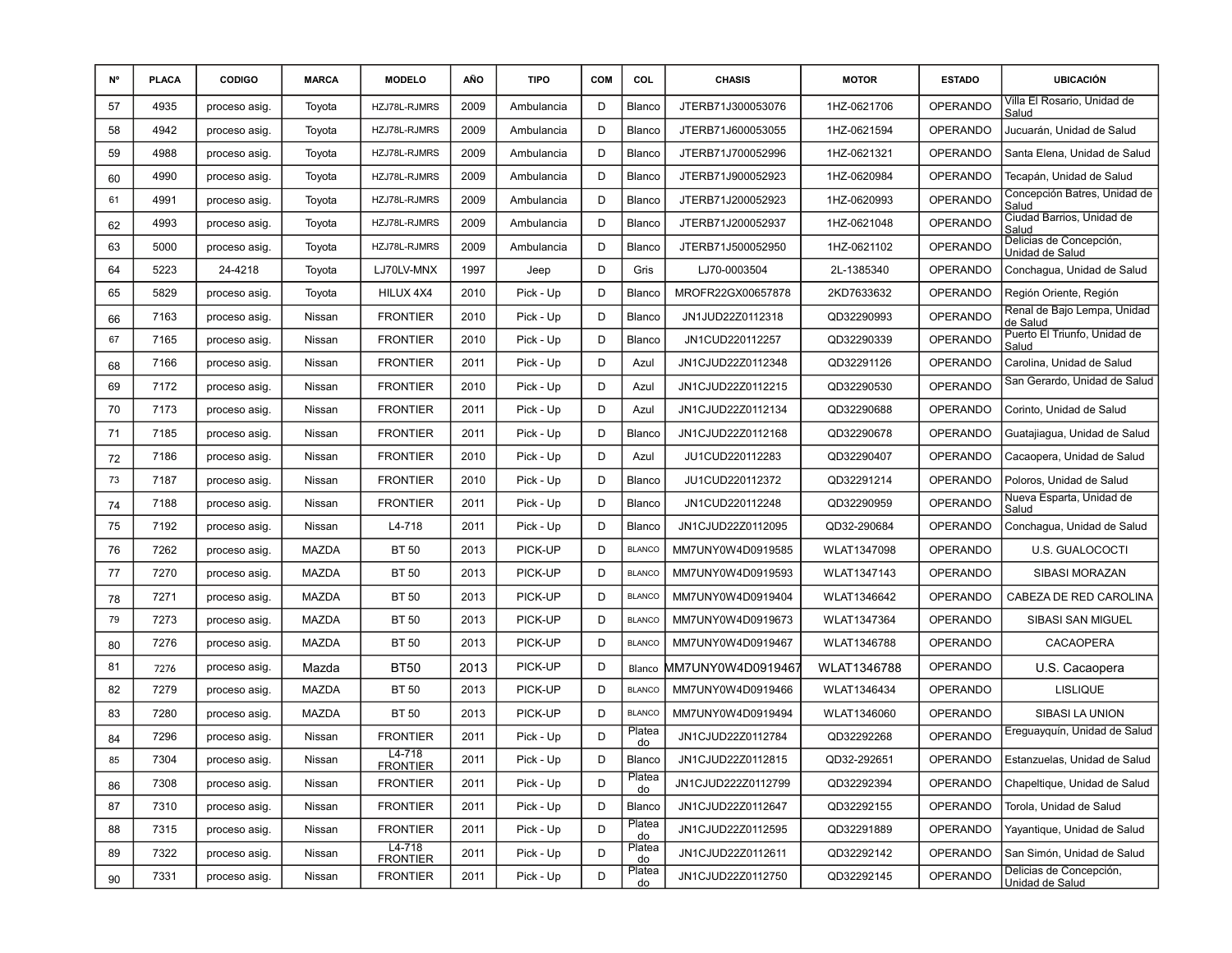| N° | <b>PLACA</b> | <b>CODIGO</b> | <b>MARCA</b> | <b>MODELO</b>                 | AÑO  | <b>TIPO</b> | <b>COM</b> | COL           | <b>CHASIS</b>      | <b>MOTOR</b> | <b>ESTADO</b>   | <b>UBICACIÓN</b>                           |
|----|--------------|---------------|--------------|-------------------------------|------|-------------|------------|---------------|--------------------|--------------|-----------------|--------------------------------------------|
| 57 | 4935         | proceso asig. | Toyota       | HZJ78L-RJMRS                  | 2009 | Ambulancia  | D          | Blanco        | JTERB71J300053076  | 1HZ-0621706  | <b>OPERANDO</b> | Villa El Rosario, Unidad de<br>Salud       |
| 58 | 4942         | proceso asig. | Toyota       | HZJ78L-RJMRS                  | 2009 | Ambulancia  | D          | Blanco        | JTERB71J600053055  | 1HZ-0621594  | <b>OPERANDO</b> | Jucuarán, Unidad de Salud                  |
| 59 | 4988         | proceso asig. | Toyota       | HZJ78L-RJMRS                  | 2009 | Ambulancia  | D          | Blanco        | JTERB71J700052996  | 1HZ-0621321  | <b>OPERANDO</b> | Santa Elena, Unidad de Salud               |
| 60 | 4990         | proceso asig. | Toyota       | HZJ78L-RJMRS                  | 2009 | Ambulancia  | D          | Blanco        | JTERB71J900052923  | 1HZ-0620984  | <b>OPERANDO</b> | Tecapán, Unidad de Salud                   |
| 61 | 4991         | proceso asig. | Toyota       | HZJ78L-RJMRS                  | 2009 | Ambulancia  | D          | Blanco        | JTERB71J200052923  | 1HZ-0620993  | <b>OPERANDO</b> | Concepción Batres, Unidad de<br>Salud      |
| 62 | 4993         | proceso asig. | Toyota       | HZJ78L-RJMRS                  | 2009 | Ambulancia  | D          | Blanco        | JTERB71J200052937  | 1HZ-0621048  | <b>OPERANDO</b> | Ciudad Barrios, Unidad de<br>Salud         |
| 63 | 5000         | proceso asig. | Toyota       | HZJ78L-RJMRS                  | 2009 | Ambulancia  | D          | Blanco        | JTERB71J500052950  | 1HZ-0621102  | <b>OPERANDO</b> | Delicias de Concepción,<br>Unidad de Salud |
| 64 | 5223         | 24-4218       | Toyota       | LJ70LV-MNX                    | 1997 | Jeep        | D          | Gris          | LJ70-0003504       | 2L-1385340   | <b>OPERANDO</b> | Conchagua, Unidad de Salud                 |
| 65 | 5829         | proceso asig. | Toyota       | HILUX 4X4                     | 2010 | Pick - Up   | D          | Blanco        | MROFR22GX00657878  | 2KD7633632   | <b>OPERANDO</b> | Región Oriente, Región                     |
| 66 | 7163         | proceso asig. | Nissan       | <b>FRONTIER</b>               | 2010 | Pick - Up   | D          | Blanco        | JN1JUD22Z0112318   | QD32290993   | <b>OPERANDO</b> | Renal de Bajo Lempa, Unidad<br>de Salud    |
| 67 | 7165         | proceso asig. | Nissan       | <b>FRONTIER</b>               | 2010 | Pick - Up   | D          | Blanco        | JN1CUD220112257    | QD32290339   | <b>OPERANDO</b> | Puerto El Triunfo, Unidad de<br>Salud      |
| 68 | 7166         | proceso asig. | Nissan       | <b>FRONTIER</b>               | 2011 | Pick - Up   | D          | Azul          | JN1CJUD22Z0112348  | QD32291126   | <b>OPERANDO</b> | Carolina, Unidad de Salud                  |
| 69 | 7172         | proceso asig. | Nissan       | <b>FRONTIER</b>               | 2010 | Pick - Up   | D          | Azul          | JN1CJUD22Z0112215  | QD32290530   | <b>OPERANDO</b> | San Gerardo, Unidad de Salud               |
| 70 | 7173         | proceso asig. | Nissan       | <b>FRONTIER</b>               | 2011 | Pick - Up   | D          | Azul          | JN1CJUD22Z0112134  | QD32290688   | <b>OPERANDO</b> | Corinto, Unidad de Salud                   |
| 71 | 7185         | proceso asig. | Nissan       | <b>FRONTIER</b>               | 2011 | Pick - Up   | D          | Blanco        | JN1CJUD22Z0112168  | QD32290678   | <b>OPERANDO</b> | Guatajiagua, Unidad de Salud               |
| 72 | 7186         | proceso asig. | Nissan       | <b>FRONTIER</b>               | 2010 | Pick - Up   | D          | Azul          | JU1CUD220112283    | QD32290407   | <b>OPERANDO</b> | Cacaopera, Unidad de Salud                 |
| 73 | 7187         | proceso asig. | Nissan       | <b>FRONTIER</b>               | 2010 | Pick - Up   | D          | Blanco        | JU1CUD220112372    | QD32291214   | <b>OPERANDO</b> | Poloros, Unidad de Salud                   |
| 74 | 7188         | proceso asig. | Nissan       | <b>FRONTIER</b>               | 2011 | Pick - Up   | D          | Blanco        | JN1CUD220112248    | QD32290959   | <b>OPERANDO</b> | Nueva Esparta, Unidad de<br>Salud          |
| 75 | 7192         | proceso asig. | Nissan       | L4-718                        | 2011 | Pick - Up   | D          | Blanco        | JN1CJUD22Z0112095  | QD32-290684  | <b>OPERANDO</b> | Conchagua, Unidad de Salud                 |
| 76 | 7262         | proceso asig. | MAZDA        | <b>BT 50</b>                  | 2013 | PICK-UP     | D          | <b>BLANCO</b> | MM7UNY0W4D0919585  | WLAT1347098  | <b>OPERANDO</b> | U.S. GUALOCOCTI                            |
| 77 | 7270         | proceso asig. | MAZDA        | <b>BT 50</b>                  | 2013 | PICK-UP     | D          | <b>BLANCO</b> | MM7UNY0W4D0919593  | WLAT1347143  | <b>OPERANDO</b> | SIBASI MORAZAN                             |
| 78 | 7271         | proceso asig. | MAZDA        | <b>BT 50</b>                  | 2013 | PICK-UP     | D          | <b>BLANCO</b> | MM7UNY0W4D0919404  | WLAT1346642  | <b>OPERANDO</b> | CABEZA DE RED CAROLINA                     |
| 79 | 7273         | proceso asig. | MAZDA        | <b>BT 50</b>                  | 2013 | PICK-UP     | D          | <b>BLANCO</b> | MM7UNY0W4D0919673  | WLAT1347364  | <b>OPERANDO</b> | SIBASI SAN MIGUEL                          |
| 80 | 7276         | proceso asig. | MAZDA        | <b>BT 50</b>                  | 2013 | PICK-UP     | D          | <b>BLANCO</b> | MM7UNY0W4D0919467  | WLAT1346788  | <b>OPERANDO</b> | <b>CACAOPERA</b>                           |
| 81 | 7276         | proceso asig. | Mazda        | <b>BT50</b>                   | 2013 | PICK-UP     | D          | Blanco        | MM7UNY0W4D0919467  | WLAT1346788  | <b>OPERANDO</b> | U.S. Cacaopera                             |
| 82 | 7279         | proceso asig. | MAZDA        | <b>BT 50</b>                  | 2013 | PICK-UP     | D          | <b>BLANCO</b> | MM7UNY0W4D0919466  | WLAT1346434  | <b>OPERANDO</b> | <b>LISLIQUE</b>                            |
| 83 | 7280         | proceso asig. | MAZDA        | <b>BT 50</b>                  | 2013 | PICK-UP     | D          | <b>BLANCO</b> | MM7UNY0W4D0919494  | WLAT1346060  | <b>OPERANDO</b> | SIBASI LA UNION                            |
| 84 | 7296         | proceso asig. | Nissan       | <b>FRONTIER</b>               | 2011 | Pick - Up   | D          | Platea<br>do  | JN1CJUD22Z0112784  | QD32292268   | <b>OPERANDO</b> | Ereguayquín, Unidad de Salud               |
| 85 | 7304         | proceso asig. | Nissan       | $L4-718$<br><b>FRONTIER</b>   | 2011 | Pick - Up   | D          | Blanco        | JN1CJUD22Z0112815  | QD32-292651  | OPERANDO        | Estanzuelas, Unidad de Salud               |
| 86 | 7308         | proceso asig. | Nissan       | <b>FRONTIER</b>               | 2011 | Pick - Up   | D          | Platea<br>do  | JN1CJUD222Z0112799 | QD32292394   | <b>OPERANDO</b> | Chapeltique, Unidad de Salud               |
| 87 | 7310         | proceso asig. | Nissan       | <b>FRONTIER</b>               | 2011 | Pick - Up   | D          | Blanco        | JN1CJUD22Z0112647  | QD32292155   | <b>OPERANDO</b> | Torola, Unidad de Salud                    |
| 88 | 7315         | proceso asig. | Nissan       | <b>FRONTIER</b>               | 2011 | Pick - Up   | D          | Platea<br>do  | JN1CJUD22Z0112595  | QD32291889   | <b>OPERANDO</b> | Yayantique, Unidad de Salud                |
| 89 | 7322         | proceso asig. | Nissan       | $L4 - 718$<br><b>FRONTIER</b> | 2011 | Pick - Up   | D          | Platea<br>do  | JN1CJUD22Z0112611  | QD32292142   | <b>OPERANDO</b> | San Simón, Unidad de Salud                 |
| 90 | 7331         | proceso asig. | Nissan       | <b>FRONTIER</b>               | 2011 | Pick - Up   | D          | Platea<br>do  | JN1CJUD22Z0112750  | QD32292145   | <b>OPERANDO</b> | Delicias de Concepción,<br>Unidad de Salud |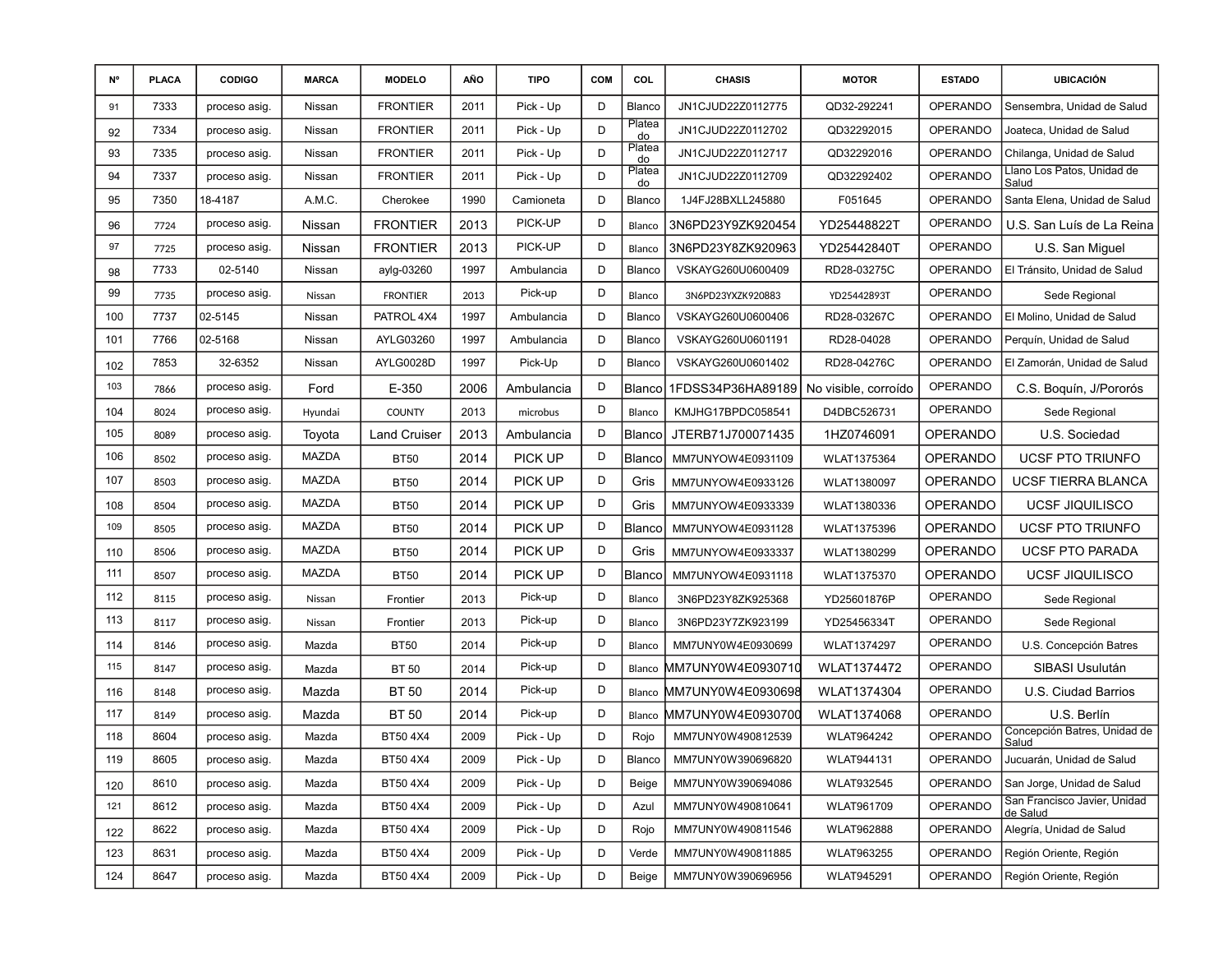| N°  | <b>PLACA</b> | <b>CODIGO</b> | <b>MARCA</b> | <b>MODELO</b>       | AÑO  | <b>TIPO</b> | <b>COM</b> | COL          | <b>CHASIS</b>     | <b>MOTOR</b>         | <b>ESTADO</b>   | <b>UBICACIÓN</b>                         |
|-----|--------------|---------------|--------------|---------------------|------|-------------|------------|--------------|-------------------|----------------------|-----------------|------------------------------------------|
| 91  | 7333         | proceso asig. | Nissan       | <b>FRONTIER</b>     | 2011 | Pick - Up   | D          | Blanco       | JN1CJUD22Z0112775 | QD32-292241          | <b>OPERANDO</b> | Sensembra, Unidad de Salud               |
| 92  | 7334         | proceso asig. | Nissan       | <b>FRONTIER</b>     | 2011 | Pick - Up   | D          | Platea<br>do | JN1CJUD22Z0112702 | QD32292015           | <b>OPERANDO</b> | Joateca, Unidad de Salud                 |
| 93  | 7335         | proceso asig. | Nissan       | <b>FRONTIER</b>     | 2011 | Pick - Up   | D          | Platea<br>do | JN1CJUD22Z0112717 | QD32292016           | <b>OPERANDO</b> | Chilanga, Unidad de Salud                |
| 94  | 7337         | proceso asig. | Nissan       | <b>FRONTIER</b>     | 2011 | Pick - Up   | D          | Platea<br>do | JN1CJUD22Z0112709 | QD32292402           | OPERANDO        | Llano Los Patos, Unidad de<br>Salud      |
| 95  | 7350         | 18-4187       | A.M.C.       | Cherokee            | 1990 | Camioneta   | D          | Blanco       | 1J4FJ28BXLL245880 | F051645              | <b>OPERANDO</b> | Santa Elena, Unidad de Salud             |
| 96  | 7724         | proceso asig. | Nissan       | <b>FRONTIER</b>     | 2013 | PICK-UP     | D          | Blanco       | 3N6PD23Y9ZK920454 | YD25448822T          | <b>OPERANDO</b> | U.S. San Luís de La Reina                |
| 97  | 7725         | proceso asig. | Nissan       | <b>FRONTIER</b>     | 2013 | PICK-UP     | D          | Blanco       | 3N6PD23Y8ZK920963 | YD25442840T          | <b>OPERANDO</b> | U.S. San Miguel                          |
| 98  | 7733         | 02-5140       | Nissan       | aylg-03260          | 1997 | Ambulancia  | D          | Blanco       | VSKAYG260U0600409 | RD28-03275C          | <b>OPERANDO</b> | El Tránsito, Unidad de Salud             |
| 99  | 7735         | proceso asig. | Nissan       | <b>FRONTIER</b>     | 2013 | Pick-up     | D          | Blanco       | 3N6PD23YXZK920883 | YD25442893T          | <b>OPERANDO</b> | Sede Regional                            |
| 100 | 7737         | 02-5145       | Nissan       | PATROL 4X4          | 1997 | Ambulancia  | D          | Blanco       | VSKAYG260U0600406 | RD28-03267C          | <b>OPERANDO</b> | El Molino, Unidad de Salud               |
| 101 | 7766         | 02-5168       | Nissan       | AYLG03260           | 1997 | Ambulancia  | D          | Blanco       | VSKAYG260U0601191 | RD28-04028           | <b>OPERANDO</b> | Perquín, Unidad de Salud                 |
| 102 | 7853         | 32-6352       | Nissan       | AYLG0028D           | 1997 | Pick-Up     | D          | Blanco       | VSKAYG260U0601402 | RD28-04276C          | <b>OPERANDO</b> | El Zamorán, Unidad de Salud              |
| 103 | 7866         | proceso asig. | Ford         | E-350               | 2006 | Ambulancia  | D          | Blanco       | 1FDSS34P36HA89189 | No visible, corroído | <b>OPERANDO</b> | C.S. Boquín, J/Pororós                   |
| 104 | 8024         | proceso asig. | Hyundai      | <b>COUNTY</b>       | 2013 | microbus    | D          | Blanco       | KMJHG17BPDC058541 | D4DBC526731          | <b>OPERANDO</b> | Sede Regional                            |
| 105 | 8089         | proceso asig. | Toyota       | <b>Land Cruiser</b> | 2013 | Ambulancia  | D          | Blanco       | JTERB71J700071435 | 1HZ0746091           | <b>OPERANDO</b> | U.S. Sociedad                            |
| 106 | 8502         | proceso asig. | MAZDA        | <b>BT50</b>         | 2014 | PICK UP     | D          | Blanco       | MM7UNYOW4E0931109 | WLAT1375364          | <b>OPERANDO</b> | <b>UCSF PTO TRIUNFO</b>                  |
| 107 | 8503         | proceso asig. | MAZDA        | <b>BT50</b>         | 2014 | PICK UP     | D          | Gris         | MM7UNYOW4E0933126 | WLAT1380097          | OPERANDO        | <b>UCSF TIERRA BLANCA</b>                |
| 108 | 8504         | proceso asig. | <b>MAZDA</b> | <b>BT50</b>         | 2014 | PICK UP     | D          | Gris         | MM7UNYOW4E0933339 | WLAT1380336          | OPERANDO        | <b>UCSF JIQUILISCO</b>                   |
| 109 | 8505         | proceso asig. | <b>MAZDA</b> | <b>BT50</b>         | 2014 | PICK UP     | D          | Blanco       | MM7UNYOW4E0931128 | WLAT1375396          | OPERANDO        | <b>UCSF PTO TRIUNFO</b>                  |
| 110 | 8506         | proceso asig. | MAZDA        | <b>BT50</b>         | 2014 | PICK UP     | D          | Gris         | MM7UNYOW4E0933337 | WLAT1380299          | OPERANDO        | UCSF PTO PARADA                          |
| 111 | 8507         | proceso asig. | <b>MAZDA</b> | <b>BT50</b>         | 2014 | PICK UP     | D          | Blanco       | MM7UNYOW4E0931118 | WLAT1375370          | <b>OPERANDO</b> | <b>UCSF JIQUILISCO</b>                   |
| 112 | 8115         | proceso asig. | Nissan       | Frontier            | 2013 | Pick-up     | D          | Blanco       | 3N6PD23Y8ZK925368 | YD25601876P          | <b>OPERANDO</b> | Sede Regional                            |
| 113 | 8117         | proceso asig. | Nissan       | Frontier            | 2013 | Pick-up     | D          | Blanco       | 3N6PD23Y7ZK923199 | YD25456334T          | <b>OPERANDO</b> | Sede Regional                            |
| 114 | 8146         | proceso asig. | Mazda        | <b>BT50</b>         | 2014 | Pick-up     | D          | Blanco       | MM7UNY0W4E0930699 | WLAT1374297          | <b>OPERANDO</b> | U.S. Concepción Batres                   |
| 115 | 8147         | proceso asig. | Mazda        | <b>BT 50</b>        | 2014 | Pick-up     | D          | Blanco       | MM7UNY0W4E0930710 | <b>WLAT1374472</b>   | <b>OPERANDO</b> | SIBASI Usulután                          |
| 116 | 8148         | proceso asig. | Mazda        | <b>BT 50</b>        | 2014 | Pick-up     | D          | Blanco       | MM7UNY0W4E0930698 | WLAT1374304          | <b>OPERANDO</b> | U.S. Ciudad Barrios                      |
| 117 | 8149         | proceso asig. | Mazda        | <b>BT 50</b>        | 2014 | Pick-up     | D          | Blanco       | MM7UNY0W4E0930700 | WLAT1374068          | <b>OPERANDO</b> | U.S. Berlín                              |
| 118 | 8604         | proceso asig. | Mazda        | BT50 4X4            | 2009 | Pick - Up   | D          | Rojo         | MM7UNY0W490812539 | <b>WLAT964242</b>    | OPERANDO        | Concepción Batres, Unidad de<br>Salud    |
| 119 | 8605         | proceso asig. | Mazda        | BT50 4X4            | 2009 | Pick - Up   | D          | Blanco       | MM7UNY0W390696820 | WLAT944131           | OPERANDO        | Jucuarán, Unidad de Salud                |
| 120 | 8610         | proceso asig. | Mazda        | BT50 4X4            | 2009 | Pick - Up   | D          | Beige        | MM7UNY0W390694086 | <b>WLAT932545</b>    | <b>OPERANDO</b> | San Jorge, Unidad de Salud               |
| 121 | 8612         | proceso asig. | Mazda        | BT50 4X4            | 2009 | Pick - Up   | D          | Azul         | MM7UNY0W490810641 | WLAT961709           | OPERANDO        | San Francisco Javier, Unidad<br>de Salud |
| 122 | 8622         | proceso asig. | Mazda        | BT50 4X4            | 2009 | Pick - Up   | D          | Rojo         | MM7UNY0W490811546 | <b>WLAT962888</b>    | OPERANDO        | Alegría, Unidad de Salud                 |
| 123 | 8631         | proceso asig. | Mazda        | BT50 4X4            | 2009 | Pick - Up   | D          | Verde        | MM7UNY0W490811885 | <b>WLAT963255</b>    | <b>OPERANDO</b> | Región Oriente, Región                   |
| 124 | 8647         | proceso asig. | Mazda        | BT50 4X4            | 2009 | Pick - Up   | D          | Beige        | MM7UNY0W390696956 | <b>WLAT945291</b>    | <b>OPERANDO</b> | Región Oriente, Región                   |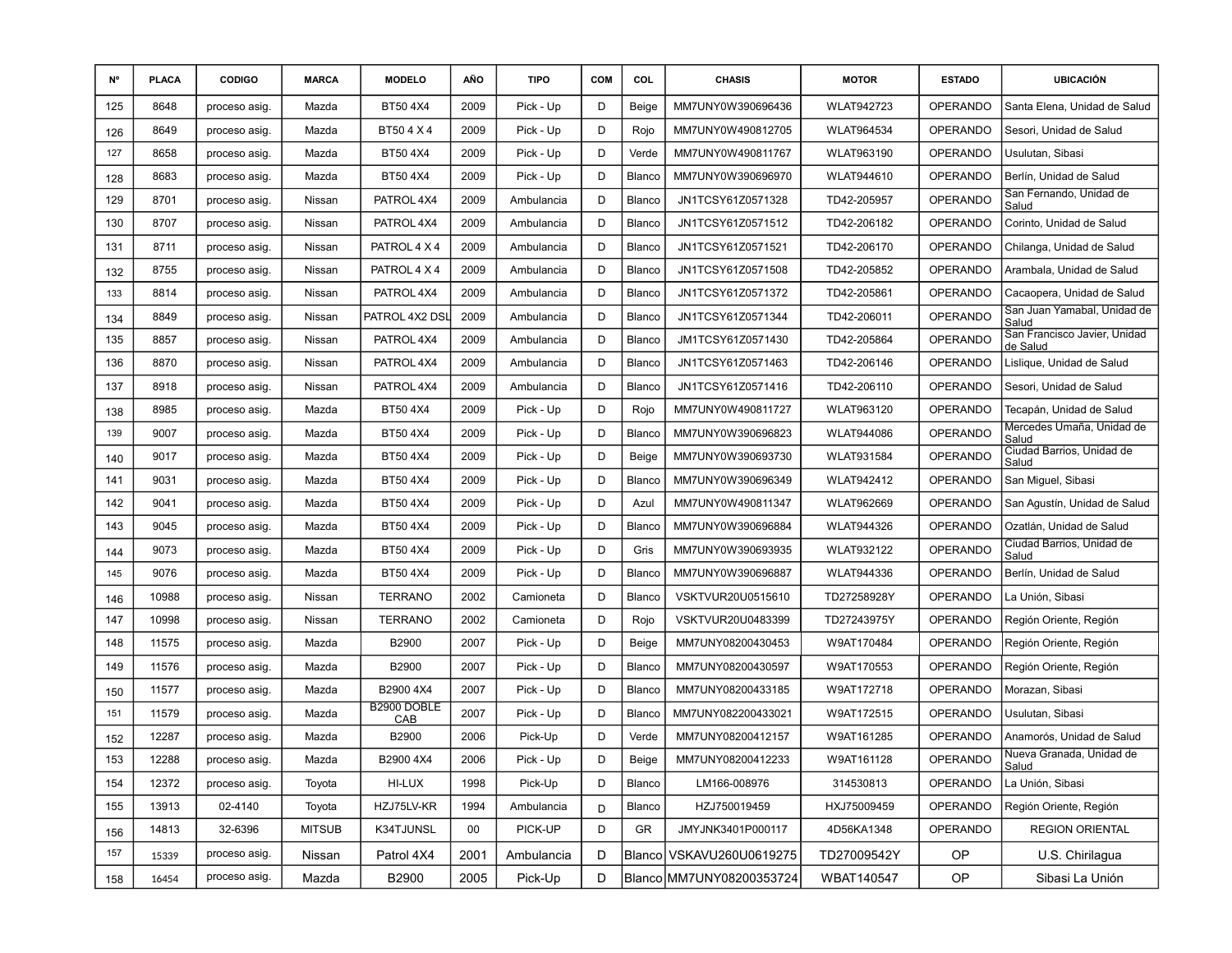| N°  | <b>PLACA</b> | <b>CODIGO</b> | <b>MARCA</b>  | <b>MODELO</b>      | AÑO  | <b>TIPO</b> | <b>COM</b> | COL    | <b>CHASIS</b>              | <b>MOTOR</b>      | <b>ESTADO</b>   | <b>UBICACIÓN</b>                         |
|-----|--------------|---------------|---------------|--------------------|------|-------------|------------|--------|----------------------------|-------------------|-----------------|------------------------------------------|
| 125 | 8648         | proceso asig. | Mazda         | BT50 4X4           | 2009 | Pick - Up   | D          | Beige  | MM7UNY0W390696436          | <b>WLAT942723</b> | <b>OPERANDO</b> | Santa Elena, Unidad de Salud             |
| 126 | 8649         | proceso asig. | Mazda         | BT504X4            | 2009 | Pick - Up   | D          | Rojo   | MM7UNY0W490812705          | <b>WLAT964534</b> | <b>OPERANDO</b> | Sesori, Unidad de Salud                  |
| 127 | 8658         | proceso asig. | Mazda         | BT50 4X4           | 2009 | Pick - Up   | D          | Verde  | MM7UNY0W490811767          | WLAT963190        | <b>OPERANDO</b> | Usulutan, Sibasi                         |
| 128 | 8683         | proceso asig. | Mazda         | BT50 4X4           | 2009 | Pick - Up   | D          | Blanco | MM7UNY0W390696970          | WLAT944610        | <b>OPERANDO</b> | Berlín, Unidad de Salud                  |
| 129 | 8701         | proceso asig. | Nissan        | PATROL 4X4         | 2009 | Ambulancia  | D          | Blanco | JN1TCSY61Z0571328          | TD42-205957       | <b>OPERANDO</b> | San Fernando, Unidad de<br>Salud         |
| 130 | 8707         | proceso asig. | Nissan        | PATROL 4X4         | 2009 | Ambulancia  | D          | Blanco | JN1TCSY61Z0571512          | TD42-206182       | <b>OPERANDO</b> | Corinto, Unidad de Salud                 |
| 131 | 8711         | proceso asig. | Nissan        | PATROL 4 X 4       | 2009 | Ambulancia  | D          | Blanco | JN1TCSY61Z0571521          | TD42-206170       | <b>OPERANDO</b> | Chilanga, Unidad de Salud                |
| 132 | 8755         | proceso asig. | Nissan        | PATROL 4 X 4       | 2009 | Ambulancia  | D          | Blanco | JN1TCSY61Z0571508          | TD42-205852       | <b>OPERANDO</b> | Arambala, Unidad de Salud                |
| 133 | 8814         | proceso asig. | Nissan        | PATROL 4X4         | 2009 | Ambulancia  | D          | Blanco | JN1TCSY61Z0571372          | TD42-205861       | <b>OPERANDO</b> | Cacaopera, Unidad de Salud               |
| 134 | 8849         | proceso asig. | Nissan        | PATROL 4X2 DSL     | 2009 | Ambulancia  | D          | Blanco | JN1TCSY61Z0571344          | TD42-206011       | OPERANDO        | San Juan Yamabal, Unidad de<br>Salud     |
| 135 | 8857         | proceso asig. | Nissan        | PATROL 4X4         | 2009 | Ambulancia  | D          | Blanco | JM1TCSY61Z0571430          | TD42-205864       | <b>OPERANDO</b> | San Francisco Javier, Unidad<br>de Salud |
| 136 | 8870         | proceso asig. | Nissan        | PATROL 4X4         | 2009 | Ambulancia  | D          | Blanco | JN1TCSY61Z0571463          | TD42-206146       | <b>OPERANDO</b> | Lislique, Unidad de Salud                |
| 137 | 8918         | proceso asig. | Nissan        | PATROL 4X4         | 2009 | Ambulancia  | D          | Blanco | JN1TCSY61Z0571416          | TD42-206110       | <b>OPERANDO</b> | Sesori, Unidad de Salud                  |
| 138 | 8985         | proceso asig. | Mazda         | BT50 4X4           | 2009 | Pick - Up   | D          | Rojo   | MM7UNY0W490811727          | <b>WLAT963120</b> | <b>OPERANDO</b> | Tecapán, Unidad de Salud                 |
| 139 | 9007         | proceso asig. | Mazda         | BT50 4X4           | 2009 | Pick - Up   | D          | Blanco | MM7UNY0W390696823          | <b>WLAT944086</b> | <b>OPERANDO</b> | Mercedes Umaña, Unidad de<br>Salud       |
| 140 | 9017         | proceso asig. | Mazda         | BT50 4X4           | 2009 | Pick - Up   | D          | Beige  | MM7UNY0W390693730          | <b>WLAT931584</b> | <b>OPERANDO</b> | Ciudad Barrios, Unidad de<br>Salud       |
| 141 | 9031         | proceso asig. | Mazda         | BT50 4X4           | 2009 | Pick - Up   | D          | Blanco | MM7UNY0W390696349          | <b>WLAT942412</b> | <b>OPERANDO</b> | San Miguel, Sibasi                       |
| 142 | 9041         | proceso asig. | Mazda         | BT50 4X4           | 2009 | Pick - Up   | D          | Azul   | MM7UNY0W490811347          | <b>WLAT962669</b> | <b>OPERANDO</b> | San Agustín, Unidad de Salud             |
| 143 | 9045         | proceso asig. | Mazda         | BT50 4X4           | 2009 | Pick - Up   | D          | Blanco | MM7UNY0W390696884          | <b>WLAT944326</b> | <b>OPERANDO</b> | Ozatlán, Unidad de Salud                 |
| 144 | 9073         | proceso asig. | Mazda         | BT50 4X4           | 2009 | Pick - Up   | D          | Gris   | MM7UNY0W390693935          | <b>WLAT932122</b> | <b>OPERANDO</b> | Ciudad Barrios, Unidad de<br>Salud       |
| 145 | 9076         | proceso asig. | Mazda         | BT50 4X4           | 2009 | Pick - Up   | D          | Blanco | MM7UNY0W390696887          | <b>WLAT944336</b> | <b>OPERANDO</b> | Berlín, Unidad de Salud                  |
| 146 | 10988        | proceso asig. | Nissan        | <b>TERRANO</b>     | 2002 | Camioneta   | D          | Blanco | VSKTVUR20U0515610          | TD27258928Y       | <b>OPERANDO</b> | La Unión, Sibasi                         |
| 147 | 10998        | proceso asig. | Nissan        | <b>TERRANO</b>     | 2002 | Camioneta   | D          | Rojo   | VSKTVUR20U0483399          | TD27243975Y       | <b>OPERANDO</b> | Región Oriente, Región                   |
| 148 | 11575        | proceso asig. | Mazda         | B2900              | 2007 | Pick - Up   | D          | Beige  | MM7UNY08200430453          | W9AT170484        | <b>OPERANDO</b> | Región Oriente, Región                   |
| 149 | 11576        | proceso asig. | Mazda         | B2900              | 2007 | Pick - Up   | D          | Blanco | MM7UNY08200430597          | W9AT170553        | <b>OPERANDO</b> | Región Oriente, Región                   |
| 150 | 11577        | proceso asig. | Mazda         | B2900 4X4          | 2007 | Pick - Up   | D          | Blanco | MM7UNY08200433185          | W9AT172718        | <b>OPERANDO</b> | Morazan, Sibasi                          |
| 151 | 11579        | proceso asig. | Mazda         | B2900 DOBLE<br>CAB | 2007 | Pick - Up   | D          | Blanco | MM7UNY082200433021         | W9AT172515        | <b>OPERANDO</b> | Usulutan, Sibasi                         |
| 152 | 12287        | proceso asig. | Mazda         | B2900              | 2006 | Pick-Up     | D          | Verde  | MM7UNY08200412157          | W9AT161285        | <b>OPERANDO</b> | Anamorós, Unidad de Salud                |
| 153 | 12288        | proceso asig. | Mazda         | B2900 4X4          | 2006 | Pick - Up   | D          | Beige  | MM7UNY08200412233          | W9AT161128        | OPERANDO        | Nueva Granada, Unidad de<br>Salud        |
| 154 | 12372        | proceso asig. | Toyota        | HI-LUX             | 1998 | Pick-Up     | D          | Blanco | LM166-008976               | 314530813         | OPERANDO        | La Unión, Sibasi                         |
| 155 | 13913        | 02-4140       | Toyota        | HZJ75LV-KR         | 1994 | Ambulancia  | D          | Blanco | HZJ750019459               | HXJ75009459       | <b>OPERANDO</b> | Región Oriente, Región                   |
| 156 | 14813        | 32-6396       | <b>MITSUB</b> | K34TJUNSL          | 00   | PICK-UP     | D          | GR.    | JMYJNK3401P000117          | 4D56KA1348        | OPERANDO        | <b>REGION ORIENTAL</b>                   |
| 157 | 15339        | proceso asig. | Nissan        | Patrol 4X4         | 2001 | Ambulancia  | D          |        | Blanco   VSKAVU260U0619275 | TD27009542Y       | OP              | U.S. Chirilagua                          |
| 158 | 16454        | proceso asig. | Mazda         | B2900              | 2005 | Pick-Up     | D          |        | Blanco MM7UNY08200353724   | WBAT140547        | OP              | Sibasi La Unión                          |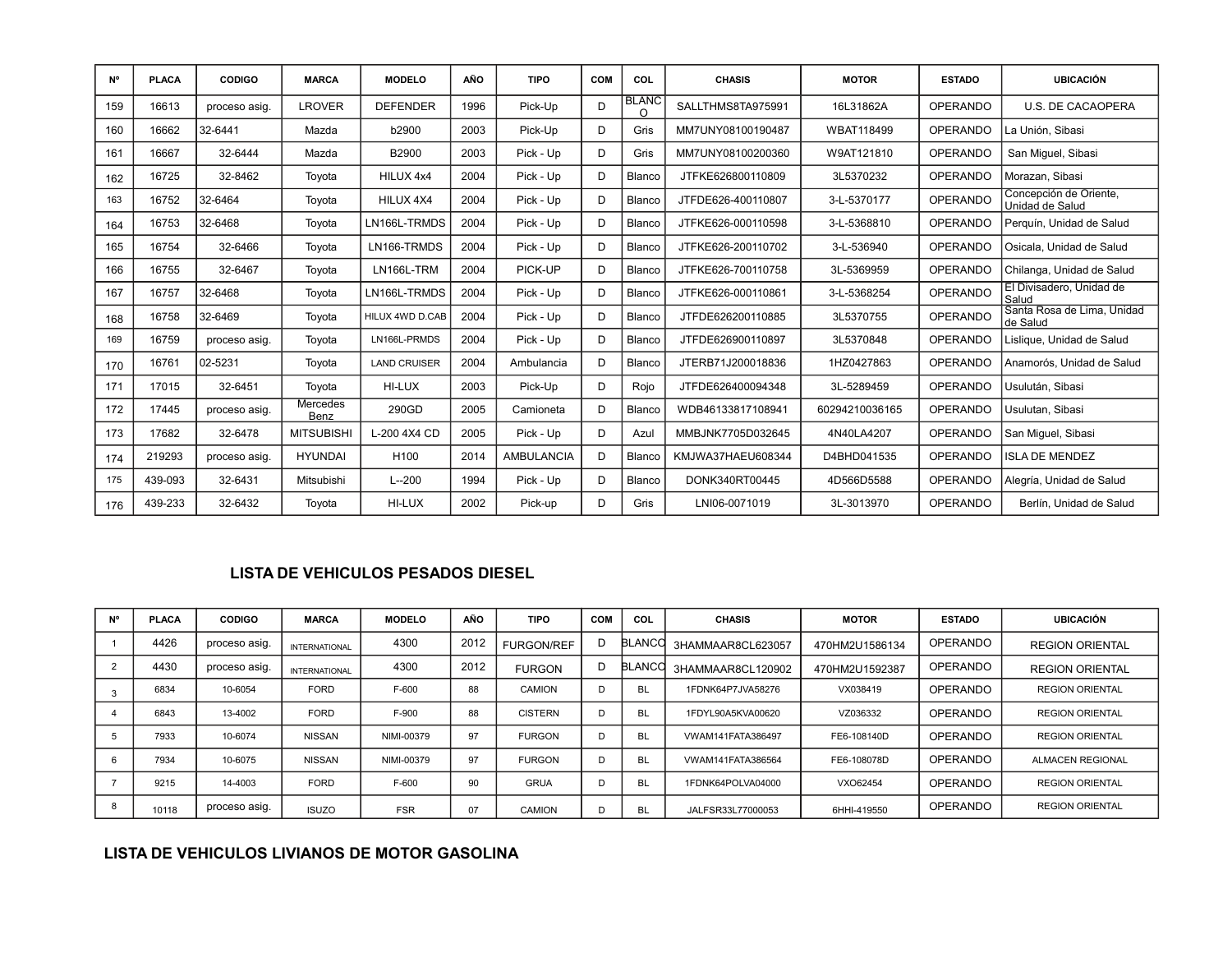| <b>N°</b> | <b>PLACA</b> | <b>CODIGO</b> | <b>MARCA</b>            | <b>MODELO</b>       | AÑO  | <b>TIPO</b>       | <b>COM</b> | COL                | <b>CHASIS</b>      | <b>MOTOR</b>   | <b>ESTADO</b>   | <b>UBICACIÓN</b>                          |
|-----------|--------------|---------------|-------------------------|---------------------|------|-------------------|------------|--------------------|--------------------|----------------|-----------------|-------------------------------------------|
| 159       | 16613        | proceso asig. | <b>LROVER</b>           | <b>DEFENDER</b>     | 1996 | Pick-Up           | D          | <b>BLANC</b><br>O. | SALLTHMS8TA975991  | 16L31862A      | OPERANDO        | U.S. DE CACAOPERA                         |
| 160       | 16662        | 32-6441       | Mazda                   | b2900               | 2003 | Pick-Up           | D          | Gris               | MM7UNY08100190487  | WBAT118499     | OPERANDO        | La Unión, Sibasi                          |
| 161       | 16667        | 32-6444       | Mazda                   | B2900               | 2003 | Pick - Up         | D          | Gris               | MM7UNY08100200360  | W9AT121810     | <b>OPERANDO</b> | San Miquel, Sibasi                        |
| 162       | 16725        | 32-8462       | Toyota                  | HILUX 4x4           | 2004 | Pick - Up         | D          | Blanco             | JTFKE626800110809  | 3L5370232      | <b>OPERANDO</b> | Morazan, Sibasi                           |
| 163       | 16752        | 32-6464       | Toyota                  | HILUX 4X4           | 2004 | Pick - Up         | D          | Blanco             | JTFDE626-400110807 | 3-L-5370177    | <b>OPERANDO</b> | Concepción de Oriente,<br>Unidad de Salud |
| 164       | 16753        | 32-6468       | Toyota                  | LN166L-TRMDS        | 2004 | Pick - Up         | D          | Blanco             | JTFKE626-000110598 | 3-L-5368810    | OPERANDO        | Perguín, Unidad de Salud                  |
| 165       | 16754        | 32-6466       | Toyota                  | LN166-TRMDS         | 2004 | Pick - Up         | D          | Blanco             | JTFKE626-200110702 | 3-L-536940     | <b>OPERANDO</b> | Osicala. Unidad de Salud                  |
| 166       | 16755        | 32-6467       | Toyota                  | LN166L-TRM          | 2004 | PICK-UP           | D          | Blanco             | JTFKE626-700110758 | 3L-5369959     | <b>OPERANDO</b> | Chilanga, Unidad de Salud                 |
| 167       | 16757        | 32-6468       | Toyota                  | LN166L-TRMDS        | 2004 | Pick - Up         | D          | Blanco             | JTFKE626-000110861 | 3-L-5368254    | <b>OPERANDO</b> | El Divisadero, Unidad de<br>Salud         |
| 168       | 16758        | 32-6469       | Toyota                  | HILUX 4WD D.CAB     | 2004 | Pick - Up         | D          | Blanco             | JTFDE626200110885  | 3L5370755      | <b>OPERANDO</b> | Santa Rosa de Lima, Unidad<br>de Salud    |
| 169       | 16759        | proceso asig. | Toyota                  | LN166L-PRMDS        | 2004 | Pick - Up         | D          | Blanco             | JTFDE626900110897  | 3L5370848      | OPERANDO        | Lislique, Unidad de Salud                 |
| 170       | 16761        | 02-5231       | Toyota                  | <b>LAND CRUISER</b> | 2004 | Ambulancia        | D          | Blanco             | JTERB71J200018836  | 1HZ0427863     | <b>OPERANDO</b> | Anamorós, Unidad de Salud                 |
| 171       | 17015        | 32-6451       | Toyota                  | HI-LUX              | 2003 | Pick-Up           | D          | Rojo               | JTFDE626400094348  | 3L-5289459     | <b>OPERANDO</b> | Usulután, Sibasi                          |
| 172       | 17445        | proceso asig. | <b>Mercedes</b><br>Benz | 290GD               | 2005 | Camioneta         | D          | Blanco             | WDB46133817108941  | 60294210036165 | <b>OPERANDO</b> | Usulutan, Sibasi                          |
| 173       | 17682        | 32-6478       | <b>MITSUBISHI</b>       | L-200 4X4 CD        | 2005 | Pick - Up         | D          | Azul               | MMBJNK7705D032645  | 4N40LA4207     | <b>OPERANDO</b> | San Miguel, Sibasi                        |
| 174       | 219293       | proceso asig. | <b>HYUNDAI</b>          | H <sub>100</sub>    | 2014 | <b>AMBULANCIA</b> | D          | Blanco             | KMJWA37HAEU608344  | D4BHD041535    | <b>OPERANDO</b> | <b>ISLA DE MENDEZ</b>                     |
| 175       | 439-093      | 32-6431       | Mitsubishi              | $L - 200$           | 1994 | Pick - Up         | D          | Blanco             | DONK340RT00445     | 4D566D5588     | <b>OPERANDO</b> | Alegría, Unidad de Salud                  |
| 176       | 439-233      | 32-6432       | Toyota                  | HI-LUX              | 2002 | Pick-up           | D          | Gris               | LNI06-0071019      | 3L-3013970     | <b>OPERANDO</b> | Berlín, Unidad de Salud                   |

### **LISTA DE VEHICULOS PESADOS DIESEL**

| N° | <b>PLACA</b> | <b>CODIGO</b> | <b>MARCA</b>         | <b>MODELO</b> | AÑO  | <b>TIPO</b>       | <b>COM</b> | COL           | <b>CHASIS</b>     | <b>MOTOR</b>   | <b>ESTADO</b>   | <b>UBICACIÓN</b>        |
|----|--------------|---------------|----------------------|---------------|------|-------------------|------------|---------------|-------------------|----------------|-----------------|-------------------------|
|    | 4426         | proceso asig. | <b>INTERNATIONAL</b> | 4300          | 2012 | <b>FURGON/REF</b> | D          | <b>BLANCO</b> | 3HAMMAAR8CL623057 | 470HM2U1586134 | <b>OPERANDO</b> | <b>REGION ORIENTAL</b>  |
|    | 4430         | proceso asig. | <b>INTERNATIONAL</b> | 4300          | 2012 | <b>FURGON</b>     | D          | <b>BLANCO</b> | 3HAMMAAR8CL120902 | 470HM2U1592387 | OPERANDO        | <b>REGION ORIENTAL</b>  |
|    | 6834         | 10-6054       | <b>FORD</b>          | F-600         | 88   | CAMION            |            | <b>BL</b>     | 1FDNK64P7JVA58276 | VX038419       | OPERANDO        | <b>REGION ORIENTAL</b>  |
|    | 6843         | 13-4002       | <b>FORD</b>          | F-900         | 88   | <b>CISTERN</b>    |            | <b>BL</b>     | 1FDYL90A5KVA00620 | VZ036332       | OPERANDO        | <b>REGION ORIENTAL</b>  |
|    | 7933         | 10-6074       | <b>NISSAN</b>        | NIMI-00379    | 97   | <b>FURGON</b>     |            | <b>BL</b>     | VWAM141FATA386497 | FE6-108140D    | OPERANDO        | <b>REGION ORIENTAL</b>  |
|    | 7934         | 10-6075       | <b>NISSAN</b>        | NIMI-00379    | 97   | <b>FURGON</b>     |            | <b>BL</b>     | VWAM141FATA386564 | FE6-108078D    | OPERANDO        | <b>ALMACEN REGIONAL</b> |
|    | 9215         | 14-4003       | <b>FORD</b>          | F-600         | 90   | <b>GRUA</b>       |            | <b>BL</b>     | 1FDNK64POLVA04000 | VXO62454       | OPERANDO        | <b>REGION ORIENTAL</b>  |
|    | 10118        | proceso asig. | <b>ISUZO</b>         | <b>FSR</b>    | 07   | CAMION            |            | BL            | JALFSR33L77000053 | 6HHI-419550    | <b>OPERANDO</b> | <b>REGION ORIENTAL</b>  |

### **LISTA DE VEHICULOS LIVIANOS DE MOTOR GASOLINA**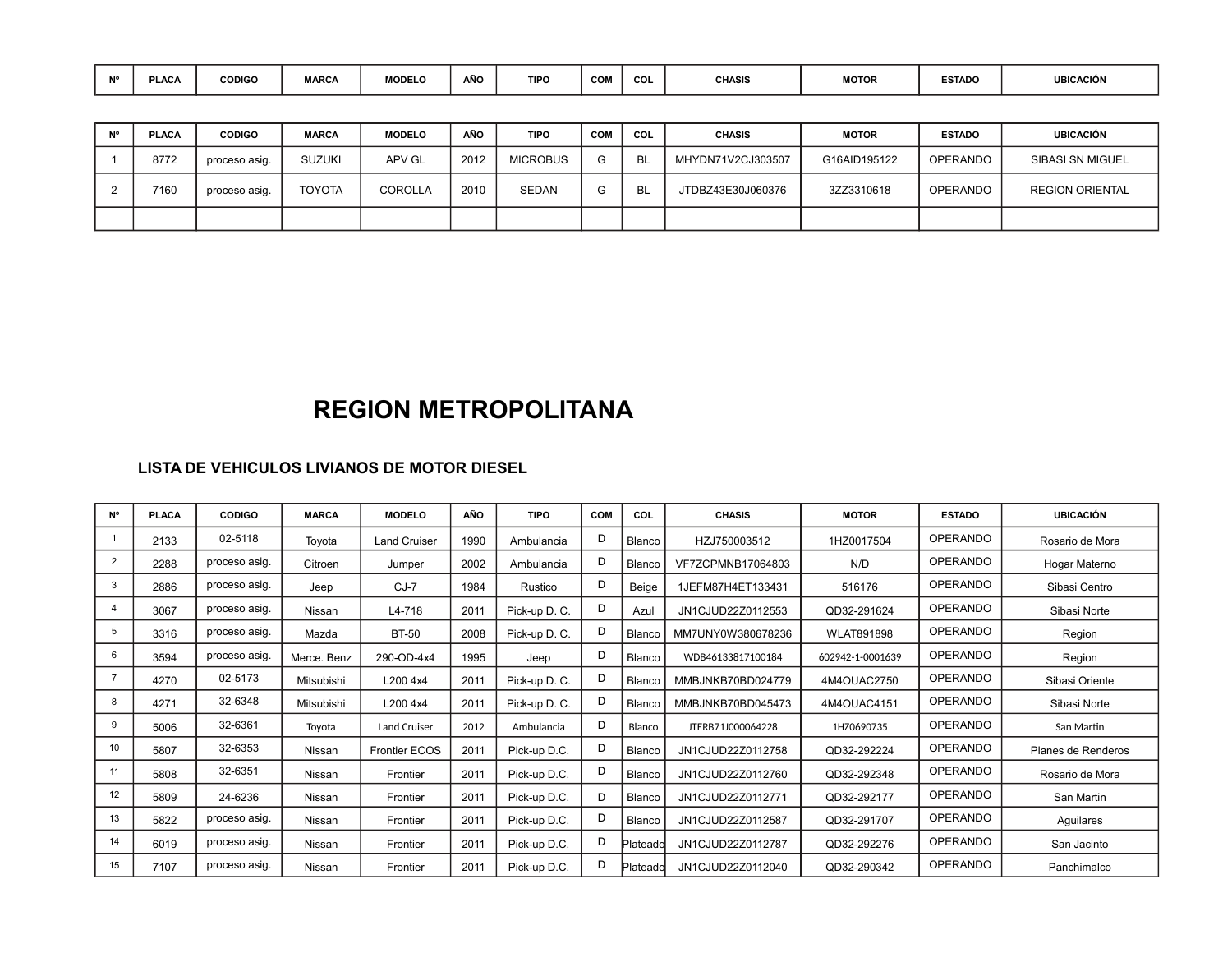| <b>MO</b> | <b>DIACA</b><br>ינגע | <b>CODIGO</b> | <b>MARCA</b> | <b>MODELC</b> | $\overline{AB}$<br><b>AIVU</b> | TIPO | <b>COM</b> | COL | CHASIS | <b>MOTOR</b> | ESTADO | <b>UBICACIÓN</b> |
|-----------|----------------------|---------------|--------------|---------------|--------------------------------|------|------------|-----|--------|--------------|--------|------------------|
|           |                      |               |              |               |                                |      |            |     |        |              |        |                  |

| <b>PLACA</b> | <b>CODIGO</b> | <b>MARCA</b>  | <b>MODELO</b> | <b>AÑO</b> | <b>TIPO</b>     | COM | COL | <b>CHASIS</b>     | <b>MOTOR</b> | <b>ESTADO</b>   | <b>UBICACIÓN</b>        |
|--------------|---------------|---------------|---------------|------------|-----------------|-----|-----|-------------------|--------------|-----------------|-------------------------|
| 8772         | proceso asig. | <b>SUZUKI</b> | APV GL        | 2012       | <b>MICROBUS</b> |     | Bl  | MHYDN71V2CJ303507 | G16AID195122 | OPERANDO        | <b>SIBASI SN MIGUEL</b> |
| 7160         | proceso asig. | <b>TOYOTA</b> | COROLLA       | 2010       | <b>SEDAN</b>    |     |     | JTDBZ43E30J060376 | 3ZZ3310618   | <b>OPERANDO</b> | <b>REGION ORIENTAL</b>  |
|              |               |               |               |            |                 |     |     |                   |              |                 |                         |

# **REGION METROPOLITANA**

| <b>N°</b>      | <b>PLACA</b> | <b>CODIGO</b> | <b>MARCA</b> | <b>MODELO</b>        | AÑO  | <b>TIPO</b>   | <b>COM</b> | COL      | <b>CHASIS</b>     | <b>MOTOR</b>      | <b>ESTADO</b>   | <b>UBICACIÓN</b>   |
|----------------|--------------|---------------|--------------|----------------------|------|---------------|------------|----------|-------------------|-------------------|-----------------|--------------------|
|                | 2133         | 02-5118       | Toyota       | <b>Land Cruiser</b>  | 1990 | Ambulancia    | D          | Blanco   | HZJ750003512      | 1HZ0017504        | <b>OPERANDO</b> | Rosario de Mora    |
| $\overline{2}$ | 2288         | proceso asig. | Citroen      | Jumper               | 2002 | Ambulancia    | D          | Blanco   | VF7ZCPMNB17064803 | N/D               | <b>OPERANDO</b> | Hogar Materno      |
| 3              | 2886         | proceso asig. | Jeep         | $CJ-7$               | 1984 | Rustico       | D          | Beige    | 1JEFM87H4ET133431 | 516176            | <b>OPERANDO</b> | Sibasi Centro      |
| 4              | 3067         | proceso asig. | Nissan       | L4-718               | 2011 | Pick-up D. C. | D          | Azul     | JN1CJUD22Z0112553 | QD32-291624       | <b>OPERANDO</b> | Sibasi Norte       |
| 5              | 3316         | proceso asig. | Mazda        | <b>BT-50</b>         | 2008 | Pick-up D. C. | D          | Blanco   | MM7UNY0W380678236 | <b>WLAT891898</b> | <b>OPERANDO</b> | Region             |
| 6              | 3594         | proceso asig. | Merce, Benz  | 290-OD-4x4           | 1995 | Jeep          | D          | Blanco   | WDB46133817100184 | 602942-1-0001639  | <b>OPERANDO</b> | Region             |
| $\overline{7}$ | 4270         | 02-5173       | Mitsubishi   | L200 4x4             | 2011 | Pick-up D. C. | D          | Blanco   | MMBJNKB70BD024779 | 4M4OUAC2750       | <b>OPERANDO</b> | Sibasi Oriente     |
| 8              | 4271         | 32-6348       | Mitsubishi   | L200 4x4             | 2011 | Pick-up D. C. | D          | Blanco   | MMBJNKB70BD045473 | 4M4OUAC4151       | <b>OPERANDO</b> | Sibasi Norte       |
| 9              | 5006         | 32-6361       | Toyota       | <b>Land Cruiser</b>  | 2012 | Ambulancia    | D          | Blanco   | JTERB71J000064228 | 1HZ0690735        | <b>OPERANDO</b> | San Martin         |
| 10             | 5807         | 32-6353       | Nissan       | <b>Frontier ECOS</b> | 2011 | Pick-up D.C.  | D          | Blanco   | JN1CJUD22Z0112758 | QD32-292224       | <b>OPERANDO</b> | Planes de Renderos |
| 11             | 5808         | 32-6351       | Nissan       | Frontier             | 2011 | Pick-up D.C.  | D          | Blanco   | JN1CJUD22Z0112760 | QD32-292348       | <b>OPERANDO</b> | Rosario de Mora    |
| 12             | 5809         | 24-6236       | Nissan       | Frontier             | 2011 | Pick-up D.C.  | D          | Blanco   | JN1CJUD22Z0112771 | QD32-292177       | <b>OPERANDO</b> | San Martin         |
| 13             | 5822         | proceso asig. | Nissan       | Frontier             | 2011 | Pick-up D.C.  | D          | Blanco   | JN1CJUD22Z0112587 | QD32-291707       | <b>OPERANDO</b> | Aguilares          |
| 14             | 6019         | proceso asig. | Nissan       | Frontier             | 2011 | Pick-up D.C.  | D          | Plateado | JN1CJUD22Z0112787 | QD32-292276       | <b>OPERANDO</b> | San Jacinto        |
| 15             | 7107         | proceso asig. | Nissan       | Frontier             | 2011 | Pick-up D.C.  | D          | Plateado | JN1CJUD22Z0112040 | QD32-290342       | <b>OPERANDO</b> | Panchimalco        |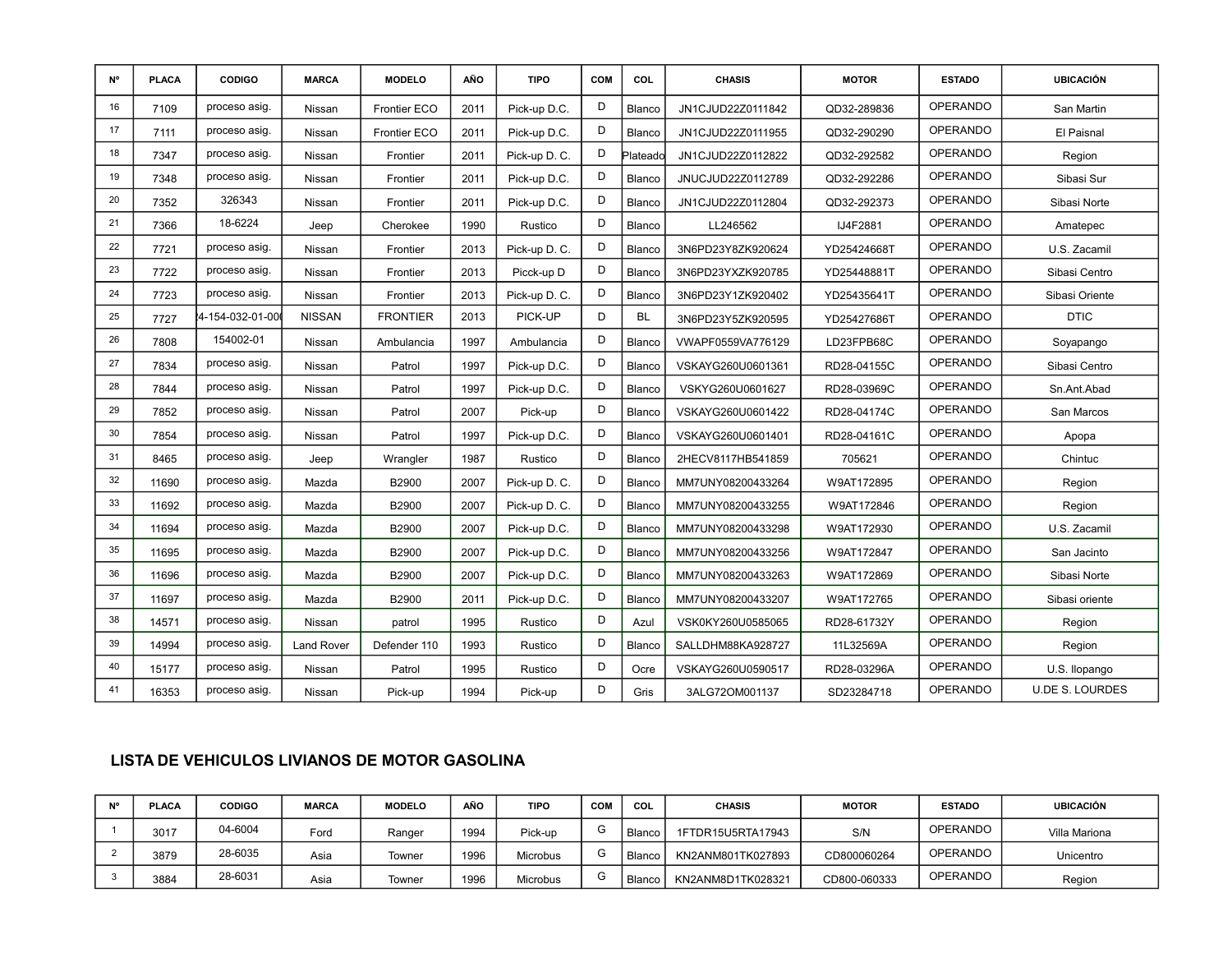| N° | <b>PLACA</b> | <b>CODIGO</b>   | <b>MARCA</b>      | <b>MODELO</b>   | AÑO  | <b>TIPO</b>   | <b>COM</b> | COL       | <b>CHASIS</b>     | <b>MOTOR</b> | <b>ESTADO</b>   | <b>UBICACIÓN</b>       |
|----|--------------|-----------------|-------------------|-----------------|------|---------------|------------|-----------|-------------------|--------------|-----------------|------------------------|
| 16 | 7109         | proceso asig.   | Nissan            | Frontier ECO    | 2011 | Pick-up D.C.  | D          | Blanco    | JN1CJUD22Z0111842 | QD32-289836  | <b>OPERANDO</b> | San Martin             |
| 17 | 7111         | proceso asig.   | Nissan            | Frontier ECO    | 2011 | Pick-up D.C.  | D          | Blanco    | JN1CJUD22Z0111955 | QD32-290290  | <b>OPERANDO</b> | El Paisnal             |
| 18 | 7347         | proceso asig.   | Nissan            | Frontier        | 2011 | Pick-up D. C. | D          | Plateado  | JN1CJUD22Z0112822 | QD32-292582  | <b>OPERANDO</b> | Region                 |
| 19 | 7348         | proceso asig.   | Nissan            | Frontier        | 2011 | Pick-up D.C.  | D          | Blanco    | JNUCJUD22Z0112789 | QD32-292286  | <b>OPERANDO</b> | Sibasi Sur             |
| 20 | 7352         | 326343          | Nissan            | Frontier        | 2011 | Pick-up D.C.  | D          | Blanco    | JN1CJUD22Z0112804 | QD32-292373  | <b>OPERANDO</b> | Sibasi Norte           |
| 21 | 7366         | 18-6224         | Jeep              | Cherokee        | 1990 | Rustico       | D          | Blanco    | LL246562          | IJ4F2881     | <b>OPERANDO</b> | Amatepec               |
| 22 | 7721         | proceso asig.   | Nissan            | Frontier        | 2013 | Pick-up D. C. | D          | Blanco    | 3N6PD23Y8ZK920624 | YD25424668T  | <b>OPERANDO</b> | U.S. Zacamil           |
| 23 | 7722         | proceso asig.   | Nissan            | Frontier        | 2013 | Picck-up D    | D          | Blanco    | 3N6PD23YXZK920785 | YD25448881T  | <b>OPERANDO</b> | Sibasi Centro          |
| 24 | 7723         | proceso asig.   | Nissan            | Frontier        | 2013 | Pick-up D. C. | D          | Blanco    | 3N6PD23Y1ZK920402 | YD25435641T  | <b>OPERANDO</b> | Sibasi Oriente         |
| 25 | 7727         | 4-154-032-01-00 | <b>NISSAN</b>     | <b>FRONTIER</b> | 2013 | PICK-UP       | D          | <b>BL</b> | 3N6PD23Y5ZK920595 | YD25427686T  | <b>OPERANDO</b> | <b>DTIC</b>            |
| 26 | 7808         | 154002-01       | Nissan            | Ambulancia      | 1997 | Ambulancia    | D          | Blanco    | VWAPF0559VA776129 | LD23FPB68C   | <b>OPERANDO</b> | Soyapango              |
| 27 | 7834         | proceso asig.   | Nissan            | Patrol          | 1997 | Pick-up D.C.  | D          | Blanco    | VSKAYG260U0601361 | RD28-04155C  | <b>OPERANDO</b> | Sibasi Centro          |
| 28 | 7844         | proceso asig.   | Nissan            | Patrol          | 1997 | Pick-up D.C.  | D          | Blanco    | VSKYG260U0601627  | RD28-03969C  | <b>OPERANDO</b> | Sn.Ant.Abad            |
| 29 | 7852         | proceso asig.   | Nissan            | Patrol          | 2007 | Pick-up       | D          | Blanco    | VSKAYG260U0601422 | RD28-04174C  | <b>OPERANDO</b> | San Marcos             |
| 30 | 7854         | proceso asig.   | Nissan            | Patrol          | 1997 | Pick-up D.C.  | D          | Blanco    | VSKAYG260U0601401 | RD28-04161C  | <b>OPERANDO</b> | Apopa                  |
| 31 | 8465         | proceso asig.   | Jeep              | Wrangler        | 1987 | Rustico       | D          | Blanco    | 2HECV8117HB541859 | 705621       | <b>OPERANDO</b> | Chintuc                |
| 32 | 11690        | proceso asig.   | Mazda             | B2900           | 2007 | Pick-up D. C. | D          | Blanco    | MM7UNY08200433264 | W9AT172895   | <b>OPERANDO</b> | Region                 |
| 33 | 11692        | proceso asig.   | Mazda             | B2900           | 2007 | Pick-up D. C. | D          | Blanco    | MM7UNY08200433255 | W9AT172846   | <b>OPERANDO</b> | Region                 |
| 34 | 11694        | proceso asig.   | Mazda             | B2900           | 2007 | Pick-up D.C.  | D          | Blanco    | MM7UNY08200433298 | W9AT172930   | <b>OPERANDO</b> | U.S. Zacamil           |
| 35 | 11695        | proceso asig.   | Mazda             | B2900           | 2007 | Pick-up D.C.  | D          | Blanco    | MM7UNY08200433256 | W9AT172847   | <b>OPERANDO</b> | San Jacinto            |
| 36 | 11696        | proceso asig.   | Mazda             | B2900           | 2007 | Pick-up D.C.  | D          | Blanco    | MM7UNY08200433263 | W9AT172869   | <b>OPERANDO</b> | Sibasi Norte           |
| 37 | 11697        | proceso asig.   | Mazda             | B2900           | 2011 | Pick-up D.C.  | D          | Blanco    | MM7UNY08200433207 | W9AT172765   | OPERANDO        | Sibasi oriente         |
| 38 | 14571        | proceso asig.   | Nissan            | patrol          | 1995 | Rustico       | D          | Azul      | VSK0KY260U0585065 | RD28-61732Y  | <b>OPERANDO</b> | Region                 |
| 39 | 14994        | proceso asig.   | <b>Land Rover</b> | Defender 110    | 1993 | Rustico       | D          | Blanco    | SALLDHM88KA928727 | 11L32569A    | <b>OPERANDO</b> | Region                 |
| 40 | 15177        | proceso asig.   | Nissan            | Patrol          | 1995 | Rustico       | D          | Ocre      | VSKAYG260U0590517 | RD28-03296A  | <b>OPERANDO</b> | U.S. Ilopango          |
| 41 | 16353        | proceso asig.   | Nissan            | Pick-up         | 1994 | Pick-up       | D          | Gris      | 3ALG72OM001137    | SD23284718   | <b>OPERANDO</b> | <b>U.DE S. LOURDES</b> |

| N° | <b>PLACA</b> | <b>CODIGO</b> | <b>MARCA</b> | <b>MODELO</b> | AÑO  | <b>TIPO</b>     | <b>CON</b> | COL    | <b>CHASIS</b>     | <b>MOTOR</b> | <b>ESTADO</b> | <b>UBICACIÓN</b> |
|----|--------------|---------------|--------------|---------------|------|-----------------|------------|--------|-------------------|--------------|---------------|------------------|
|    | 3017         | 04-6004       | $F$ ord      | Ranger        | 1994 | Pick-up         | G          | Blanco | 1FTDR15U5RTA17943 | S/N          | OPERANDO      | Villa Mariona    |
|    | 3879         | 28-6035       | Asia         | Towner        | 1996 | <b>Microbus</b> | G          | Blanco | KN2ANM801TK027893 | CD800060264  | OPERANDO      | Unicentro        |
|    | 3884         | 28-6031       | Asia         | Towner        | 1996 | <b>Microbus</b> | G          | Blanco | KN2ANM8D1TK028321 | CD800-060333 | OPERANDO      | Region           |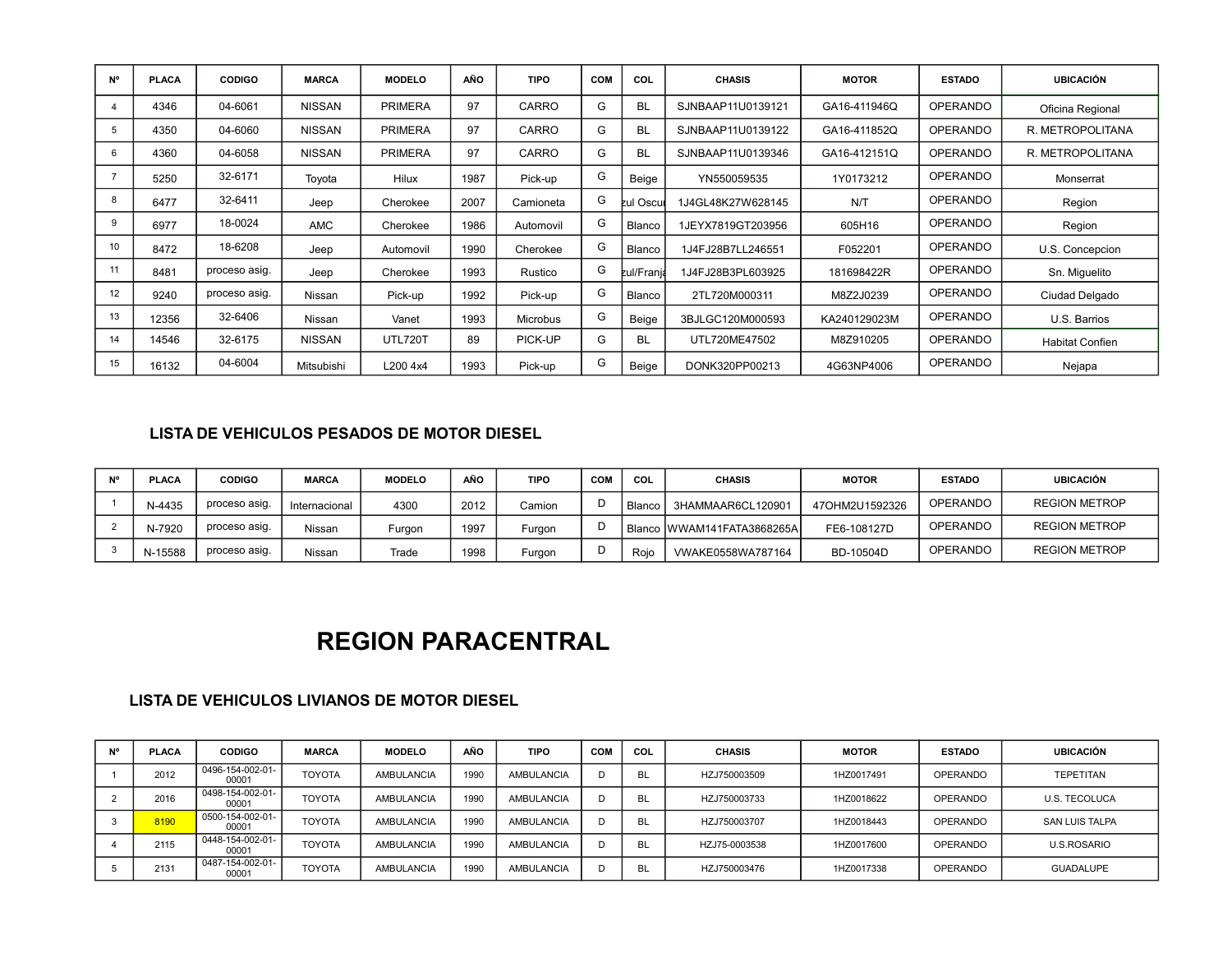| N° | <b>PLACA</b> | <b>CODIGO</b> | <b>MARCA</b>  | <b>MODELO</b>  | AÑO  | <b>TIPO</b>     | COM | COL               | <b>CHASIS</b>     | <b>MOTOR</b> | <b>ESTADO</b>   | <b>UBICACIÓN</b>       |
|----|--------------|---------------|---------------|----------------|------|-----------------|-----|-------------------|-------------------|--------------|-----------------|------------------------|
|    | 4346         | 04-6061       | NISSAN        | <b>PRIMERA</b> | 97   | CARRO           | G   | <b>BL</b>         | SJNBAAP11U0139121 | GA16-411946Q | <b>OPERANDO</b> | Oficina Regional       |
| 5  | 4350         | 04-6060       | <b>NISSAN</b> | <b>PRIMERA</b> | 97   | CARRO           | G   | <b>BL</b>         | SJNBAAP11U0139122 | GA16-411852Q | OPERANDO        | R. METROPOLITANA       |
| 6  | 4360         | 04-6058       | NISSAN        | <b>PRIMERA</b> | 97   | CARRO           | G   | <b>BL</b>         | SJNBAAP11U0139346 | GA16-412151Q | OPERANDO        | R. METROPOLITANA       |
|    | 5250         | 32-6171       | Toyota        | Hilux          | 1987 | Pick-up         | G   | Beige             | YN550059535       | 1Y0173212    | <b>OPERANDO</b> | Monserrat              |
| 8  | 6477         | 32-6411       | Jeep          | Cherokee       | 2007 | Camioneta       | G   | <b>kul Oscul</b>  | 1J4GL48K27W628145 | N/T          | <b>OPERANDO</b> | Region                 |
| 9  | 6977         | 18-0024       | <b>AMC</b>    | Cherokee       | 1986 | Automovil       | G   | Blanco            | 1JEYX7819GT203956 | 605H16       | <b>OPERANDO</b> | Region                 |
| 10 | 8472         | 18-6208       | Jeep          | Automovil      | 1990 | Cherokee        | G   | Blanco            | IJ4FJ28B7LL246551 | F052201      | <b>OPERANDO</b> | U.S. Concepcion        |
| 11 | 8481         | proceso asig. | Jeep          | Cherokee       | 1993 | Rustico         | G   | <b>zul/Franja</b> | J4FJ28B3PL603925  | 181698422R   | <b>OPERANDO</b> | Sn. Miguelito          |
| 12 | 9240         | proceso asig. | Nissan        | Pick-up        | 1992 | Pick-up         | G   | Blanco            | 2TL720M000311     | M8Z2J0239    | <b>OPERANDO</b> | Ciudad Delgado         |
| 13 | 12356        | 32-6406       | Nissan        | Vanet          | 1993 | <b>Microbus</b> | G   | Beige             | 3BJLGC120M000593  | KA240129023M | <b>OPERANDO</b> | U.S. Barrios           |
| 14 | 14546        | 32-6175       | <b>NISSAN</b> | UTL720T        | 89   | PICK-UP         | G   | <b>BL</b>         | UTL720ME47502     | M8Z910205    | <b>OPERANDO</b> | <b>Habitat Confien</b> |
| 15 | 16132        | 04-6004       | Mitsubishi    | L200 4x4       | 1993 | Pick-up         | G   | Beige             | DONK320PP00213    | 4G63NP4006   | <b>OPERANDO</b> | Nejapa                 |

### **LISTA DE VEHICULOS PESADOS DE MOTOR DIESEL**

| <b>MIO</b> | <b>PLACA</b> | <b>CODIGO</b> | <b>MARCA</b>  | <b>MODELO</b> | AÑO  | <b>TIPO</b> | COM | COL      | <b>CHASIS</b>                  | <b>MOTOR</b>   | <b>ESTADO</b>   | <b>UBICACIÓN</b>     |
|------------|--------------|---------------|---------------|---------------|------|-------------|-----|----------|--------------------------------|----------------|-----------------|----------------------|
|            | N-4435       | proceso asig. | Internacional | 4300          | 2012 | Camion      |     | l Blanco | 3HAMMAAR6CL120901              | 47OHM2U1592326 | OPERANDO        | <b>REGION METROP</b> |
|            | N-7920       | proceso asig. | Nissan        | Furaon        | 1997 | Furgon      |     |          | I Blanco IWWAM141FATA3868265AI | FE6-108127D    | OPERANDO        | <b>REGION METROP</b> |
|            | N-15588      | proceso asig. | Nissan        | Trade         | 1998 | Furgon      |     | Rojo     | VWAKE0558WA787164              | BD-10504D      | <b>OPERANDO</b> | <b>REGION METROP</b> |

### **REGION PARACENTRAL**

| <b>N°</b> | <b>PLACA</b> | <b>CODIGO</b>             | <b>MARCA</b>  | <b>MODELO</b>     | AÑO         | <b>TIPO</b>       | <b>COM</b> | COL       | <b>CHASIS</b> | <b>MOTOR</b> | <b>ESTADO</b>   | <b>UBICACIÓN</b>      |
|-----------|--------------|---------------------------|---------------|-------------------|-------------|-------------------|------------|-----------|---------------|--------------|-----------------|-----------------------|
|           | 2012         | 0496-154-002-01-<br>00001 | <b>TOYOTA</b> | <b>AMBULANCIA</b> | 1990        | <b>AMBULANCIA</b> |            | <b>BL</b> | HZJ750003509  | 1HZ0017491   | <b>OPERANDO</b> | <b>TEPETITAN</b>      |
|           | 2016         | 0498-154-002-01-<br>00001 | <b>TOYOTA</b> | <b>AMBULANCIA</b> | <b>1990</b> | <b>AMBULANCIA</b> |            | <b>BL</b> | HZJ750003733  | 1HZ0018622   | <b>OPERANDO</b> | U.S. TECOLUCA         |
|           | 8190         | 0500-154-002-01-<br>00001 | <b>TOYOTA</b> | <b>AMBULANCIA</b> | 1990        | AMBULANCIA        |            | -BL       | HZJ750003707  | 1HZ0018443   | <b>OPERANDO</b> | <b>SAN LUIS TALPA</b> |
|           | 2115         | 0448-154-002-01-<br>00001 | <b>TOYOTA</b> | <b>AMBULANCIA</b> | 1990        | AMBULANCIA        |            | BL.       | HZJ75-0003538 | 1HZ0017600   | <b>OPERANDO</b> | <b>U.S.ROSARIO</b>    |
|           | 2131         | 0487-154-002-01-<br>00001 | <b>TOYOTA</b> | <b>AMBULANCIA</b> | 1990        | AMBULANCIA        |            | BL.       | HZJ750003476  | 1HZ0017338   | <b>OPERANDO</b> | <b>GUADALUPE</b>      |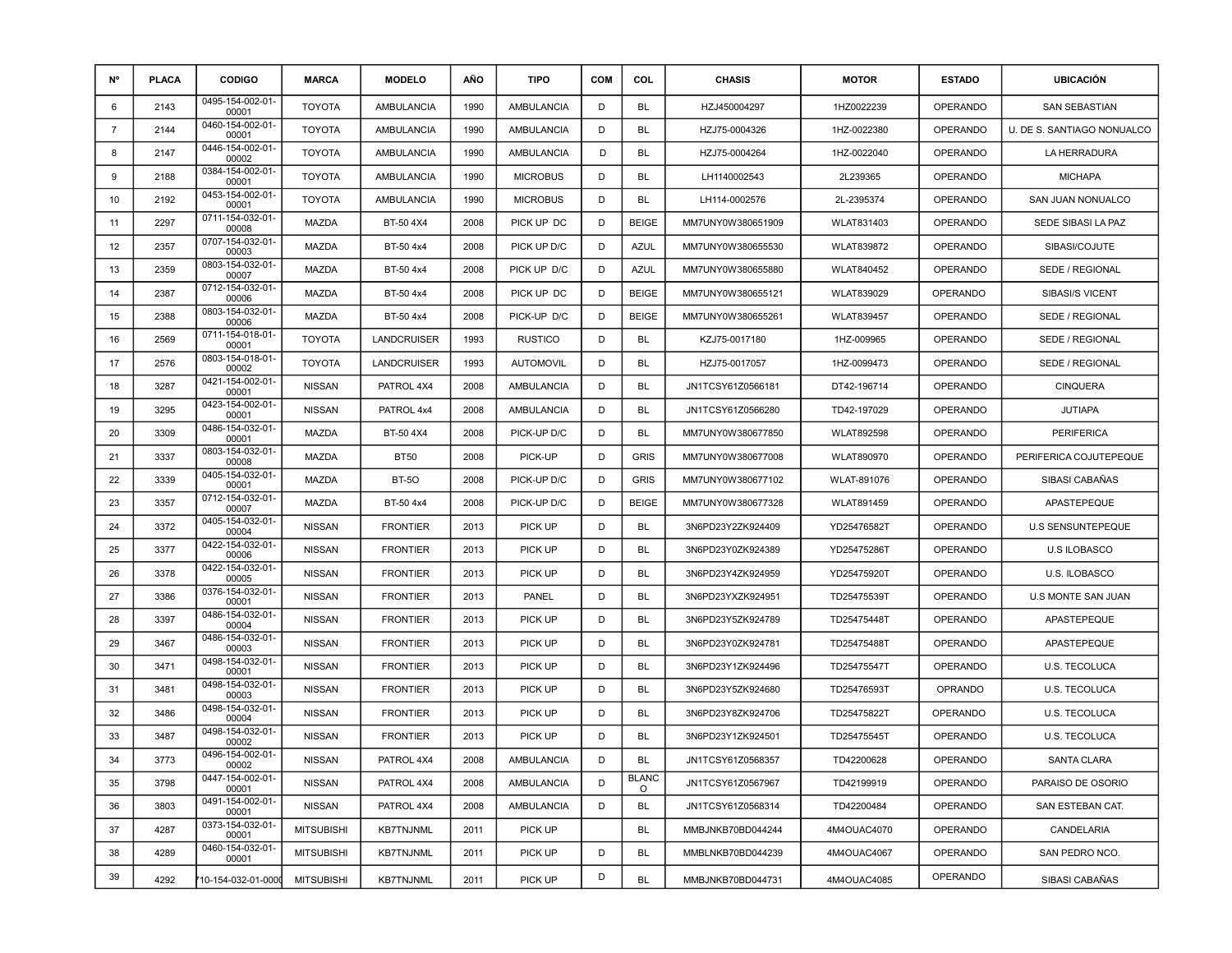| <b>N°</b>      | <b>PLACA</b> | <b>CODIGO</b>             | <b>MARCA</b>      | <b>MODELO</b>      | <b>AÑO</b> | <b>TIPO</b>       | <b>COM</b> | COL                     | <b>CHASIS</b>     | <b>MOTOR</b>      | <b>ESTADO</b>   | UBICACIÓN                  |
|----------------|--------------|---------------------------|-------------------|--------------------|------------|-------------------|------------|-------------------------|-------------------|-------------------|-----------------|----------------------------|
| 6              | 2143         | 0495-154-002-01-<br>00001 | <b>TOYOTA</b>     | AMBULANCIA         | 1990       | AMBULANCIA        | D          | <b>BL</b>               | HZJ450004297      | 1HZ0022239        | <b>OPERANDO</b> | <b>SAN SEBASTIAN</b>       |
| $\overline{7}$ | 2144         | 0460-154-002-01-<br>00001 | <b>TOYOTA</b>     | <b>AMBULANCIA</b>  | 1990       | <b>AMBULANCIA</b> | D          | <b>BL</b>               | HZJ75-0004326     | 1HZ-0022380       | <b>OPERANDO</b> | U. DE S. SANTIAGO NONUALCO |
| 8              | 2147         | 0446-154-002-01-<br>00002 | <b>TOYOTA</b>     | AMBULANCIA         | 1990       | AMBULANCIA        | D          | <b>BL</b>               | HZJ75-0004264     | 1HZ-0022040       | <b>OPERANDO</b> | LA HERRADURA               |
| 9              | 2188         | 0384-154-002-01-<br>00001 | <b>TOYOTA</b>     | <b>AMBULANCIA</b>  | 1990       | <b>MICROBUS</b>   | D          | <b>BL</b>               | LH1140002543      | 2L239365          | OPERANDO        | <b>MICHAPA</b>             |
| 10             | 2192         | 0453-154-002-01-<br>00001 | <b>TOYOTA</b>     | <b>AMBULANCIA</b>  | 1990       | <b>MICROBUS</b>   | D          | BL                      | LH114-0002576     | 2L-2395374        | <b>OPERANDO</b> | SAN JUAN NONUALCO          |
| 11             | 2297         | 0711-154-032-01-<br>00008 | <b>MAZDA</b>      | BT-50 4X4          | 2008       | PICK UP DC        | D          | <b>BEIGE</b>            | MM7UNY0W380651909 | WLAT831403        | <b>OPERANDO</b> | SEDE SIBASI LA PAZ         |
| 12             | 2357         | 0707-154-032-01-<br>00003 | <b>MAZDA</b>      | BT-50 4x4          | 2008       | PICK UP D/C       | D          | <b>AZUL</b>             | MM7UNY0W380655530 | <b>WLAT839872</b> | <b>OPERANDO</b> | SIBASI/COJUTE              |
| 13             | 2359         | 0803-154-032-01-<br>00007 | <b>MAZDA</b>      | BT-50 4x4          | 2008       | PICK UP D/C       | D          | <b>AZUL</b>             | MM7UNY0W380655880 | <b>WLAT840452</b> | <b>OPERANDO</b> | SEDE / REGIONAL            |
| 14             | 2387         | 0712-154-032-01-<br>00006 | <b>MAZDA</b>      | BT-50 4x4          | 2008       | PICK UP DC        | D          | <b>BEIGE</b>            | MM7UNY0W380655121 | WLAT839029        | OPERANDO        | <b>SIBASI/S VICENT</b>     |
| 15             | 2388         | 0803-154-032-01-<br>00006 | <b>MAZDA</b>      | BT-50 4x4          | 2008       | PICK-UP D/C       | D          | <b>BEIGE</b>            | MM7UNY0W380655261 | <b>WLAT839457</b> | <b>OPERANDO</b> | SEDE / REGIONAL            |
| 16             | 2569         | 0711-154-018-01-<br>00001 | <b>TOYOTA</b>     | <b>LANDCRUISER</b> | 1993       | <b>RUSTICO</b>    | D          | <b>BL</b>               | KZJ75-0017180     | 1HZ-009965        | <b>OPERANDO</b> | SEDE / REGIONAL            |
| 17             | 2576         | 0803-154-018-01-<br>00002 | <b>TOYOTA</b>     | <b>LANDCRUISER</b> | 1993       | <b>AUTOMOVIL</b>  | D          | <b>BL</b>               | HZJ75-0017057     | 1HZ-0099473       | <b>OPERANDO</b> | SEDE / REGIONAL            |
| 18             | 3287         | 0421-154-002-01-<br>00001 | <b>NISSAN</b>     | PATROL 4X4         | 2008       | AMBULANCIA        | D          | <b>BL</b>               | JN1TCSY61Z0566181 | DT42-196714       | <b>OPERANDO</b> | <b>CINQUERA</b>            |
| 19             | 3295         | 0423-154-002-01-<br>00001 | <b>NISSAN</b>     | PATROL 4x4         | 2008       | <b>AMBULANCIA</b> | D          | BL                      | JN1TCSY61Z0566280 | TD42-197029       | <b>OPERANDO</b> | <b>JUTIAPA</b>             |
| 20             | 3309         | 0486-154-032-01-<br>00001 | <b>MAZDA</b>      | BT-50 4X4          | 2008       | PICK-UP D/C       | D          | <b>BL</b>               | MM7UNY0W380677850 | <b>WLAT892598</b> | <b>OPERANDO</b> | <b>PERIFERICA</b>          |
| 21             | 3337         | 0803-154-032-01-<br>00008 | MAZDA             | <b>BT50</b>        | 2008       | PICK-UP           | D          | <b>GRIS</b>             | MM7UNY0W380677008 | <b>WLAT890970</b> | <b>OPERANDO</b> | PERIFERICA COJUTEPEQUE     |
| 22             | 3339         | 0405-154-032-01-<br>00001 | <b>MAZDA</b>      | <b>BT-50</b>       | 2008       | PICK-UP D/C       | D          | <b>GRIS</b>             | MM7UNY0W380677102 | WLAT-891076       | <b>OPERANDO</b> | SIBASI CABAÑAS             |
| 23             | 3357         | 0712-154-032-01-<br>00007 | <b>MAZDA</b>      | BT-50 4x4          | 2008       | PICK-UP D/C       | D          | <b>BEIGE</b>            | MM7UNY0W380677328 | <b>WLAT891459</b> | <b>OPERANDO</b> | APASTEPEQUE                |
| 24             | 3372         | 0405-154-032-01-<br>00004 | <b>NISSAN</b>     | <b>FRONTIER</b>    | 2013       | PICK UP           | D          | <b>BL</b>               | 3N6PD23Y2ZK924409 | YD25476582T       | <b>OPERANDO</b> | <b>U.S SENSUNTEPEQUE</b>   |
| 25             | 3377         | 0422-154-032-01-<br>00006 | <b>NISSAN</b>     | <b>FRONTIER</b>    | 2013       | PICK UP           | D          | <b>BL</b>               | 3N6PD23Y0ZK924389 | YD25475286T       | <b>OPERANDO</b> | <b>U.S ILOBASCO</b>        |
| 26             | 3378         | 0422-154-032-01-<br>00005 | <b>NISSAN</b>     | <b>FRONTIER</b>    | 2013       | PICK UP           | D          | <b>BL</b>               | 3N6PD23Y4ZK924959 | YD25475920T       | <b>OPERANDO</b> | U.S. ILOBASCO              |
| 27             | 3386         | 0376-154-032-01-<br>00001 | <b>NISSAN</b>     | <b>FRONTIER</b>    | 2013       | <b>PANEL</b>      | D          | <b>BL</b>               | 3N6PD23YXZK924951 | TD25475539T       | <b>OPERANDO</b> | U.S MONTE SAN JUAN         |
| 28             | 3397         | 0486-154-032-01-<br>00004 | NISSAN            | <b>FRONTIER</b>    | 2013       | PICK UP           | D          | <b>BL</b>               | 3N6PD23Y5ZK924789 | TD25475448T       | <b>OPERANDO</b> | APASTEPEQUE                |
| 29             | 3467         | 0486-154-032-01-<br>00003 | NISSAN            | <b>FRONTIER</b>    | 2013       | PICK UP           | D          | <b>BL</b>               | 3N6PD23Y0ZK924781 | TD25475488T       | <b>OPERANDO</b> | APASTEPEQUE                |
| 30             | 3471         | 0498-154-032-01-<br>00001 | <b>NISSAN</b>     | <b>FRONTIER</b>    | 2013       | PICK UP           | D          | <b>BL</b>               | 3N6PD23Y1ZK924496 | TD25475547T       | <b>OPERANDO</b> | <b>U.S. TECOLUCA</b>       |
| 31             | 3481         | 0498-154-032-01-<br>00003 | <b>NISSAN</b>     | <b>FRONTIER</b>    | 2013       | PICK UP           | D          | <b>BL</b>               | 3N6PD23Y5ZK924680 | TD25476593T       | <b>OPRANDO</b>  | U.S. TECOLUCA              |
| 32             | 3486         | 0498-154-032-01-<br>00004 | <b>NISSAN</b>     | <b>FRONTIER</b>    | 2013       | PICK UP           | D          | <b>BL</b>               | 3N6PD23Y8ZK924706 | TD25475822T       | OPERANDO        | U.S. TECOLUCA              |
| 33             | 3487         | 0498-154-032-01-<br>00002 | NISSAN            | <b>FRONTIER</b>    | 2013       | PICK UP           | D          | <b>BL</b>               | 3N6PD23Y1ZK924501 | TD25475545T       | <b>OPERANDO</b> | U.S. TECOLUCA              |
| 34             | 3773         | 0496-154-002-01-<br>00002 | <b>NISSAN</b>     | PATROL 4X4         | 2008       | <b>AMBULANCIA</b> | D          | <b>BL</b>               | JN1TCSY61Z0568357 | TD42200628        | OPERANDO        | <b>SANTA CLARA</b>         |
| 35             | 3798         | 0447-154-002-01-<br>00001 | <b>NISSAN</b>     | PATROL 4X4         | 2008       | <b>AMBULANCIA</b> | D          | <b>BLANC</b><br>$\circ$ | JN1TCSY61Z0567967 | TD42199919        | <b>OPERANDO</b> | PARAISO DE OSORIO          |
| 36             | 3803         | 0491-154-002-01-<br>00001 | <b>NISSAN</b>     | PATROL 4X4         | 2008       | <b>AMBULANCIA</b> | D          | <b>BL</b>               | JN1TCSY61Z0568314 | TD42200484        | <b>OPERANDO</b> | SAN ESTEBAN CAT.           |
| 37             | 4287         | 0373-154-032-01-<br>00001 | <b>MITSUBISHI</b> | <b>KB7TNJNML</b>   | 2011       | PICK UP           |            | <b>BL</b>               | MMBJNKB70BD044244 | 4M4OUAC4070       | OPERANDO        | CANDELARIA                 |
| 38             | 4289         | 0460-154-032-01-<br>00001 | <b>MITSUBISHI</b> | <b>KB7TNJNML</b>   | 2011       | PICK UP           | D          | <b>BL</b>               | MMBLNKB70BD044239 | 4M4OUAC4067       | OPERANDO        | SAN PEDRO NCO.             |
| 39             | 4292         | 10-154-032-01-0000        | <b>MITSUBISHI</b> | <b>KB7TNJNML</b>   | 2011       | PICK UP           | D          | <b>BL</b>               | MMBJNKB70BD044731 | 4M4OUAC4085       | OPERANDO        | SIBASI CABAÑAS             |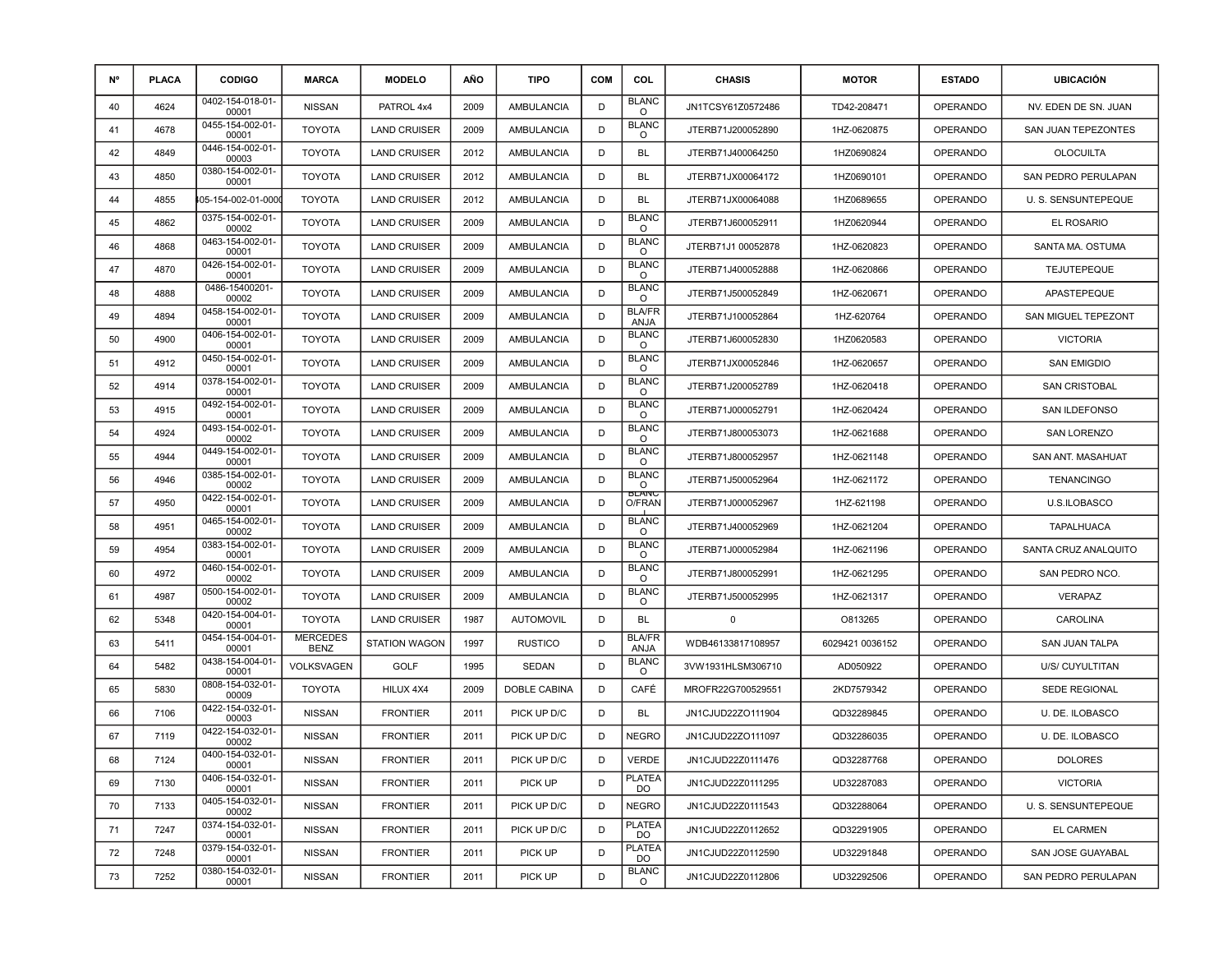| <b>N°</b> | <b>PLACA</b> | <b>CODIGO</b>             | <b>MARCA</b>                   | <b>MODELO</b>        | AÑO  | <b>TIPO</b>       | <b>COM</b> | <b>COL</b>              | <b>CHASIS</b>      | <b>MOTOR</b>    | <b>ESTADO</b>   | <b>UBICACIÓN</b>           |
|-----------|--------------|---------------------------|--------------------------------|----------------------|------|-------------------|------------|-------------------------|--------------------|-----------------|-----------------|----------------------------|
| 40        | 4624         | 0402-154-018-01-<br>00001 | <b>NISSAN</b>                  | PATROL 4x4           | 2009 | AMBULANCIA        | D          | <b>BLANC</b><br>$\circ$ | JN1TCSY61Z0572486  | TD42-208471     | <b>OPERANDO</b> | NV. EDEN DE SN. JUAN       |
| 41        | 4678         | 0455-154-002-01-<br>00001 | <b>TOYOTA</b>                  | <b>LAND CRUISER</b>  | 2009 | <b>AMBULANCIA</b> | D          | <b>BLANC</b><br>$\circ$ | JTERB71J200052890  | 1HZ-0620875     | <b>OPERANDO</b> | SAN JUAN TEPEZONTES        |
| 42        | 4849         | 0446-154-002-01-<br>00003 | <b>TOYOTA</b>                  | <b>LAND CRUISER</b>  | 2012 | AMBULANCIA        | D          | <b>BL</b>               | JTERB71J400064250  | 1HZ0690824      | <b>OPERANDO</b> | <b>OLOCUILTA</b>           |
| 43        | 4850         | 0380-154-002-01-<br>00001 | <b>TOYOTA</b>                  | <b>LAND CRUISER</b>  | 2012 | AMBULANCIA        | D          | <b>BL</b>               | JTERB71JX00064172  | 1HZ0690101      | <b>OPERANDO</b> | <b>SAN PEDRO PERULAPAN</b> |
| 44        | 4855         | 105-154-002-01-000        | <b>TOYOTA</b>                  | <b>LAND CRUISER</b>  | 2012 | AMBULANCIA        | D          | <b>BL</b>               | JTERB71JX00064088  | 1HZ0689655      | <b>OPERANDO</b> | U. S. SENSUNTEPEQUE        |
| 45        | 4862         | 0375-154-002-01-<br>00002 | <b>TOYOTA</b>                  | <b>LAND CRUISER</b>  | 2009 | <b>AMBULANCIA</b> | D          | <b>BLANC</b><br>$\circ$ | JTERB71J600052911  | 1HZ0620944      | <b>OPERANDO</b> | EL ROSARIO                 |
| 46        | 4868         | 0463-154-002-01-<br>00001 | <b>TOYOTA</b>                  | <b>LAND CRUISER</b>  | 2009 | <b>AMBULANCIA</b> | D          | <b>BLANC</b><br>$\circ$ | JTERB71J1 00052878 | 1HZ-0620823     | <b>OPERANDO</b> | SANTA MA. OSTUMA           |
| 47        | 4870         | 0426-154-002-01-<br>00001 | <b>TOYOTA</b>                  | <b>LAND CRUISER</b>  | 2009 | <b>AMBULANCIA</b> | D          | <b>BLANC</b><br>$\circ$ | JTERB71J400052888  | 1HZ-0620866     | <b>OPERANDO</b> | <b>TEJUTEPEQUE</b>         |
| 48        | 4888         | 0486-15400201-<br>00002   | <b>TOYOTA</b>                  | <b>LAND CRUISER</b>  | 2009 | AMBULANCIA        | D          | <b>BLANC</b><br>$\circ$ | JTERB71J500052849  | 1HZ-0620671     | <b>OPERANDO</b> | APASTEPEQUE                |
| 49        | 4894         | 0458-154-002-01-<br>00001 | <b>TOYOTA</b>                  | <b>LAND CRUISER</b>  | 2009 | <b>AMBULANCIA</b> | D          | <b>BLA/FR</b><br>ANJA   | JTERB71J100052864  | 1HZ-620764      | <b>OPERANDO</b> | SAN MIGUEL TEPEZONT        |
| 50        | 4900         | 0406-154-002-01-<br>00001 | <b>TOYOTA</b>                  | <b>LAND CRUISER</b>  | 2009 | AMBULANCIA        | D          | <b>BLANC</b><br>$\circ$ | JTERB71J600052830  | 1HZ0620583      | <b>OPERANDO</b> | <b>VICTORIA</b>            |
| 51        | 4912         | 0450-154-002-01-<br>00001 | <b>TOYOTA</b>                  | <b>LAND CRUISER</b>  | 2009 | AMBULANCIA        | D          | <b>BLANC</b><br>$\circ$ | JTERB71JX00052846  | 1HZ-0620657     | <b>OPERANDO</b> | <b>SAN EMIGDIO</b>         |
| 52        | 4914         | 0378-154-002-01-<br>00001 | <b>TOYOTA</b>                  | <b>LAND CRUISER</b>  | 2009 | AMBULANCIA        | D          | <b>BLANC</b><br>$\circ$ | JTERB71J200052789  | 1HZ-0620418     | <b>OPERANDO</b> | <b>SAN CRISTOBAL</b>       |
| 53        | 4915         | 0492-154-002-01-<br>00001 | <b>TOYOTA</b>                  | <b>LAND CRUISER</b>  | 2009 | AMBULANCIA        | D          | <b>BLANC</b><br>$\circ$ | JTERB71J000052791  | 1HZ-0620424     | <b>OPERANDO</b> | SAN ILDEFONSO              |
| 54        | 4924         | 0493-154-002-01-<br>00002 | <b>TOYOTA</b>                  | <b>LAND CRUISER</b>  | 2009 | AMBULANCIA        | D          | <b>BLANC</b><br>$\circ$ | JTERB71J800053073  | 1HZ-0621688     | <b>OPERANDO</b> | <b>SAN LORENZO</b>         |
| 55        | 4944         | 0449-154-002-01-<br>00001 | <b>TOYOTA</b>                  | <b>LAND CRUISER</b>  | 2009 | AMBULANCIA        | D          | <b>BLANC</b><br>$\circ$ | JTERB71J800052957  | 1HZ-0621148     | <b>OPERANDO</b> | SAN ANT. MASAHUAT          |
| 56        | 4946         | 0385-154-002-01-<br>00002 | <b>TOYOTA</b>                  | <b>LAND CRUISER</b>  | 2009 | AMBULANCIA        | D          | <b>BLANC</b><br>$\circ$ | JTERB71J500052964  | 1HZ-0621172     | <b>OPERANDO</b> | <b>TENANCINGO</b>          |
| 57        | 4950         | 0422-154-002-01-<br>00001 | <b>TOYOTA</b>                  | <b>LAND CRUISER</b>  | 2009 | <b>AMBULANCIA</b> | D          | <b>BLANC</b><br>O/FRAN  | JTERB71J000052967  | 1HZ-621198      | <b>OPERANDO</b> | U.S.ILOBASCO               |
| 58        | 4951         | 0465-154-002-01-<br>00002 | <b>TOYOTA</b>                  | <b>LAND CRUISER</b>  | 2009 | AMBULANCIA        | D          | <b>BLANC</b><br>$\circ$ | JTERB71J400052969  | 1HZ-0621204     | <b>OPERANDO</b> | <b>TAPALHUACA</b>          |
| 59        | 4954         | 0383-154-002-01-<br>00001 | <b>TOYOTA</b>                  | <b>LAND CRUISER</b>  | 2009 | AMBULANCIA        | D          | <b>BLANC</b><br>$\circ$ | JTERB71J000052984  | 1HZ-0621196     | <b>OPERANDO</b> | SANTA CRUZ ANALQUITO       |
| 60        | 4972         | 0460-154-002-01-<br>00002 | <b>TOYOTA</b>                  | <b>LAND CRUISER</b>  | 2009 | AMBULANCIA        | D          | <b>BLANC</b><br>$\circ$ | JTERB71J800052991  | 1HZ-0621295     | <b>OPERANDO</b> | SAN PEDRO NCO.             |
| 61        | 4987         | 0500-154-002-01-<br>00002 | <b>TOYOTA</b>                  | <b>LAND CRUISER</b>  | 2009 | <b>AMBULANCIA</b> | D          | <b>BLANC</b><br>$\circ$ | JTERB71J500052995  | 1HZ-0621317     | <b>OPERANDO</b> | <b>VERAPAZ</b>             |
| 62        | 5348         | 0420-154-004-01-<br>00001 | <b>TOYOTA</b>                  | <b>LAND CRUISER</b>  | 1987 | <b>AUTOMOVIL</b>  | D          | <b>BL</b>               | $\mathbf 0$        | O813265         | <b>OPERANDO</b> | CAROLINA                   |
| 63        | 5411         | 0454-154-004-01-<br>00001 | <b>MERCEDES</b><br><b>BENZ</b> | <b>STATION WAGON</b> | 1997 | <b>RUSTICO</b>    | D          | <b>BLA/FR</b><br>ANJA   | WDB46133817108957  | 6029421 0036152 | <b>OPERANDO</b> | SAN JUAN TALPA             |
| 64        | 5482         | 0438-154-004-01-<br>00001 | VOLKSVAGEN                     | <b>GOLF</b>          | 1995 | <b>SEDAN</b>      | D          | <b>BLANC</b><br>$\circ$ | 3VW1931HLSM306710  | AD050922        | <b>OPERANDO</b> | U/S/ CUYULTITAN            |
| 65        | 5830         | 0808-154-032-01-<br>00009 | <b>TOYOTA</b>                  | HILUX 4X4            | 2009 | DOBLE CABINA      | D          | CAFÉ                    | MROFR22G700529551  | 2KD7579342      | <b>OPERANDO</b> | <b>SEDE REGIONAL</b>       |
| 66        | 7106         | 0422-154-032-01-<br>00003 | <b>NISSAN</b>                  | <b>FRONTIER</b>      | 2011 | PICK UP D/C       | D          | <b>BL</b>               | JN1CJUD22ZO111904  | QD32289845      | <b>OPERANDO</b> | U. DE. ILOBASCO            |
| 67        | 7119         | 0422-154-032-01-<br>00002 | <b>NISSAN</b>                  | <b>FRONTIER</b>      | 2011 | PICK UP D/C       | D          | <b>NEGRO</b>            | JN1CJUD22ZO111097  | QD32286035      | <b>OPERANDO</b> | U. DE. ILOBASCO            |
| 68        | 7124         | 0400-154-032-01-<br>00001 | <b>NISSAN</b>                  | <b>FRONTIER</b>      | 2011 | PICK UP D/C       | D          | VERDE                   | JN1CJUD22Z0111476  | QD32287768      | OPERANDO        | <b>DOLORES</b>             |
| 69        | 7130         | 0406-154-032-01-<br>00001 | <b>NISSAN</b>                  | <b>FRONTIER</b>      | 2011 | PICK UP           | D          | PLATEA<br>DO.           | JN1CJUD22Z0111295  | UD32287083      | <b>OPERANDO</b> | <b>VICTORIA</b>            |
| 70        | 7133         | 0405-154-032-01-<br>00002 | <b>NISSAN</b>                  | <b>FRONTIER</b>      | 2011 | PICK UP D/C       | D          | <b>NEGRO</b>            | JN1CJUD22Z0111543  | QD32288064      | <b>OPERANDO</b> | U. S. SENSUNTEPEQUE        |
| 71        | 7247         | 0374-154-032-01-<br>00001 | <b>NISSAN</b>                  | <b>FRONTIER</b>      | 2011 | PICK UP D/C       | D          | <b>PLATEA</b><br>DO.    | JN1CJUD22Z0112652  | QD32291905      | <b>OPERANDO</b> | EL CARMEN                  |
| 72        | 7248         | 0379-154-032-01-<br>00001 | <b>NISSAN</b>                  | <b>FRONTIER</b>      | 2011 | PICK UP           | D          | <b>PLATEA</b><br>DO     | JN1CJUD22Z0112590  | UD32291848      | OPERANDO        | SAN JOSE GUAYABAL          |
| 73        | 7252         | 0380-154-032-01-<br>00001 | <b>NISSAN</b>                  | <b>FRONTIER</b>      | 2011 | PICK UP           | D          | <b>BLANC</b><br>$\circ$ | JN1CJUD22Z0112806  | UD32292506      | <b>OPERANDO</b> | SAN PEDRO PERULAPAN        |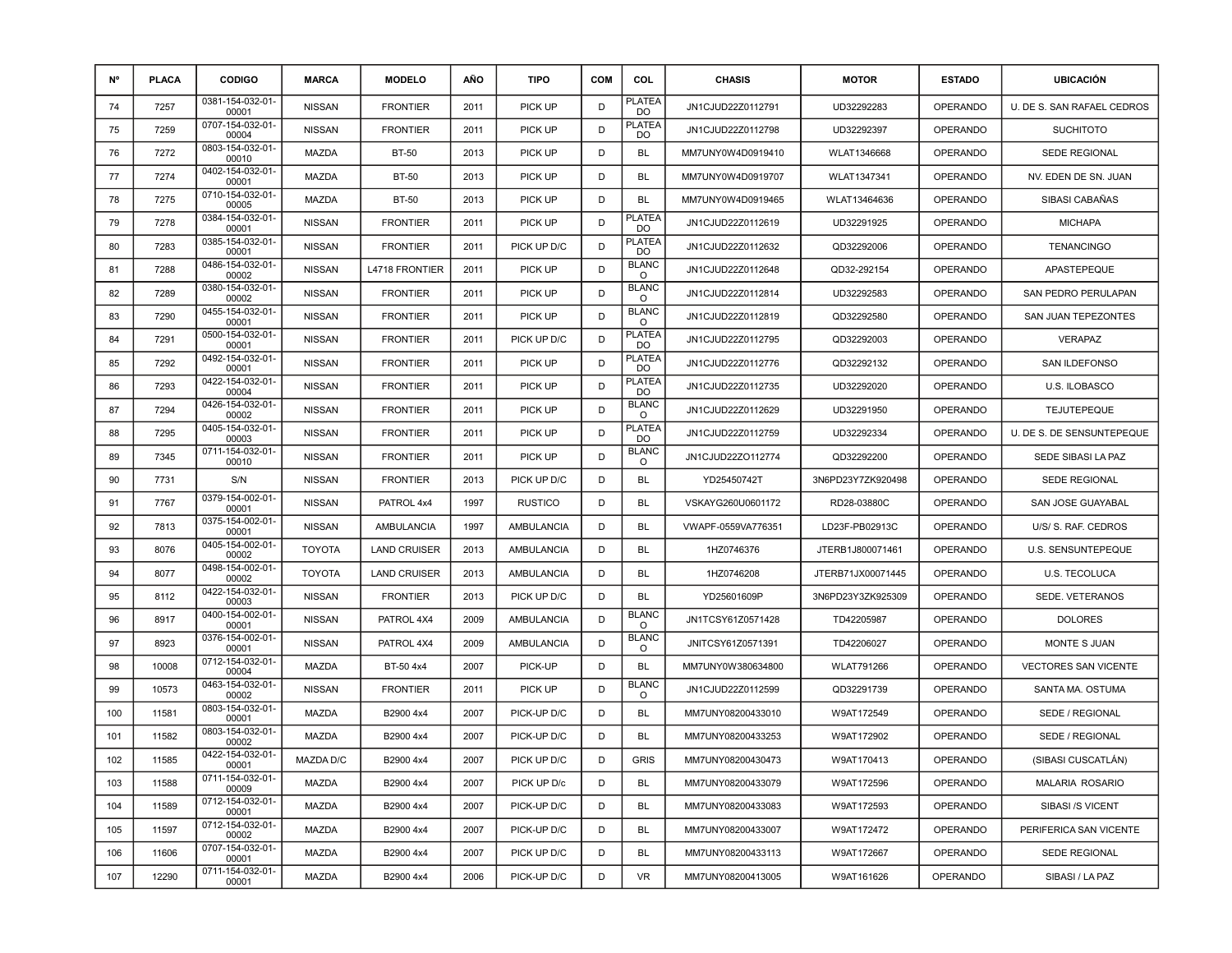| <b>N°</b> | <b>PLACA</b> | <b>CODIGO</b>             | <b>MARCA</b>  | <b>MODELO</b>         | AÑO  | <b>TIPO</b>       | <b>COM</b> | <b>COL</b>               | <b>CHASIS</b>      | <b>MOTOR</b>      | <b>ESTADO</b>   | <b>UBICACIÓN</b>            |
|-----------|--------------|---------------------------|---------------|-----------------------|------|-------------------|------------|--------------------------|--------------------|-------------------|-----------------|-----------------------------|
| 74        | 7257         | 0381-154-032-01-<br>00001 | <b>NISSAN</b> | <b>FRONTIER</b>       | 2011 | PICK UP           | D          | <b>PLATEA</b><br>DO      | JN1CJUD22Z0112791  | UD32292283        | <b>OPERANDO</b> | U. DE S. SAN RAFAEL CEDROS  |
| 75        | 7259         | 0707-154-032-01-<br>00004 | <b>NISSAN</b> | <b>FRONTIER</b>       | 2011 | PICK UP           | D          | PLATEA<br>DO             | JN1CJUD22Z0112798  | UD32292397        | <b>OPERANDO</b> | <b>SUCHITOTO</b>            |
| 76        | 7272         | 0803-154-032-01-<br>00010 | <b>MAZDA</b>  | <b>BT-50</b>          | 2013 | PICK UP           | D          | <b>BL</b>                | MM7UNY0W4D0919410  | WLAT1346668       | <b>OPERANDO</b> | SEDE REGIONAL               |
| 77        | 7274         | 0402-154-032-01-<br>00001 | MAZDA         | <b>BT-50</b>          | 2013 | PICK UP           | D          | BL                       | MM7UNY0W4D0919707  | WLAT1347341       | <b>OPERANDO</b> | NV. EDEN DE SN. JUAN        |
| 78        | 7275         | 0710-154-032-01-<br>00005 | <b>MAZDA</b>  | <b>BT-50</b>          | 2013 | PICK UP           | D          | <b>BL</b>                | MM7UNY0W4D0919465  | WLAT13464636      | <b>OPERANDO</b> | SIBASI CABAÑAS              |
| 79        | 7278         | 0384-154-032-01-<br>00001 | <b>NISSAN</b> | <b>FRONTIER</b>       | 2011 | PICK UP           | D          | PLATEA<br>DO             | JN1CJUD22Z0112619  | UD32291925        | <b>OPERANDO</b> | <b>MICHAPA</b>              |
| 80        | 7283         | 0385-154-032-01-<br>00001 | <b>NISSAN</b> | <b>FRONTIER</b>       | 2011 | PICK UP D/C       | D          | <b>PLATEA</b><br>DO      | JN1CJUD22Z0112632  | QD32292006        | <b>OPERANDO</b> | <b>TENANCINGO</b>           |
| 81        | 7288         | 0486-154-032-01-<br>00002 | <b>NISSAN</b> | <b>L4718 FRONTIER</b> | 2011 | PICK UP           | D          | <b>BLANC</b><br>$\circ$  | JN1CJUD22Z0112648  | QD32-292154       | <b>OPERANDO</b> | APASTEPEQUE                 |
| 82        | 7289         | 0380-154-032-01-<br>00002 | <b>NISSAN</b> | <b>FRONTIER</b>       | 2011 | PICK UP           | D          | <b>BLANC</b><br>$\circ$  | JN1CJUD22Z0112814  | UD32292583        | <b>OPERANDO</b> | SAN PEDRO PERULAPAN         |
| 83        | 7290         | 0455-154-032-01-<br>00001 | <b>NISSAN</b> | <b>FRONTIER</b>       | 2011 | PICK UP           | D          | <b>BLANC</b><br>$\circ$  | JN1CJUD22Z0112819  | QD32292580        | <b>OPERANDO</b> | SAN JUAN TEPEZONTES         |
| 84        | 7291         | 0500-154-032-01-<br>00001 | <b>NISSAN</b> | <b>FRONTIER</b>       | 2011 | PICK UP D/C       | D          | <b>PLATEA</b><br>DO      | JN1CJUD22Z0112795  | QD32292003        | <b>OPERANDO</b> | <b>VERAPAZ</b>              |
| 85        | 7292         | 0492-154-032-01-<br>00001 | <b>NISSAN</b> | <b>FRONTIER</b>       | 2011 | PICK UP           | D          | <b>PLATEA</b><br>DO      | JN1CJUD22Z0112776  | QD32292132        | <b>OPERANDO</b> | SAN ILDEFONSO               |
| 86        | 7293         | 0422-154-032-01-<br>00004 | <b>NISSAN</b> | <b>FRONTIER</b>       | 2011 | PICK UP           | D          | <b>PLATEA</b><br>DO      | JN1CJUD22Z0112735  | UD32292020        | <b>OPERANDO</b> | U.S. ILOBASCO               |
| 87        | 7294         | 0426-154-032-01-<br>00002 | <b>NISSAN</b> | <b>FRONTIER</b>       | 2011 | PICK UP           | D          | <b>BLANC</b><br>$\circ$  | JN1CJUD22Z0112629  | UD32291950        | <b>OPERANDO</b> | <b>TEJUTEPEQUE</b>          |
| 88        | 7295         | 0405-154-032-01-<br>00003 | <b>NISSAN</b> | <b>FRONTIER</b>       | 2011 | PICK UP           | D          | PLATEA<br>DO             | JN1CJUD22Z0112759  | UD32292334        | <b>OPERANDO</b> | U. DE S. DE SENSUNTEPEQUE   |
| 89        | 7345         | 0711-154-032-01-<br>00010 | <b>NISSAN</b> | <b>FRONTIER</b>       | 2011 | PICK UP           | D          | <b>BLANC</b><br>O        | JN1CJUD22ZO112774  | QD32292200        | <b>OPERANDO</b> | SEDE SIBASI LA PAZ          |
| 90        | 7731         | S/N                       | <b>NISSAN</b> | <b>FRONTIER</b>       | 2013 | PICK UP D/C       | D          | <b>BL</b>                | YD25450742T        | 3N6PD23Y7ZK920498 | <b>OPERANDO</b> | SEDE REGIONAL               |
| 91        | 7767         | 0379-154-002-01-<br>00001 | <b>NISSAN</b> | PATROL 4x4            | 1997 | <b>RUSTICO</b>    | D          | BL                       | VSKAYG260U0601172  | RD28-03880C       | <b>OPERANDO</b> | SAN JOSE GUAYABAL           |
| 92        | 7813         | 0375-154-002-01-<br>00001 | <b>NISSAN</b> | AMBULANCIA            | 1997 | AMBULANCIA        | D          | <b>BL</b>                | VWAPF-0559VA776351 | LD23F-PB02913C    | <b>OPERANDO</b> | U/S/ S. RAF. CEDROS         |
| 93        | 8076         | 0405-154-002-01-<br>00002 | <b>TOYOTA</b> | <b>LAND CRUISER</b>   | 2013 | AMBULANCIA        | D          | BL                       | 1HZ0746376         | JTERB1J800071461  | <b>OPERANDO</b> | <b>U.S. SENSUNTEPEQUE</b>   |
| 94        | 8077         | 0498-154-002-01-<br>00002 | <b>TOYOTA</b> | <b>LAND CRUISER</b>   | 2013 | AMBULANCIA        | D          | BL                       | 1HZ0746208         | JTERB71JX00071445 | <b>OPERANDO</b> | <b>U.S. TECOLUCA</b>        |
| 95        | 8112         | 0422-154-032-01-<br>00003 | <b>NISSAN</b> | <b>FRONTIER</b>       | 2013 | PICK UP D/C       | D          | BL                       | YD25601609P        | 3N6PD23Y3ZK925309 | <b>OPERANDO</b> | SEDE. VETERANOS             |
| 96        | 8917         | 0400-154-002-01-<br>00001 | <b>NISSAN</b> | PATROL 4X4            | 2009 | <b>AMBULANCIA</b> | D          | <b>BLANC</b><br>$\Omega$ | JN1TCSY61Z0571428  | TD42205987        | <b>OPERANDO</b> | <b>DOLORES</b>              |
| 97        | 8923         | 0376-154-002-01-<br>00001 | <b>NISSAN</b> | PATROL 4X4            | 2009 | AMBULANCIA        | D          | <b>BLANC</b><br>$\circ$  | JNITCSY61Z0571391  | TD42206027        | <b>OPERANDO</b> | MONTE S JUAN                |
| 98        | 10008        | 0712-154-032-01-<br>00004 | <b>MAZDA</b>  | BT-50 4x4             | 2007 | PICK-UP           | D          | <b>BL</b>                | MM7UNY0W380634800  | WLAT791266        | <b>OPERANDO</b> | <b>VECTORES SAN VICENTE</b> |
| 99        | 10573        | 0463-154-032-01-<br>00002 | <b>NISSAN</b> | <b>FRONTIER</b>       | 2011 | PICK UP           | D          | BLANC<br>O               | JN1CJUD22Z0112599  | QD32291739        | <b>OPERANDO</b> | SANTA MA. OSTUMA            |
| 100       | 11581        | 0803-154-032-01-<br>00001 | MAZDA         | B2900 4x4             | 2007 | PICK-UP D/C       | D          | BL                       | MM7UNY08200433010  | W9AT172549        | <b>OPERANDO</b> | SEDE / REGIONAL             |
| 101       | 11582        | 0803-154-032-01-<br>00002 | MAZDA         | B2900 4x4             | 2007 | PICK-UP D/C       | D          | <b>BL</b>                | MM7UNY08200433253  | W9AT172902        | <b>OPERANDO</b> | SEDE / REGIONAL             |
| 102       | 11585        | 0422-154-032-01-<br>00001 | MAZDA D/C     | B2900 4x4             | 2007 | PICK UP D/C       | D          | <b>GRIS</b>              | MM7UNY08200430473  | W9AT170413        | <b>OPERANDO</b> | (SIBASI CUSCATLÀN)          |
| 103       | 11588        | 0711-154-032-01-<br>00009 | MAZDA         | B2900 4x4             | 2007 | PICK UP D/c       | D          | BL                       | MM7UNY08200433079  | W9AT172596        | <b>OPERANDO</b> | <b>MALARIA ROSARIO</b>      |
| 104       | 11589        | 0712-154-032-01-<br>00001 | MAZDA         | B2900 4x4             | 2007 | PICK-UP D/C       | D          | <b>BL</b>                | MM7UNY08200433083  | W9AT172593        | <b>OPERANDO</b> | SIBASI /S VICENT            |
| 105       | 11597        | 0712-154-032-01-<br>00002 | MAZDA         | B2900 4x4             | 2007 | PICK-UP D/C       | D          | <b>BL</b>                | MM7UNY08200433007  | W9AT172472        | <b>OPERANDO</b> | PERIFERICA SAN VICENTE      |
| 106       | 11606        | 0707-154-032-01-<br>00001 | MAZDA         | B2900 4x4             | 2007 | PICK UP D/C       | D          | <b>BL</b>                | MM7UNY08200433113  | W9AT172667        | <b>OPERANDO</b> | <b>SEDE REGIONAL</b>        |
| 107       | 12290        | 0711-154-032-01-<br>00001 | MAZDA         | B2900 4x4             | 2006 | PICK-UP D/C       | D          | VR                       | MM7UNY08200413005  | W9AT161626        | <b>OPERANDO</b> | SIBASI / LA PAZ             |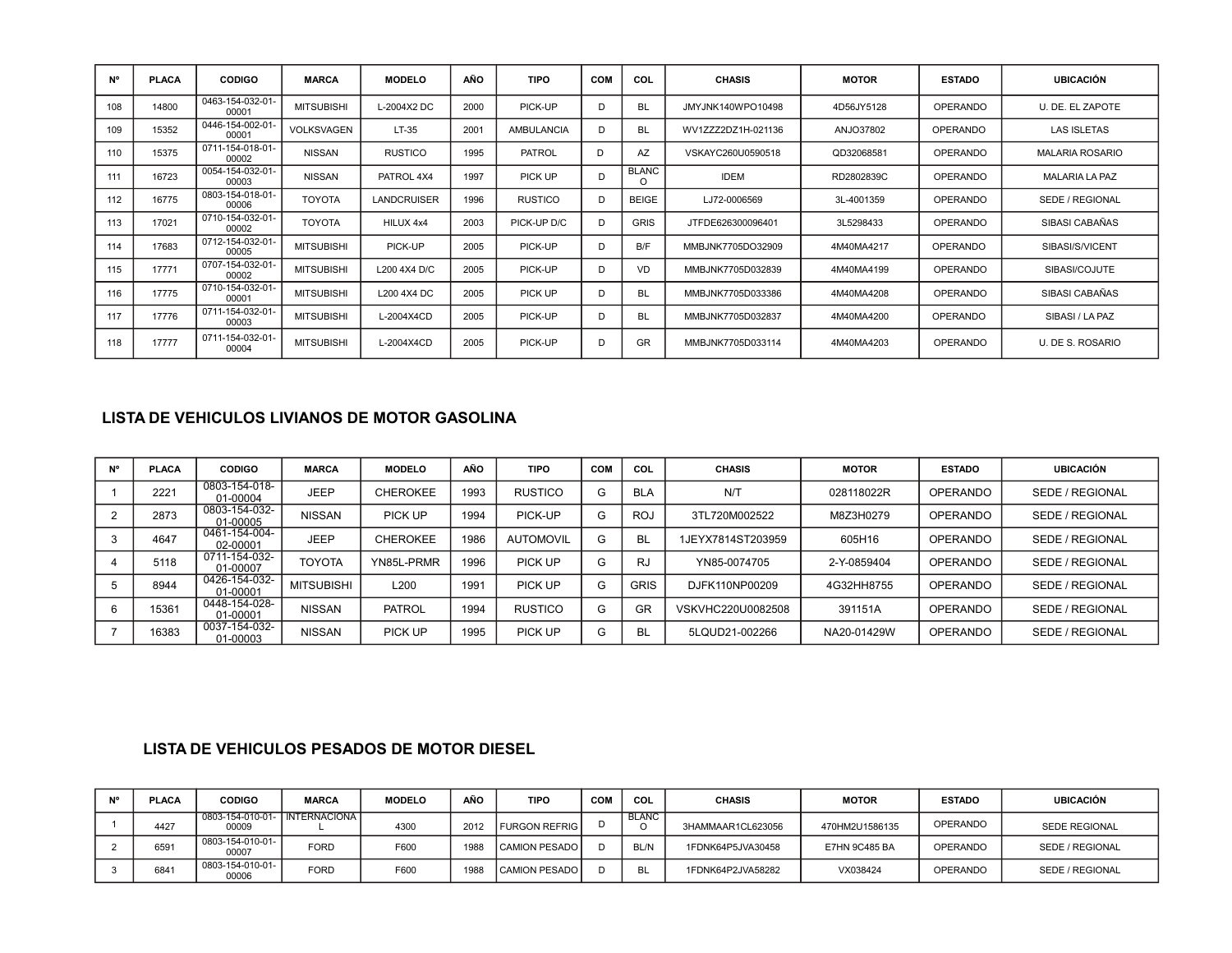| N°  | <b>PLACA</b> | <b>CODIGO</b>             | <b>MARCA</b>      | <b>MODELO</b>      | AÑO  | <b>TIPO</b>       | <b>COM</b> | COL               | <b>CHASIS</b>      | <b>MOTOR</b> | <b>ESTADO</b>   | <b>UBICACIÓN</b>       |
|-----|--------------|---------------------------|-------------------|--------------------|------|-------------------|------------|-------------------|--------------------|--------------|-----------------|------------------------|
| 108 | 14800        | 0463-154-032-01-<br>00001 | <b>MITSUBISHI</b> | L-2004X2 DC        | 2000 | PICK-UP           | Ð          | <b>BL</b>         | JMYJNK140WPO10498  | 4D56JY5128   | <b>OPERANDO</b> | U. DE. EL ZAPOTE       |
| 109 | 15352        | 0446-154-002-01-<br>00001 | <b>VOLKSVAGEN</b> | LT-35              | 2001 | <b>AMBULANCIA</b> | D          | <b>BL</b>         | WV1ZZZ2DZ1H-021136 | ANJO37802    | <b>OPERANDO</b> | <b>LAS ISLETAS</b>     |
| 110 | 15375        | 0711-154-018-01-<br>00002 | <b>NISSAN</b>     | <b>RUSTICO</b>     | 1995 | <b>PATROL</b>     | D          | AZ                | VSKAYC260U0590518  | QD32068581   | <b>OPERANDO</b> | <b>MALARIA ROSARIO</b> |
| 111 | 16723        | 0054-154-032-01-<br>00003 | <b>NISSAN</b>     | PATROL 4X4         | 1997 | PICK UP           | D          | <b>BLANC</b><br>O | <b>IDEM</b>        | RD2802839C   | <b>OPERANDO</b> | <b>MALARIA LA PAZ</b>  |
| 112 | 16775        | 0803-154-018-01-<br>00006 | <b>TOYOTA</b>     | <b>LANDCRUISER</b> | 1996 | <b>RUSTICO</b>    | D          | <b>BEIGE</b>      | LJ72-0006569       | 3L-4001359   | <b>OPERANDO</b> | SEDE / REGIONAL        |
| 113 | 17021        | 0710-154-032-01-<br>00002 | <b>TOYOTA</b>     | HILUX 4x4          | 2003 | PICK-UP D/C       | D          | <b>GRIS</b>       | JTFDE626300096401  | 3L5298433    | <b>OPERANDO</b> | SIBASI CABAÑAS         |
| 114 | 17683        | 0712-154-032-01-<br>00005 | <b>MITSUBISHI</b> | PICK-UP            | 2005 | PICK-UP           | D          | B/F               | MMBJNK7705DO32909  | 4M40MA4217   | OPERANDO        | SIBASI/S/VICENT        |
| 115 | 17771        | 0707-154-032-01-<br>00002 | <b>MITSUBISHI</b> | L200 4X4 D/C       | 2005 | PICK-UP           | D          | <b>VD</b>         | MMBJNK7705D032839  | 4M40MA4199   | <b>OPERANDO</b> | SIBASI/COJUTE          |
| 116 | 17775        | 0710-154-032-01-<br>00001 | <b>MITSUBISHI</b> | L200 4X4 DC        | 2005 | PICK UP           | D          | <b>BL</b>         | MMBJNK7705D033386  | 4M40MA4208   | <b>OPERANDO</b> | SIBASI CABAÑAS         |
| 117 | 17776        | 0711-154-032-01-<br>00003 | <b>MITSUBISHI</b> | L-2004X4CD         | 2005 | PICK-UP           | D          | <b>BL</b>         | MMBJNK7705D032837  | 4M40MA4200   | <b>OPERANDO</b> | SIBASI / LA PAZ        |
| 118 | 17777        | 0711-154-032-01-<br>00004 | <b>MITSUBISHI</b> | L-2004X4CD         | 2005 | PICK-UP           | D          | <b>GR</b>         | MMBJNK7705D033114  | 4M40MA4203   | <b>OPERANDO</b> | U. DE S. ROSARIO       |

| <b>N°</b> | <b>PLACA</b> | <b>CODIGO</b>             | <b>MARCA</b>      | <b>MODELO</b>   | AÑO  | <b>TIPO</b>      | <b>COM</b> | COL         | <b>CHASIS</b>     | <b>MOTOR</b> | <b>ESTADO</b> | <b>UBICACIÓN</b> |
|-----------|--------------|---------------------------|-------------------|-----------------|------|------------------|------------|-------------|-------------------|--------------|---------------|------------------|
|           | 2221         | 0803-154-018-<br>01-00004 | <b>JEEP</b>       | <b>CHEROKEE</b> | 1993 | <b>RUSTICO</b>   | G          | <b>BLA</b>  | N/T               | 028118022R   | OPERANDO      | SEDE / REGIONAL  |
|           | 2873         | 0803-154-032-<br>01-00005 | <b>NISSAN</b>     | PICK UP         | 1994 | PICK-UP          | G          | ROJ         | 3TL720M002522     | M8Z3H0279    | OPERANDO      | SEDE / REGIONAL  |
|           | 4647         | 0461-154-004-<br>02-00001 | <b>JEEP</b>       | <b>CHEROKEE</b> | 1986 | <b>AUTOMOVIL</b> | G          | <b>BL</b>   | 1JEYX7814ST203959 | 605H16       | OPERANDO      | SEDE / REGIONAL  |
|           | 5118         | 0711-154-032-<br>01-00007 | <b>TOYOTA</b>     | YN85L-PRMR      | 1996 | PICK UP          | G          | RJ          | YN85-0074705      | 2-Y-0859404  | OPERANDO      | SEDE / REGIONAL  |
|           | 8944         | 0426-154-032-<br>01-00001 | <b>MITSUBISHI</b> | L200            | 1991 | PICK UP          | G          | <b>GRIS</b> | DJFK110NP00209    | 4G32HH8755   | OPERANDO      | SEDE / REGIONAL  |
|           | 15361        | 0448-154-028-<br>01-00001 | <b>NISSAN</b>     | <b>PATROL</b>   | 1994 | <b>RUSTICO</b>   | G          | GR          | VSKVHC220U0082508 | 391151A      | OPERANDO      | SEDE / REGIONAL  |
|           | 16383        | 0037-154-032-<br>01-00003 | <b>NISSAN</b>     | PICK UP         | 1995 | PICK UP          | G          | BL          | 5LQUD21-002266    | NA20-01429W  | OPERANDO      | SEDE / REGIONAL  |

### **LISTA DE VEHICULOS PESADOS DE MOTOR DIESEL**

| M <sub>0</sub> | <b>PLACA</b>     | <b>CODIGO</b>             | <b>MARCA</b>          | <b>MODELO</b> | AÑO  | <b>TIPO</b>          | <b>COM</b> | COL          | <b>CHASIS</b>     | <b>MOTOR</b>         | <b>ESTADO</b>   | <b>UBICACIÓN</b>     |
|----------------|------------------|---------------------------|-----------------------|---------------|------|----------------------|------------|--------------|-------------------|----------------------|-----------------|----------------------|
|                | 4427             | 0803-154-010-01-<br>00009 | <b>INTERNACIONA I</b> | 4300          | 2012 | <b>FURGON REFRIG</b> |            | <b>BLANC</b> | 3HAMMAAR1CL623056 | 470HM2U1586135       | <b>OPERANDO</b> | <b>SEDE REGIONAL</b> |
|                | 659'             | 0803-154-010-01-<br>00007 | <b>FORD</b>           | F600          | 1988 | CAMION PESADO I      |            | BL/N         | 1FDNK64P5JVA30458 | <b>E7HN 9C485 BA</b> | <b>OPERANDO</b> | SEDE / REGIONAL      |
|                | 684 <sup>-</sup> | 0803-154-010-01-<br>00006 | <b>FORD</b>           | F600          | 1988 | CAMION PESADO I      |            |              | 1FDNK64P2JVA58282 | VX038424             | <b>OPERANDO</b> | SEDE / REGIONAL      |